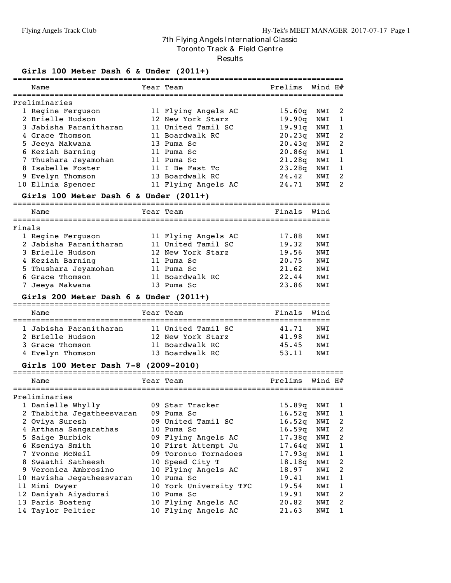Tor onto Track & Field Centre

Results

#### **Girls 100 Meter Dash 6 & Under (2011+)**

| Name                   | Year Team           | Prelims            | Wind H# |                |
|------------------------|---------------------|--------------------|---------|----------------|
| Preliminaries          |                     |                    |         |                |
| 1 Regine Ferguson      | 11 Flying Angels AC | 15.60q             | NWI     | -2             |
| 2 Brielle Hudson       | 12 New York Starz   | 19.90q             | NWI     |                |
| 3 Jabisha Paranitharan | 11 United Tamil SC  | 19.91 <sub>a</sub> | NWI     | $\mathbf{1}$   |
| 4 Grace Thomson        | 11 Boardwalk RC     | 20.23q             | NWI     | -2             |
| 5 Jeeya Makwana        | 13 Puma Sc          | 20.43q             | NWI     | 2              |
| 6 Keziah Barning       | 11 Puma Sc          | 20.86q             | NWI     | $\overline{1}$ |
| 7 Thushara Jeyamohan   | 11 Puma Sc          | 21.28 <sub>a</sub> | NWI     | -1             |
| 8 Isabelle Foster      | 11 I Be Fast Tc     | 23.28q             | NWI     |                |
| 9 Evelyn Thomson       | 13 Boardwalk RC     | 24.42              | NWI     | 2              |
| 10 Ellnia Spencer      | 11 Flying Angels AC | 24.71              | NWI     | 2              |

#### **Girls 100 Meter Dash 6 & Under (2011+)**

===================================================================== Einale Wind

|        | wallle                 | rear ieam           | r fiidts. | WIIIO |
|--------|------------------------|---------------------|-----------|-------|
|        |                        |                     |           |       |
| Finals |                        |                     |           |       |
|        | 1 Regine Ferguson      | 11 Flying Angels AC | 17.88     | NWI   |
|        | 2 Jabisha Paranitharan | 11 United Tamil SC  | 19.32     | NWI   |
|        | 3 Brielle Hudson       | 12 New York Starz   | 19.56     | NWI   |
|        | 4 Keziah Barning       | 11 Puma Sc          | 20.75     | NWI   |
|        | 5 Thushara Jeyamohan   | 11 Puma Sc          | 21.62     | NWI   |
|        | 6 Grace Thomson        | 11 Boardwalk RC     | 22.44     | NWI   |
|        | 7 Jeeya Makwana        | 13 Puma Sc          | 23.86     | NWI   |
|        |                        |                     |           |       |

#### **Girls 200 Meter Dash 6 & Under (2011+)**

| Name                                                                              | Year Team                                                                     | Finals                           | Wind                     |
|-----------------------------------------------------------------------------------|-------------------------------------------------------------------------------|----------------------------------|--------------------------|
| 1 Jabisha Paranitharan<br>2 Brielle Hudson<br>3 Grace Thomson<br>4 Evelyn Thomson | 11 United Tamil SC<br>12 New York Starz<br>11 Boardwalk RC<br>13 Boardwalk RC | 41.71<br>41.98<br>45.45<br>53.11 | NWT<br>NWT<br>NWT<br>NWT |

#### **Girls 100 Meter Dash 7-8 (2009-2010)**

| Name                      | Year Team              | Prelims            | Wind H# |                |
|---------------------------|------------------------|--------------------|---------|----------------|
| Preliminaries             |                        |                    |         |                |
| 1 Danielle Whylly         | 09 Star Tracker        | 15.89 <sub>q</sub> | NWI     | $\mathbf{1}$   |
| 2 Thabitha Jegatheesvaran | 09 Puma Sc             | 16.52q             | NWI     | $\mathbf{1}$   |
| 2 Oviya Suresh            | 09 United Tamil SC     | 16.52q             | NWI     | 2              |
| 4 Arthana Sangarathas     | 10 Puma Sc             | 16.59q             | NWI     | 2              |
| 5 Saige Burbick           | 09 Flying Angels AC    | 17.38q             | NWI     | 2              |
| 6 Kseniya Smith           | 10 First Attempt Ju    | 17.64q             | NWI     | 1              |
| 7 Yvonne McNeil           | 09 Toronto Tornadoes   | 17.93q             | NWI     | $\overline{1}$ |
| 8 Swaathi Satheesh        | 10 Speed City T        | 18.18q             | NWI     | 2              |
| 9 Veronica Ambrosino      | 10 Flying Angels AC    | 18.97              | NWI     | 2              |
| 10 Havisha Jegatheesvaran | 10 Puma Sc             | 19.41              | NWI     | $\mathbf{1}$   |
| 11 Mimi Dwyer             | 10 York University TFC | 19.54              | NWI     | $\mathbf{1}$   |
| 12 Daniyah Aiyadurai      | 10 Puma Sc             | 19.91              | NWI     | 2              |
| 13 Paris Boateng          | 10 Flying Angels AC    | 20.82              | NWI     | $\overline{2}$ |
| 14 Taylor Peltier         | 10 Flying Angels AC    | 21.63              | NWI     | $\mathbf{1}$   |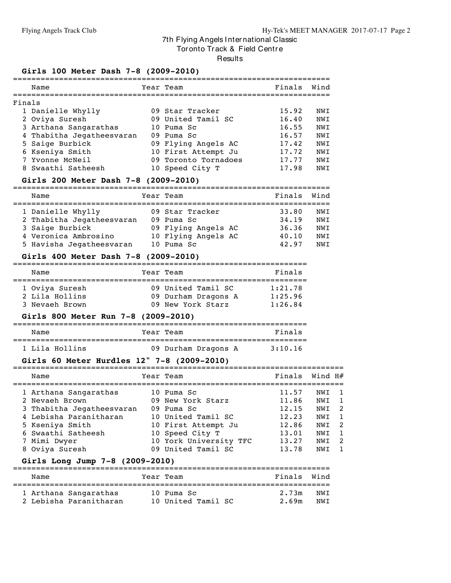Tor onto Track & Field Centre

Results

#### **Girls 100 Meter Dash 7-8 (2009-2010)**

|        | Name                      | Year Team            | Finals | Wind       |
|--------|---------------------------|----------------------|--------|------------|
|        |                           |                      |        |            |
| Finals |                           |                      |        |            |
|        | 1 Danielle Whylly         | 09 Star Tracker      | 15.92  | NWT        |
|        | 2 Oviya Suresh            | 09 United Tamil SC   | 16.40  | NWI        |
|        | 3 Arthana Sangarathas     | 10 Puma Sc           | 16.55  | <b>NWT</b> |
|        | 4 Thabitha Jegatheesvaran | $09$ Puma Sc         | 16.57  | <b>NWT</b> |
|        | 5 Saige Burbick           | 09 Flying Angels AC  | 17.42  | <b>NWT</b> |
|        | 6 Kseniya Smith           | 10 First Attempt Ju  | 17.72  | <b>NWT</b> |
|        | 7 Yvonne McNeil           | 09 Toronto Tornadoes | 17.77  | <b>NWT</b> |
|        | 8 Swaathi Satheesh        | 10 Speed City T      | 17.98  | NWT        |

#### **Girls 200 Meter Dash 7-8 (2009-2010)**

| Name                      | Year Team           | Finals | Wind |
|---------------------------|---------------------|--------|------|
|                           |                     |        |      |
| 1 Danielle Whylly         | 09 Star Tracker     | 33.80  | NWT  |
| 2 Thabitha Jegatheesvaran | 09 Puma Sc          | 34.19  | NWI  |
| 3 Saige Burbick           | 09 Flying Angels AC | 36.36  | NWI  |
| 4 Veronica Ambrosino      | 10 Flying Angels AC | 40.10  | NWT  |
| 5 Havisha Jegatheesvaran  | 10 Puma Sc          | 42.97  | NWT  |

#### **Girls 400 Meter Dash 7-8 (2009-2010)**

| Name                                               | Year Team                                                      | Finals                        |
|----------------------------------------------------|----------------------------------------------------------------|-------------------------------|
| 1 Oviya Suresh<br>2 Lila Hollins<br>3 Nevaeh Brown | 09 United Tamil SC<br>09 Durham Dragons A<br>09 New York Starz | 1:21.78<br>1:25.96<br>1:26.84 |

#### **Girls 800 Meter Run 7-8 (2009-2010)**

| Name           | Year Team           | Finals  |
|----------------|---------------------|---------|
| 1 Lila Hollins | 09 Durham Dragons A | 3:10.16 |

## **Girls 60 Meter Hurdles 12" 7-8 (2009-2010)**

| Finals<br>Wind H#<br>Name<br>Year Team<br>1 Arthana Sangarathas<br>11.57<br>10 Puma Sc<br>NWI | GILLS OU METEL HULGIES IZ $1-0$ (2009–2010) |  |  |  |  |  |  |  |  |  |
|-----------------------------------------------------------------------------------------------|---------------------------------------------|--|--|--|--|--|--|--|--|--|
|                                                                                               |                                             |  |  |  |  |  |  |  |  |  |
|                                                                                               |                                             |  |  |  |  |  |  |  |  |  |
| 11.86<br>2 Nevaeh Brown<br>09 New York Starz<br>NWI                                           |                                             |  |  |  |  |  |  |  |  |  |
| 3 Thabitha Jegatheesvaran<br>12.15<br>09 Puma Sc<br>NWI                                       | 2                                           |  |  |  |  |  |  |  |  |  |
| 4 Lebisha Paranitharan<br>10 United Tamil SC<br>12.23<br>NWI                                  |                                             |  |  |  |  |  |  |  |  |  |
| 10 First Attempt Ju<br>5 Kseniya Smith<br>12.86<br>NWI                                        | 2                                           |  |  |  |  |  |  |  |  |  |
| 6 Swaathi Satheesh<br>10 Speed City T<br>13.01<br>NWI                                         |                                             |  |  |  |  |  |  |  |  |  |
| 10 York University TFC<br>7 Mimi Dwyer<br>13.27<br>NWI                                        | 2                                           |  |  |  |  |  |  |  |  |  |
| 09 United Tamil SC<br>13.78<br>8 Oviya Suresh<br>NWI                                          |                                             |  |  |  |  |  |  |  |  |  |

#### **Girls Long Jump 7-8 (2009-2010)**

| Name |                        | Year Team |                    | Finals Wind |     |
|------|------------------------|-----------|--------------------|-------------|-----|
|      | 1 Arthana Sangarathas  |           | 10 Puma Sc         | 2.73m       | NWT |
|      | 2 Lebisha Paranitharan |           | 10 United Tamil SC | 2.69m       | NWT |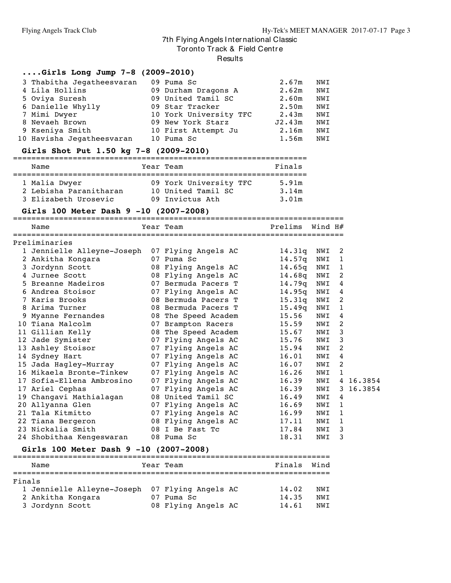Tor onto Track & Field Centre

#### **Results**

#### **....Girls Long Jump 7-8 (2009-2010)**

| 3 Thabitha Jegatheesvaran | 09 Puma Sc             | 2.67m  | NWI |
|---------------------------|------------------------|--------|-----|
| 4 Lila Hollins            | 09 Durham Dragons A    | 2.62m  | NWI |
| 5 Oviya Suresh            | 09 United Tamil SC     | 2.60m  | NWI |
| 6 Danielle Whylly         | 09 Star Tracker        | 2.50m  | NWI |
| 7 Mimi Dwyer              | 10 York University TFC | 2.43m  | NWI |
| 8 Nevaeh Brown            | 09 New York Starz      | J2.43m | NWI |
| 9 Kseniya Smith           | 10 First Attempt Ju    | 2.16m  | NWI |
| 10 Havisha Jegatheesvaran | 10 Puma Sc             | 1.56m  | NWI |

#### **Girls Shot Put 1.50 kg 7-8 (2009-2010)**

| Name                   | Year Team              | Finals |
|------------------------|------------------------|--------|
| 1 Malia Dwyer          | 09 York University TFC | 5.91m  |
| 2 Lebisha Paranitharan | 10 United Tamil SC     | 3.14m  |
| 3 Elizabeth Urosevic   | 09 Invictus Ath        | 3.01m  |

#### **Girls 100 Meter Dash 9 -10 (2007-2008)**

======================================================================== Name Year Team Prelims Wind H# ======================================================================== Preliminaries Jennielle Alleyne-Joseph 07 Flying Angels AC 14.31q NWI 2 Ankitha Kongara 07 Puma Sc 14.57q NWI 1 Jordynn Scott 08 Flying Angels AC 14.65q NWI 1 Jurnee Scott 08 Flying Angels AC 14.68q NWI 2 Breanne Madeiros 07 Bermuda Pacers T 14.79q NWI 4 Andrea Stoisor 07 Flying Angels AC 14.95q NWI 4 Karis Brooks 08 Bermuda Pacers T 15.31q NWI 2 Arima Turner 08 Bermuda Pacers T 15.49q NWI 1 Myanne Fernandes 08 The Speed Academ 15.56 NWI 4 Tiana Malcolm 07 Brampton Racers 15.59 NWI 2 Gillian Kelly 08 The Speed Academ 15.67 NWI 3 Jade Symister 07 Flying Angels AC 15.76 NWI 3 Ashley Stoisor 07 Flying Angels AC 15.94 NWI 2 Sydney Hart 07 Flying Angels AC 16.01 NWI 4 Jada Hagley-Murray 07 Flying Angels AC 16.07 NWI 2 Mikaela Bronte-Tinkew 07 Flying Angels AC 16.26 NWI 1 Sofia-Ellena Ambrosino 07 Flying Angels AC 16.39 NWI 4 16.3854 Ariel Cephas 07 Flying Angels AC 16.39 NWI 3 16.3854 Changavi Mathialagan 08 United Tamil SC 16.49 NWI 4 Allyanna Glen 07 Flying Angels AC 16.69 NWI 1 Tala Kitmitto 07 Flying Angels AC 16.99 NWI 1 Tiana Bergeron 08 Flying Angels AC 17.11 NWI 1 Nickalia Smith 08 I Be Fast Tc 17.84 NWI 3 Shobithaa Kengeswaran 08 Puma Sc 18.31 NWI 3

#### **Girls 100 Meter Dash 9 -10 (2007-2008)**

|        | Name                                           | Year Team           | Finals | Wind |
|--------|------------------------------------------------|---------------------|--------|------|
|        |                                                |                     |        |      |
| Finals |                                                |                     |        |      |
|        | 1 Jennielle Alleyne-Joseph 07 Flying Angels AC |                     | 14.02  | NWI  |
|        | 2 Ankitha Kongara                              | Puma Sc             | 14.35  | NWT  |
|        | 3 Jordynn Scott                                | 08 Flying Angels AC | 14.61  | NWT  |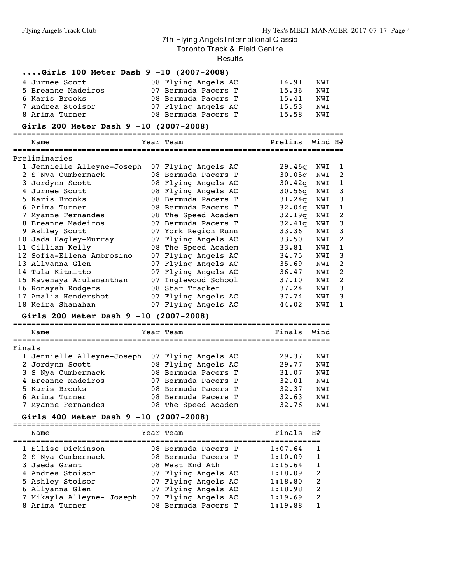Tor onto Track & Field Centre

Results

#### **....Girls 100 Meter Dash 9 -10 (2007-2008)**

| 4 Jurnee Scott     | 08 Flying Angels AC | 14.91 | NWI |
|--------------------|---------------------|-------|-----|
| 5 Breanne Madeiros | 07 Bermuda Pacers T | 15.36 | NWT |
| 6 Karis Brooks     | 08 Bermuda Pacers T | 15.41 | NWT |
| 7 Andrea Stoisor   | 07 Flying Angels AC | 15.53 | NWT |
| 8 Arima Turner     | 08 Bermuda Pacers T | 15.58 | NWT |

#### **Girls 200 Meter Dash 9 -10 (2007-2008)**

======================================================================== Name Year Team Prelims Wind H# ======================================================================== Preliminaries Jennielle Alleyne-Joseph 07 Flying Angels AC 29.46q NWI 1 S'Nya Cumbermack 08 Bermuda Pacers T 30.05q NWI 2 Jordynn Scott 08 Flying Angels AC 30.42q NWI 1 Jurnee Scott 08 Flying Angels AC 30.56q NWI 3 Karis Brooks 08 Bermuda Pacers T 31.24q NWI 3 Arima Turner 08 Bermuda Pacers T 32.04q NWI 1 Myanne Fernandes 08 The Speed Academ 32.19q NWI 2 Breanne Madeiros 07 Bermuda Pacers T 32.41q NWI 3 Ashley Scott 07 York Region Runn 33.36 NWI 3 Jada Hagley-Murray 07 Flying Angels AC 33.50 NWI 2 Gillian Kelly 08 The Speed Academ 33.81 NWI 1 Sofia-Ellena Ambrosino 07 Flying Angels AC 34.75 NWI 3 Allyanna Glen 07 Flying Angels AC 35.69 NWI 2 Tala Kitmitto 07 Flying Angels AC 36.47 NWI 2 Kavenaya Arulananthan 07 Inglewood School 37.10 NWI 2 Ronayah Rodgers 08 Star Tracker 37.24 NWI 3 Amalia Hendershot 07 Flying Angels AC 37.74 NWI 3 Keira Shanahan 07 Flying Angels AC 44.02 NWI 1

#### **Girls 200 Meter Dash 9 -10 (2007-2008)**

===================================================================== Name Tear Team Name Finals Wind ===================================================================== Finals Jennielle Alleyne-Joseph 07 Flying Angels AC 29.37 NWI Jordynn Scott 08 Flying Angels AC 29.77 NWI S'Nya Cumbermack 08 Bermuda Pacers T 31.07 NWI Breanne Madeiros 07 Bermuda Pacers T 32.01 NWI Karis Brooks 08 Bermuda Pacers T 32.37 NWI Arima Turner 08 Bermuda Pacers T 32.63 NWI Myanne Fernandes 08 The Speed Academ 32.76 NWI

#### **Girls 400 Meter Dash 9 -10 (2007-2008)**

|  | Name                      | Year Team           | Finals  | H#           |
|--|---------------------------|---------------------|---------|--------------|
|  | 1 Ellise Dickinson        | 08 Bermuda Pacers T | 1:07.64 | $\mathbf{1}$ |
|  | 2 S'Nya Cumbermack        | 08 Bermuda Pacers T | 1:10.09 | $\mathbf{1}$ |
|  | 3 Jaeda Grant             | 08 West End Ath     | 1:15.64 | $\mathbf{1}$ |
|  | 4 Andrea Stoisor          | 07 Flying Angels AC | 1:18.09 | 2            |
|  | 5 Ashley Stoisor          | 07 Flying Angels AC | 1:18.80 | 2            |
|  | 6 Allyanna Glen           | 07 Flying Angels AC | 1:18.98 | -2           |
|  | 7 Mikayla Alleyne- Joseph | 07 Flying Angels AC | 1:19.69 | 2            |
|  | 8 Arima Turner            | 08 Bermuda Pacers T | 1:19.88 | $\mathbf{1}$ |
|  |                           |                     |         |              |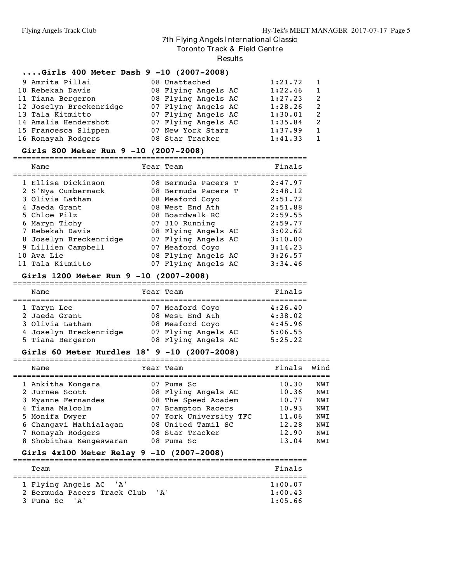Tor onto Track & Field Centre

**Results** 

#### **....Girls 400 Meter Dash 9 -10 (2007-2008)**

| 9 Amrita Pillai         | 08 Unattached       | 1:21.72 | $\mathbf{1}$   |
|-------------------------|---------------------|---------|----------------|
| 10 Rebekah Davis        | 08 Flying Angels AC | 1:22.46 | $\overline{1}$ |
| 11 Tiana Bergeron       | 08 Flying Angels AC | 1:27.23 | -2             |
| 12 Joselyn Breckenridge | 07 Flying Angels AC | 1:28.26 | - 2            |
| 13 Tala Kitmitto        | 07 Flying Angels AC | 1:30.01 | - 2            |
| 14 Amalia Hendershot    | 07 Flying Angels AC | 1:35.84 | -2             |
| 15 Francesca Slippen    | 07 New York Starz   | 1:37.99 | $\overline{1}$ |
| 16 Ronayah Rodgers      | 08 Star Tracker     | 1:41.33 | $\mathbf{1}$   |

#### **Girls 800 Meter Run 9 -10 (2007-2008)**

| Name                   | Year Team           | Finals  |
|------------------------|---------------------|---------|
| 1 Ellise Dickinson     | 08 Bermuda Pacers T | 2:47.97 |
| 2 S'Nya Cumbermack     | 08 Bermuda Pacers T | 2:48.12 |
| 3 Olivia Latham        | 08 Meaford Coyo     | 2:51.72 |
| 4 Jaeda Grant          | 08 West End Ath     | 2:51.88 |
| 5 Chloe Pilz           | 08 Boardwalk RC     | 2:59.55 |
| 6 Maryn Tichy          | 07 310 Running      | 2:59.77 |
| 7 Rebekah Davis        | 08 Flying Angels AC | 3:02.62 |
| 8 Joselyn Breckenridge | 07 Flying Angels AC | 3:10.00 |
| 9 Lillien Campbell     | 07 Meaford Coyo     | 3:14.23 |
| 10 Ava Lie             | 08 Flying Angels AC | 3:26.57 |
| 11 Tala Kitmitto       | 07 Flying Angels AC | 3:34.46 |

#### **Girls 1200 Meter Run 9 -10 (2007-2008)**

| Name                                                                                          | Year Team                                                                                           | Finals                                              |
|-----------------------------------------------------------------------------------------------|-----------------------------------------------------------------------------------------------------|-----------------------------------------------------|
| 1 Taryn Lee<br>2 Jaeda Grant<br>3 Olivia Latham<br>4 Joselyn Breckenridge<br>5 Tiana Bergeron | 07 Meaford Coyo<br>08 West End Ath<br>08 Meaford Coyo<br>07 Flying Angels AC<br>08 Flying Angels AC | 4:26.40<br>4:38.02<br>4:45.96<br>5:06.55<br>5:25.22 |

#### **Girls 60 Meter Hurdles 18" 9 -10 (2007-2008)**

| Name                    | Year Team              | Finals | Wind |
|-------------------------|------------------------|--------|------|
| 1 Ankitha Kongara       | 07 Puma Sc             | 10.30  | NWI  |
| 2 Jurnee Scott          | 08 Flying Angels AC    | 10.36  | NWI  |
| 3 Myanne Fernandes      | 08 The Speed Academ    | 10.77  | NWI  |
| 4 Tiana Malcolm         | 07 Brampton Racers     | 10.93  | NWI  |
| 5 Monifa Dwyer          | 07 York University TFC | 11.06  | NWI  |
| 6 Changavi Mathialagan  | 08 United Tamil SC     | 12.28  | NWI  |
| 7 Ronayah Rodgers       | 08 Star Tracker        | 12.90  | NWI  |
| 8 Shobithaa Kengeswaran | 08 Puma Sc             | 13.04  | NWI  |

#### **Girls 4x100 Meter Relay 9 -10 (2007-2008)** ================================================================

| Team                                                  | Finals                     |
|-------------------------------------------------------|----------------------------|
| 1 Flying Angels AC 'A'<br>2 Bermuda Pacers Track Club | 1:00.07<br>' ד'<br>1:00.43 |
| 3 Puma Sc<br>$\mathsf{A}$                             | 1:05.66                    |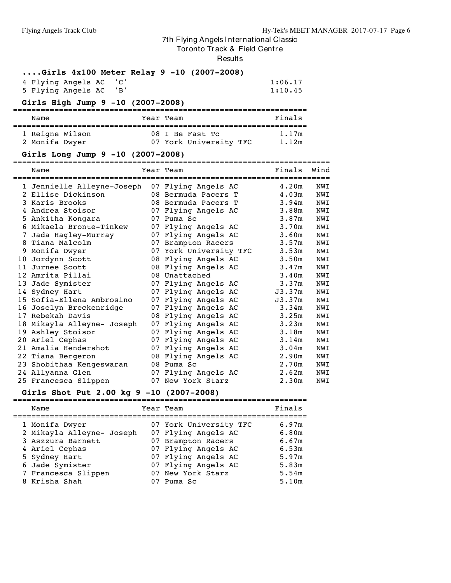Tor onto Track & Field Centre

Results

**....Girls 4x100 Meter Relay 9 -10 (2007-2008)**

| 4 Flying Angels AC 'C' |  | 1:06.17 |
|------------------------|--|---------|
| 5 Flying Angels AC 'B' |  | 1:10.45 |

## **Girls High Jump 9 -10 (2007-2008)**

| Name            |  | Year Team |                        | Finals |
|-----------------|--|-----------|------------------------|--------|
| 1 Reigne Wilson |  |           | 08 I Be Fast Tc        | 1.17m  |
| 2 Monifa Dwyer  |  |           | 07 York University TFC | 1.12m  |

## **Girls Long Jump 9 -10 (2007-2008)**

|    | Name                       |    | Year Team              | Finals            | Wind |
|----|----------------------------|----|------------------------|-------------------|------|
|    | 1 Jennielle Alleyne-Joseph |    | 07 Flying Angels AC    | 4.20m             | NWI  |
|    | 2 Ellise Dickinson         |    | 08 Bermuda Pacers T    | 4.03m             | NWI  |
| 3  | Karis Brooks               |    | 08 Bermuda Pacers T    | 3.94m             | NWI  |
| 4  | Andrea Stoisor             |    | 07 Flying Angels AC    | 3.88 <sub>m</sub> | NWI  |
|    | 5 Ankitha Kongara          |    | 07 Puma Sc             | 3.87m             | NWI  |
| 6  | Mikaela Bronte-Tinkew      |    | 07 Flying Angels AC    | 3.70 <sub>m</sub> | NWI  |
| 7  | Jada Hagley-Murray         |    | 07 Flying Angels AC    | 3.60m             | NWI  |
|    | 8 Tiana Malcolm            |    | 07 Brampton Racers     | 3.57m             | NWI  |
| 9  | Monifa Dwyer               |    | 07 York University TFC | 3.53m             | NWI  |
| 10 | Jordynn Scott              |    | 08 Flying Angels AC    | 3.50m             | NWI  |
| 11 | Jurnee Scott               |    | 08 Flying Angels AC    | 3.47m             | NWI  |
| 12 | Amrita Pillai              |    | 08 Unattached          | 3.40m             | NWI  |
|    | 13 Jade Symister           |    | 07 Flying Angels AC    | 3.37m             | NWI  |
|    | 14 Sydney Hart             |    | 07 Flying Angels AC    | J3.37m            | NWI  |
|    | 15 Sofia-Ellena Ambrosino  |    | 07 Flying Angels AC    | J3.37m            | NWI  |
|    | 16 Joselyn Breckenridge    |    | 07 Flying Angels AC    | 3.34m             | NWI  |
|    | 17 Rebekah Davis           |    | 08 Flying Angels AC    | 3.25m             | NWI  |
|    | 18 Mikayla Alleyne- Joseph | 07 | Flying Angels AC       | 3.23m             | NWI  |
|    | 19 Ashley Stoisor          |    | 07 Flying Angels AC    | 3.18m             | NWI  |
|    | 20 Ariel Cephas            |    | 07 Flying Angels AC    | 3.14m             | NWI  |
|    | 21 Amalia Hendershot       |    | 07 Flying Angels AC    | 3.04m             | NWI  |
|    | 22 Tiana Bergeron          |    | 08 Flying Angels AC    | 2.90m             | NWI  |
|    | 23 Shobithaa Kengeswaran   |    | 08 Puma Sc             | 2.70m             | NWI  |
|    | 24 Allyanna Glen           |    | 07 Flying Angels AC    | 2.62m             | NWI  |
|    | 25 Francesca Slippen       |    | 07 New York Starz      | 2.30m             | NWI  |

#### **Girls Shot Put 2.00 kg 9 -10 (2007-2008)**

|  | GIFIS SNOT PUT 2.00 KG 9 -10 (2007-2008) |    |                        |        |
|--|------------------------------------------|----|------------------------|--------|
|  | Name                                     |    | Year Team              | Finals |
|  | 1 Monifa Dwyer                           |    | 07 York University TFC | 6.97m  |
|  | 2 Mikayla Alleyne- Joseph                |    | 07 Flying Angels AC    | 6.80m  |
|  | 3 Aszzura Barnett                        |    | 07 Brampton Racers     | 6.67m  |
|  | 4 Ariel Cephas                           |    | 07 Flying Angels AC    | 6.53m  |
|  | 5 Sydney Hart                            |    | 07 Flying Angels AC    | 5.97m  |
|  | 6 Jade Symister                          |    | 07 Flying Angels AC    | 5.83m  |
|  | 7 Francesca Slippen                      |    | 07 New York Starz      | 5.54m  |
|  | 8 Krisha Shah                            | 07 | Puma Sc                | 5.10m  |
|  |                                          |    |                        |        |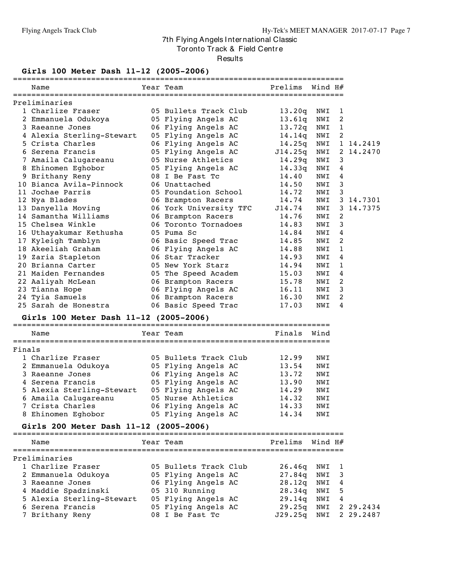Tor onto Track & Field Centre

Results

## **Girls 100 Meter Dash 11-12 (2005-2006)**

|    | ====================<br>Name           | ==============================<br>Year Team | Prelims Wind H# |     |              |           |
|----|----------------------------------------|---------------------------------------------|-----------------|-----|--------------|-----------|
|    | Preliminaries                          |                                             |                 |     |              |           |
|    | 1 Charlize Fraser                      | 05 Bullets Track Club                       | 13.20q          | NWI | 1            |           |
|    | 2 Emmanuela Odukoya                    | 05 Flying Angels AC                         | 13.61q          | NWI | 2            |           |
|    | 3 Raeanne Jones                        | 06 Flying Angels AC                         | 13.72q          | NWI | $\mathbf{1}$ |           |
|    | 4 Alexia Sterling-Stewart              | 05 Flying Angels AC                         | 14.14q          | NWI | 2            |           |
|    | 5 Crista Charles                       | 06 Flying Angels AC                         | 14.25q          | NWI |              | 1 14,2419 |
|    | 6 Serena Francis                       | 05 Flying Angels AC                         | J14.25q         | NWI |              | 2 14.2470 |
|    | 7 Amaila Calugareanu                   | 05 Nurse Athletics                          | 14.29q          | NWI | 3            |           |
|    | 8 Ehinomen Eghobor                     | 05 Flying Angels AC                         | 14.33q          | NWI | 4            |           |
|    | 9 Brithany Reny                        | 08 I Be Fast Tc                             | 14.40           | NWI | 4            |           |
|    | 10 Bianca Avila-Pinnock                | 06 Unattached                               | 14.50           | NWI | 3            |           |
| 11 | Jochae Parris                          | 05 Foundation School                        | 14.72           | NWI | 3            |           |
|    | 12 Nya Blades                          | 06 Brampton Racers                          | 14.74           | NWI |              | 3 14.7301 |
|    | 13 Danyella Moving                     | 06 York University TFC                      | J14.74          | NWI |              | 3 14.7375 |
|    | 14 Samantha Williams                   | 06 Brampton Racers                          | 14.76           | NWI | 2            |           |
|    | 15 Chelsea Winkle                      | 06 Toronto Tornadoes                        | 14.83           | NWI | 3            |           |
|    | 16 Uthayakumar Kethusha                | 05 Puma Sc                                  | 14.84           | NWI | 4            |           |
|    | 17 Kyleigh Tamblyn                     | 06 Basic Speed Trac                         | 14.85           | NWI | 2            |           |
|    | 18 Akeeliah Graham                     | 06 Flying Angels AC                         | 14.88           | NWI | 1            |           |
|    | 19 Zaria Stapleton                     | 06 Star Tracker                             | 14.93           | NWI | 4            |           |
|    | 20 Brianna Carter                      | 05 New York Starz                           | 14.94           | NWI | 1            |           |
|    | 21 Maiden Fernandes                    | 05 The Speed Academ                         | 15.03           | NWI | 4            |           |
|    | 22 Aaliyah McLean                      | 06 Brampton Racers                          | 15.78           | NWI | 2            |           |
|    | 23 Tianna Hope                         | 06 Flying Angels AC                         | 16.11           | NWI | 3            |           |
|    | 24 Tyia Samuels                        | 06 Brampton Racers                          | 16.30           | NWI | 2            |           |
|    | 25 Sarah de Honestra                   | 06 Basic Speed Trac                         | 17.03           | NWI | 4            |           |
|    | Girls 100 Meter Dash 11-12 (2005-2006) |                                             |                 |     |              |           |

|        | Name                      | Year Team             | Finals | Wind |
|--------|---------------------------|-----------------------|--------|------|
| Finals |                           |                       |        |      |
|        | 1 Charlize Fraser         | 05 Bullets Track Club | 12.99  | NWI  |
|        | 2 Emmanuela Odukoya       | 05 Flying Angels AC   | 13.54  | NWI  |
|        | 3 Raeanne Jones           | 06 Flying Angels AC   | 13.72  | NWI  |
|        | 4 Serena Francis          | 05 Flying Angels AC   | 13.90  | NWI  |
|        | 5 Alexia Sterling-Stewart | 05 Flying Angels AC   | 14.29  | NWI  |
|        | 6 Amaila Calugareanu      | 05 Nurse Athletics    | 14.32  | NWI  |
|        | 7 Crista Charles          | 06 Flying Angels AC   | 14.33  | NWI  |
|        | 8 Ehinomen Eghobor        | 05 Flying Angels AC   | 14.34  | NWI  |

#### **Girls 200 Meter Dash 11-12 (2005-2006)**

========================================================================

| Name                      | Year Team             | Prelims               | Wind H# |   |               |
|---------------------------|-----------------------|-----------------------|---------|---|---------------|
| Preliminaries             |                       |                       |         |   |               |
| 1 Charlize Fraser         | 05 Bullets Track Club | 26.46q                | NWI 1   |   |               |
| 2 Emmanuela Odukoya       | 05 Flying Angels AC   | 27.84g NWI 3          |         |   |               |
| 3 Raeanne Jones           | 06 Flying Angels AC   | 28.12q                | NWI 4   |   |               |
| 4 Maddie Spadzinski       | 05 310 Running        | 28.34q                | NWI 5   |   |               |
| 5 Alexia Sterling-Stewart | 05 Flying Angels AC   | 29.14q                | NWI     | 4 |               |
| 6 Serena Francis          | 05 Flying Angels AC   | 29.25q                |         |   | NWI 2 29.2434 |
| 7 Brithany Reny           | 08 I Be Fast Tc       | J29.25a NWI 2 29.2487 |         |   |               |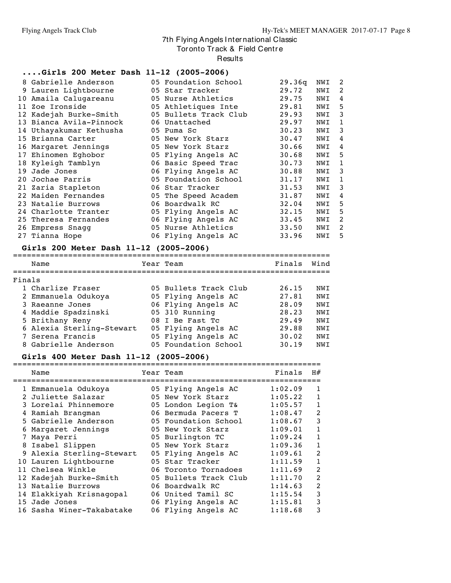Tor onto Track & Field Centre

**Results** 

#### **....Girls 200 Meter Dash 11-12 (2005-2006)**

|    | 8 Gabrielle Anderson    | 05 Foundation School  | 29.36q | NWI | 2            |
|----|-------------------------|-----------------------|--------|-----|--------------|
|    | 9 Lauren Lightbourne    | 05 Star Tracker       | 29.72  | NWI | 2            |
| 10 | Amaila Calugareanu      | 05 Nurse Athletics    | 29.75  | NWI | 4            |
| 11 | Zoe Ironside            | 05 Athletiques Inte   | 29.81  | NWI | 5            |
|    | 12 Kadejah Burke-Smith  | 05 Bullets Track Club | 29.93  | NWI | 3            |
|    | 13 Bianca Avila-Pinnock | 06 Unattached         | 29.97  | NWI | 1            |
|    | 14 Uthayakumar Kethusha | 05 Puma Sc            | 30.23  | NWI | 3            |
|    | 15 Brianna Carter       | 05 New York Starz     | 30.47  | NWI | 4            |
|    | 16 Margaret Jennings    | 05 New York Starz     | 30.66  | NWI | 4            |
|    | 17 Ehinomen Eghobor     | 05 Flying Angels AC   | 30.68  | NWI | 5            |
|    | 18 Kyleigh Tamblyn      | 06 Basic Speed Trac   | 30.73  | NWI | 1            |
| 19 | Jade Jones              | 06 Flying Angels AC   | 30.88  | NWI | 3            |
| 20 | Jochae Parris           | 05 Foundation School  | 31.17  | NWI | $\mathbf{1}$ |
|    | 21 Zaria Stapleton      | 06 Star Tracker       | 31.53  | NWI | 3            |
|    | 22 Maiden Fernandes     | 05 The Speed Academ   | 31.87  | NWI | 4            |
|    | 23 Natalie Burrows      | 06 Boardwalk RC       | 32.04  | NWI | 5            |
|    | 24 Charlotte Tranter    | 05 Flying Angels AC   | 32.15  | NWI | 5            |
| 25 | Theresa Fernandes       | 06 Flying Angels AC   | 33.45  | NWI | 2            |
|    | 26 Empress Snagg        | 05 Nurse Athletics    | 33.50  | NWI | 2            |
|    | 27 Tianna Hope          | 06 Flying Angels AC   | 33.96  | NWI | 5            |
|    |                         |                       |        |     |              |

## **Girls 200 Meter Dash 11-12 (2005-2006)**

|        | UILIS ZUU MCCCI DUSH II-IZ (ZUUJ-ZUUU) |                       |        |      |
|--------|----------------------------------------|-----------------------|--------|------|
|        | Name                                   | Year Team             | Finals | Wind |
| Finals |                                        |                       |        |      |
|        | 1 Charlize Fraser                      | 05 Bullets Track Club | 26.15  | NWI  |
|        | 2 Emmanuela Odukoya                    | 05 Flying Angels AC   | 27.81  | NWI  |
|        | 3 Raeanne Jones                        | 06 Flying Angels AC   | 28.09  | NWI  |
|        | 4 Maddie Spadzinski                    | 05 310 Running        | 28.23  | NWI  |
|        | 5 Brithany Reny                        | 08 I Be Fast Tc       | 29.49  | NWI  |
|        | 6 Alexia Sterling-Stewart              | 05 Flying Angels AC   | 29.88  | NWI  |
|        | 7 Serena Francis                       | 05 Flying Angels AC   | 30.02  | NWI  |
|        | 8 Gabrielle Anderson                   | 05 Foundation School  | 30.19  | NWI  |

#### **Girls 400 Meter Dash 11-12 (2005-2006)**

|   | Name                      | Year Team             | Finals  | H#             |
|---|---------------------------|-----------------------|---------|----------------|
|   | 1 Emmanuela Odukoya       | 05 Flying Angels AC   | 1:02.09 | 1              |
|   | 2 Juliette Salazar        | 05 New York Starz     | 1:05.22 | 1              |
|   | 3 Lorelai Phinnemore      | 05 London Legion T&   | 1:05.57 | 1              |
|   | 4 Ramiah Brangman         | 06 Bermuda Pacers T   | 1:08.47 | 2              |
|   | 5 Gabrielle Anderson      | 05 Foundation School  | 1:08.67 | 3              |
| 6 | Margaret Jennings         | 05 New York Starz     | 1:09.01 | 1              |
|   | Maya Perri                | 05 Burlington TC      | 1:09.24 | 1              |
|   | 8 Isabel Slippen          | 05 New York Starz     | 1:09.36 | 1              |
|   | 9 Alexia Sterling-Stewart | 05 Flying Angels AC   | 1:09.61 | 2              |
|   | 10 Lauren Lightbourne     | 05 Star Tracker       | 1:11.59 | 1              |
|   | 11 Chelsea Winkle         | 06 Toronto Tornadoes  | 1:11.69 | 2              |
|   | 12 Kadejah Burke-Smith    | 05 Bullets Track Club | 1:11.70 | $\overline{2}$ |
|   | 13 Natalie Burrows        | 06 Boardwalk RC       | 1:14.63 | 2              |
|   | 14 Elakkiyah Krisnagopal  | 06 United Tamil SC    | 1:15.54 | 3              |
|   | 15 Jade Jones             | 06 Flying Angels AC   | 1:15.81 | 3              |
|   | 16 Sasha Winer-Takabatake | 06 Flying Angels AC   | 1:18.68 | 3              |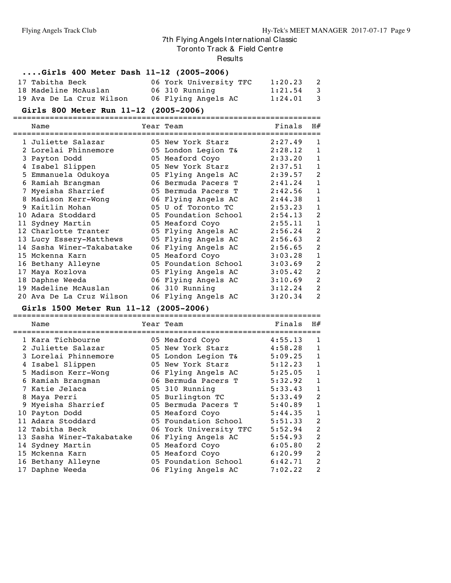#### Tor onto Track & Field Centre

**Results** 

#### **....Girls 400 Meter Dash 11-12 (2005-2006)**

| 17 Tabitha Beck          | 06 York University TFC | $1:20.23$ 2 |  |
|--------------------------|------------------------|-------------|--|
| 18 Madeline McAuslan     | 06 310 Running         | $1:21.54$ 3 |  |
| 19 Ava De La Cruz Wilson | 06 Flying Angels AC    | $1:24.01$ 3 |  |

#### **Girls 800 Meter Run 11-12 (2005-2006)**

===================================================================

|    | Name                      | Year Team            | Finals  | H#             |
|----|---------------------------|----------------------|---------|----------------|
|    | 1 Juliette Salazar        | 05 New York Starz    | 2:27.49 | 1              |
|    | 2 Lorelai Phinnemore      | 05 London Legion T&  | 2:28.12 | 1              |
|    | 3 Payton Dodd             | 05 Meaford Coyo      | 2:33.20 | 1              |
|    | Isabel Slippen            | 05 New York Starz    | 2:37.51 | 1              |
|    | 5 Emmanuela Odukoya       | 05 Flying Angels AC  | 2:39.57 | 2              |
| 6  | Ramiah Brangman           | 06 Bermuda Pacers T  | 2:41.24 | 1              |
|    | 7 Myeisha Sharrief        | 05 Bermuda Pacers T  | 2:42.56 | 1              |
|    | 8 Madison Kerr-Wong       | 06 Flying Angels AC  | 2:44.38 | 1              |
|    | 9 Kaitlin Mohan           | 05 U of Toronto TC   | 2:53.23 | 1              |
|    | 10 Adara Stoddard         | 05 Foundation School | 2:54.13 | 2              |
|    | 11 Sydney Martin          | 05 Meaford Coyo      | 2:55.11 | 1              |
|    | 12 Charlotte Tranter      | 05 Flying Angels AC  | 2:56.24 | $\overline{2}$ |
|    | 13 Lucy Essery-Matthews   | 05 Flying Angels AC  | 2:56.63 | $\overline{2}$ |
|    | 14 Sasha Winer-Takabatake | 06 Flying Angels AC  | 2:56.65 | 2              |
|    | 15 Mckenna Karn           | 05 Meaford Coyo      | 3:03.28 | 1              |
|    | 16 Bethany Alleyne        | 05 Foundation School | 3:03.69 | $\overline{2}$ |
| 17 | Maya Kozlova              | 05 Flying Angels AC  | 3:05.42 | 2              |
|    | 18 Daphne Weeda           | 06 Flying Angels AC  | 3:10.69 | $\overline{2}$ |
|    | 19 Madeline McAuslan      | 06 310 Running       | 3:12.24 | 2              |
|    | 20 Ava De La Cruz Wilson  | 06 Flying Angels AC  | 3:20.34 | 2              |

#### **Girls 1500 Meter Run 11-12 (2005-2006)** ===================================================================

| Name                      | Year Team              | Finals  | H#           |
|---------------------------|------------------------|---------|--------------|
| 1 Kara Tichbourne         | 05 Meaford Coyo        | 4:55.13 | 1            |
| 2 Juliette Salazar        | 05 New York Starz      | 4:58.28 | 1            |
| 3 Lorelai Phinnemore      | 05 London Legion T&    | 5:09.25 | 1            |
| 4 Isabel Slippen          | 05 New York Starz      | 5:12.23 | $\mathbf{1}$ |
| 5 Madison Kerr-Wong       | 06 Flying Angels AC    | 5:25.05 | 1            |
| 6 Ramiah Brangman         | 06 Bermuda Pacers T    | 5:32.92 | $\mathbf{1}$ |
| 7 Katie Jelaca            | 05 310 Running         | 5:33.43 | 1            |
| 8 Maya Perri              | 05 Burlington TC       | 5:33.49 | 2            |
| 9 Myeisha Sharrief        | 05 Bermuda Pacers T    | 5:40.89 | 1            |
| 10 Payton Dodd            | 05 Meaford Coyo        | 5:44.35 | 1            |
| 11 Adara Stoddard         | 05 Foundation School   | 5:51.33 | 2            |
| 12 Tabitha Beck           | 06 York University TFC | 5:52.94 | 2            |
| 13 Sasha Winer-Takabatake | 06 Flying Angels AC    | 5:54.93 | 2            |
| 14 Sydney Martin          | 05 Meaford Coyo        | 6:05.80 | 2            |
| 15 Mckenna Karn           | 05 Meaford Coyo        | 6:20.99 | 2            |
| 16 Bethany Alleyne        | 05 Foundation School   | 6:42.71 | 2            |
| 17 Daphne Weeda           | 06 Flying Angels AC    | 7:02.22 | 2            |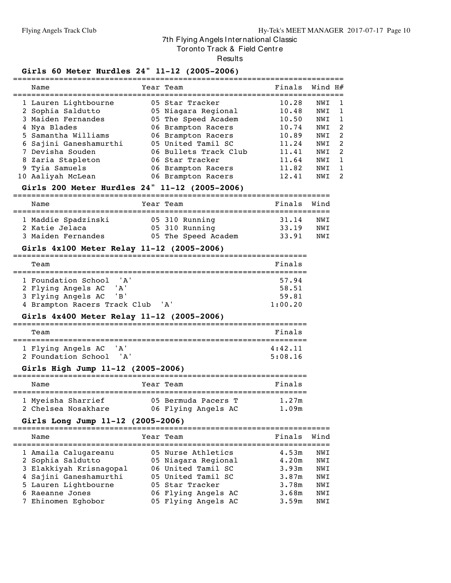Tor onto Track & Field Centre

#### Results

## **Girls 60 Meter Hurdles 24" 11-12 (2005-2006)**

|  | Name                                      | Year Team                              | Finals         | Wind H#    |                    |
|--|-------------------------------------------|----------------------------------------|----------------|------------|--------------------|
|  | 1 Lauren Lightbourne<br>2 Sophia Saldutto | 05 Star Tracker<br>05 Niagara Regional | 10.28<br>10.48 | NWI<br>NWI | -1<br>$\mathbf{1}$ |
|  | 3 Maiden Fernandes                        | 05 The Speed Academ                    | 10.50          | NWI        | $\mathbf{1}$       |
|  | 4 Nya Blades                              | 06 Brampton Racers                     | 10.74          | NWI        | -2                 |
|  | 5 Samantha Williams                       | 06 Brampton Racers                     | 10.89          | NWI        | -2                 |
|  | 6 Sajini Ganeshamurthi                    | 05 United Tamil SC                     | 11.24          | NWI        | -2                 |
|  | 7 Devisha Souden                          | 06 Bullets Track Club                  | 11.41          | NWI        | -2                 |
|  | 8 Zaria Stapleton                         | 06 Star Tracker                        | 11.64          | NWI        | $\overline{1}$     |
|  | 9 Tyia Samuels                            | 06 Brampton Racers                     | 11.82          | NWI        | $\mathbf{1}$       |
|  | 10 Aaliyah McLean                         | 06 Brampton Racers                     | 12.41          | NWI        | 2                  |
|  |                                           |                                        |                |            |                    |

#### **Girls 200 Meter Hurdles 24" 11-12 (2005-2006)**

| Name                                                        | Year Team |                                                         | Finals Wind             |                   |
|-------------------------------------------------------------|-----------|---------------------------------------------------------|-------------------------|-------------------|
| 1 Maddie Spadzinski<br>2 Katie Jelaca<br>3 Maiden Fernandes |           | 05 310 Running<br>05 310 Running<br>05 The Speed Academ | 31.14<br>33.19<br>33.91 | NWT<br>NWI<br>NWT |

#### **Girls 4x100 Meter Relay 11-12 (2005-2006)**

| Team                                 | Finals  |
|--------------------------------------|---------|
|                                      |         |
| 1 Foundation School<br>' A '         | 57.94   |
| 2 Flying Angels AC<br>' A '          | 58.51   |
| 3 Flying Angels AC<br>' R '          | 59.81   |
| 4 Brampton Racers Track Club<br>' א' | 1:00.20 |

### **Girls 4x400 Meter Relay 11-12 (2005-2006)**

| Team                |      | Finals  |
|---------------------|------|---------|
|                     |      |         |
| 1 Flying Angels AC  | 'A'  | 4:42.11 |
| 2 Foundation School | ' א' | 5:08.16 |

#### **Girls High Jump 11-12 (2005-2006)**

| Name                | Year Team |                     | Finals |
|---------------------|-----------|---------------------|--------|
| 1 Myeisha Sharrief  |           | 05 Bermuda Pacers T | 1.27m  |
| 2 Chelsea Nosakhare |           | 06 Flying Angels AC | 1.09m  |

#### **Girls Long Jump 11-12 (2005-2006)**

|  | Name                    | Year Team           | Finals | Wind |
|--|-------------------------|---------------------|--------|------|
|  | 1 Amaila Calugareanu    | 05 Nurse Athletics  | 4.53m  | NWI  |
|  | 2 Sophia Saldutto       | 05 Niagara Regional | 4.20m  | NWI  |
|  | 3 Elakkiyah Krisnaqopal | 06 United Tamil SC  | 3.93m  | NWI  |
|  | 4 Sajini Ganeshamurthi  | 05 United Tamil SC  | 3.87m  | NWI  |
|  | 5 Lauren Lightbourne    | 05 Star Tracker     | 3.78m  | NWI  |
|  | 6 Raeanne Jones         | 06 Flying Angels AC | 3.68m  | NWI  |
|  | 7 Ehinomen Eghobor      | 05 Flying Angels AC | 3.59m  | NWI  |
|  |                         |                     |        |      |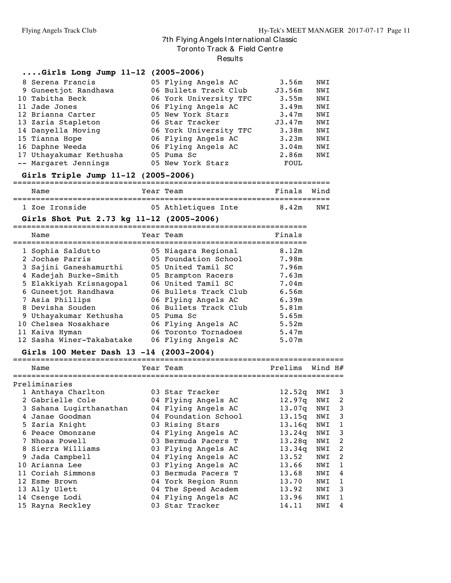Tor onto Track & Field Centre

Results

| $Girls Long Jump 11-12 (2005-2006)$      |                           |                   |     |
|------------------------------------------|---------------------------|-------------------|-----|
| 8 Serena Francis                         | 05 Flying Angels AC       | 3.56m             | NWI |
| 9 Guneetjot Randhawa                     | 06 Bullets Track Club     | J3.56m            | NWI |
| 10 Tabitha Beck                          | 06 York University TFC    | 3.55m             | NWI |
| 11 Jade Jones                            | 06 Flying Angels AC       | 3.49m             | NWI |
| 12 Brianna Carter                        | 05 New York Starz         | 3.47m             | NWI |
| 13 Zaria Stapleton                       | 06 Star Tracker           | J3.47m            | NWI |
| 14 Danyella Moving                       | 06 York University TFC    | 3.38m             | NWI |
| 15 Tianna Hope                           | 06 Flying Angels AC       | 3.23m             | NWI |
| 16 Daphne Weeda                          | 06 Flying Angels AC       | 3.04m             | NWI |
| 17 Uthayakumar Kethusha                  | 05 Puma Sc                | 2.86 <sub>m</sub> | NWI |
| -- Margaret Jennings                     | 05 New York Starz         | FOUL              |     |
| Girls Triple Jump 11-12 (2005-2006)      |                           |                   |     |
| Name                                     | Year Team                 | Finals Wind       |     |
| 1 Zoe Ironside                           | 05 Athletiques Inte 8.42m |                   | NWI |
| Girls Shot Put 2.73 kg 11-12 (2005-2006) |                           |                   |     |
| Name                                     | Year Team                 | Finals            |     |
|                                          |                           |                   |     |

|                                                                                                                                                                                                                                                                                    | 8.12m                                                                                                                                                                                                                                                                      |
|------------------------------------------------------------------------------------------------------------------------------------------------------------------------------------------------------------------------------------------------------------------------------------|----------------------------------------------------------------------------------------------------------------------------------------------------------------------------------------------------------------------------------------------------------------------------|
|                                                                                                                                                                                                                                                                                    | 7.98m                                                                                                                                                                                                                                                                      |
|                                                                                                                                                                                                                                                                                    | 7.96m                                                                                                                                                                                                                                                                      |
|                                                                                                                                                                                                                                                                                    | 7.63m                                                                                                                                                                                                                                                                      |
|                                                                                                                                                                                                                                                                                    | 7.04m                                                                                                                                                                                                                                                                      |
|                                                                                                                                                                                                                                                                                    | 6.56m                                                                                                                                                                                                                                                                      |
|                                                                                                                                                                                                                                                                                    | 6.39m                                                                                                                                                                                                                                                                      |
|                                                                                                                                                                                                                                                                                    | 5.81m                                                                                                                                                                                                                                                                      |
|                                                                                                                                                                                                                                                                                    | 5.65m                                                                                                                                                                                                                                                                      |
|                                                                                                                                                                                                                                                                                    | 5.52m                                                                                                                                                                                                                                                                      |
|                                                                                                                                                                                                                                                                                    | 5.47m                                                                                                                                                                                                                                                                      |
|                                                                                                                                                                                                                                                                                    | 5.07m                                                                                                                                                                                                                                                                      |
| 1 Sophia Saldutto<br>2 Jochae Parris<br>3 Sajini Ganeshamurthi<br>4 Kadejah Burke-Smith<br>5 Elakkiyah Krisnaqopal<br>6 Guneetjot Randhawa<br>7 Asia Phillips<br>8 Devisha Souden<br>9 Uthayakumar Kethusha<br>10 Chelsea Nosakhare<br>11 Kaiva Hyman<br>12 Sasha Winer-Takabatake | 05 Niagara Regional<br>05 Foundation School<br>05 United Tamil SC<br>05 Brampton Racers<br>06 United Tamil SC<br>06 Bullets Track Club<br>06 Flying Angels AC<br>06 Bullets Track Club<br>05 Puma Sc<br>06 Flying Angels AC<br>06 Toronto Tornadoes<br>06 Flying Angels AC |

#### **Girls 100 Meter Dash 13 -14 (2003-2004)**

|   | Name                    | Year Team            | Prelims            | Wind H# |    |
|---|-------------------------|----------------------|--------------------|---------|----|
|   | Preliminaries           |                      |                    |         |    |
|   | 1 Anthaya Charlton      | 03 Star Tracker      | 12.52q             | NWI     | -3 |
|   | Gabrielle Cole          | 04 Flying Angels AC  | 12.97q             | NWI     | 2  |
|   | 3 Sahana Lugirthanathan | 04 Flying Angels AC  | 13.07 <sub>q</sub> | NWI     | 3  |
| 4 | Janae Goodman           | 04 Foundation School | 13.15q             | NWI     | 3  |
|   | 5 Zaria Knight          | 03 Rising Stars      | 13.16q             | NWI     | 1  |
|   | Peace Omonzane          | 04 Flying Angels AC  | 13.24q             | NWI     | 3  |
|   | Nhoaa Powell            | 03 Bermuda Pacers T  | 13.28q             | NWI     | 2  |
| 8 | Sierra Williams         | 03 Flying Angels AC  | 13.34q             | NWI     | 2  |
| 9 | Jada Campbell           | 04 Flying Angels AC  | 13.52              | NWI     | 2  |
|   | 10 Arianna Lee          | 03 Flying Angels AC  | 13.66              | NWI     | 1  |
|   | 11 Coriah Simmons       | 03 Bermuda Pacers T  | 13.68              | NWI     | 4  |
|   | 12 Esme Brown           | 04 York Region Runn  | 13.70              | NWI     | 1  |
|   | 13 Ally Ulett           | 04 The Speed Academ  | 13.92              | NWI     | 3  |
|   | 14 Csenge Lodi          | 04 Flying Angels AC  | 13.96              | NWI     | 1  |
|   | 15 Rayna Reckley        | 03 Star Tracker      | 14.11              | NWI     | 4  |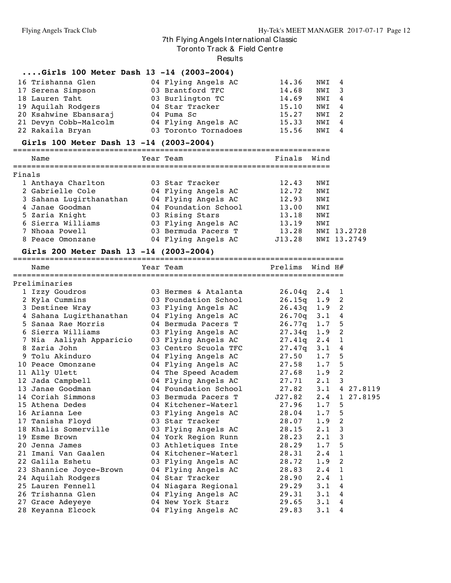Tor onto Track & Field Centre

Results

## **....Girls 100 Meter Dash 13 -14 (2003-2004)**

| 16 Trishanna Glen     | 04 Flying Angels AC  | 14.36 | NWI 4 |                |
|-----------------------|----------------------|-------|-------|----------------|
| 17 Serena Simpson     | 03 Brantford TFC     | 14.68 | NWI 3 |                |
| 18 Lauren Taht        | 03 Burlington TC     | 14.69 | NWI 4 |                |
| 19 Aquilah Rodgers    | 04 Star Tracker      | 15.10 | NWI 4 |                |
| 20 Ksahwine Ebansaraj | 04 Puma Sc           | 15.27 | NWI 2 |                |
| 21 Devyn Cobb-Malcolm | 04 Flying Angels AC  | 15.33 | NWI 4 |                |
| 22 Rakaila Bryan      | 03 Toronto Tornadoes | 15.56 | NWI   | $\overline{4}$ |

#### **Girls 100 Meter Dash 13 -14 (2003-2004)**

| Name                    | Year Team            | Finals Wind |             |
|-------------------------|----------------------|-------------|-------------|
| Finals                  |                      |             |             |
| 1 Anthaya Charlton      | 03 Star Tracker      | 12.43       | NWI         |
| 2 Gabrielle Cole        | 04 Flying Angels AC  | 12.72       | NWI         |
| 3 Sahana Lugirthanathan | 04 Flying Angels AC  | 12.93       | NWI         |
| 4 Janae Goodman         | 04 Foundation School | 13.00       | NWI         |
| 5 Zaria Knight          | 03 Rising Stars      | 13.18       | NWI         |
| 6 Sierra Williams       | 03 Flying Angels AC  | 13.19       | NWI         |
| 7 Nhoaa Powell          | 03 Bermuda Pacers T  | 13.28       | NWI 13.2728 |
| 8 Peace Omonzane        | 04 Flying Angels AC  | J13.28      | NWI 13.2749 |

#### **Girls 200 Meter Dash 13 -14 (2003-2004)**

| 01115 200 MCCCI DUSH 13 -17 (2003-2007) |                      |                      |                  |                            |               |
|-----------------------------------------|----------------------|----------------------|------------------|----------------------------|---------------|
| Name                                    | Year Team            | Prelims              | Wind $H#$        |                            |               |
|                                         |                      |                      |                  |                            |               |
| Preliminaries                           |                      |                      |                  |                            |               |
| 1 Izzy Goudros                          | 03 Hermes & Atalanta | 26.04q               | $2.4 \quad 1$    |                            |               |
| 2 Kyla Cummins                          | 03 Foundation School | 26.15q               | $1.9$ 2          |                            |               |
| 3 Destinee Wray                         | 03 Flying Angels AC  | 26.43q               | $1.9$ 2          |                            |               |
| 4 Sahana Lugirthanathan                 | 04 Flying Angels AC  | 26.70q               | 3.14             |                            |               |
| 5 Sanaa Rae Morris                      | 04 Bermuda Pacers T  | 26.77q               | 1.7              | 5                          |               |
| 6 Sierra Williams                       | 03 Flying Angels AC  | 27.34q               | 1.9              | $\overline{\phantom{0}}^2$ |               |
| 7 Nia  Aaliyah Apparicio                | 03 Flying Angels AC  | 27.41q               | $2 \cdot 4$      | $\overline{1}$             |               |
| 8 Zaria John                            | 03 Centro Scuola TFC | 27.47q               | $3 \cdot 1$      | 4                          |               |
| 9 Tolu Akinduro                         | 04 Flying Angels AC  | 27.50                | 1.7              | 5                          |               |
| 10 Peace Omonzane                       | 04 Flying Angels AC  | 27.58                | 1.7 <sub>5</sub> |                            |               |
| 11 Ally Ulett                           | 04 The Speed Academ  | 27.68                | $1.9$ 2          |                            |               |
| 12 Jada Campbell                        | 04 Flying Angels AC  | 27.71                | $2.1 \quad 3$    |                            |               |
| 13 Janae Goodman                        | 04 Foundation School | 27.82                |                  |                            | 3.1 4 27.8119 |
| 14 Coriah Simmons                       | 03 Bermuda Pacers T  | J27.82 2.4 1 27.8195 |                  |                            |               |
| 15 Athena Dedes                         | 04 Kitchener-Waterl  | $27.96$ 1.7 5        |                  |                            |               |
| 16 Arianna Lee                          | 03 Flying Angels AC  | 28.04                | 1.7 <sub>5</sub> |                            |               |
| 17 Tanisha Floyd                        | 03 Star Tracker      | 28.07                | $1.9$ 2          |                            |               |
| 18 Khalis Somerville                    | 03 Flying Angels AC  | 28.15                | $2 \cdot 1$      | 3                          |               |
| 19 Esme Brown                           | 04 York Region Runn  | 28.23                | $2 \cdot 1$      | 3                          |               |
| 20 Jenna James                          | 03 Athletiques Inte  | 28.29                | 1.7              | 5                          |               |
| 21 Imani Van Gaalen                     | 04 Kitchener-Waterl  | 28.31                | $2.4 \quad 1$    |                            |               |
| 22 Galila Eshetu                        | 03 Flying Angels AC  | 28.72                | $1.9$ 2          |                            |               |
| 23 Shannice Joyce-Brown                 | 04 Flying Angels AC  | 28.83                | $2 \cdot 4$      | $\overline{1}$             |               |
| 24 Aquilah Rodgers                      | 04 Star Tracker      | 28.90                | $2 \cdot 4$      | 1                          |               |
| 25 Lauren Fennell                       | 04 Niagara Regional  | 29.29                | $3 \cdot 1$      | $\overline{4}$             |               |
| 26 Trishanna Glen                       | 04 Flying Angels AC  | $29.31$ $3.1$        |                  | 4                          |               |
| 27 Grace Adeyeye                        | 04 New York Starz    | 29.65                | $3 \cdot 1$      | 4                          |               |
| 28 Keyanna Elcock                       | 04 Flying Angels AC  | 29.83                | $3 \cdot 1$      | 4                          |               |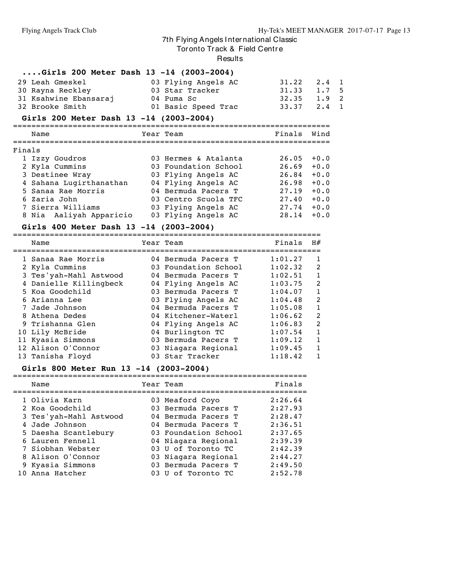Tor onto Track & Field Centre

#### Results

## **....Girls 200 Meter Dash 13 -14 (2003-2004)**

| 29 Leah Gmeskel       | 03 Flying Angels AC | 31.22 2.4 1     |  |
|-----------------------|---------------------|-----------------|--|
| 30 Rayna Reckley      | 03 Star Tracker     | $31.33 \t1.75$  |  |
| 31 Ksahwine Ebansaraj | 04 Puma Sc          | $32.35$ 1.9 2   |  |
| 32 Brooke Smith       | 01 Basic Speed Trac | $33.37$ $2.4$ 1 |  |

#### **Girls 200 Meter Dash 13 -14 (2003-2004)**

| Name                    |  | Finals                                                                                                                                                                                                                                            | Wind   |
|-------------------------|--|---------------------------------------------------------------------------------------------------------------------------------------------------------------------------------------------------------------------------------------------------|--------|
| Finals                  |  |                                                                                                                                                                                                                                                   |        |
| 1 Izzy Goudros          |  | 26.05                                                                                                                                                                                                                                             | $+0.0$ |
| 2 Kyla Cummins          |  | 26.69                                                                                                                                                                                                                                             | $+0.0$ |
| 3 Destinee Wray         |  | 26.84                                                                                                                                                                                                                                             | $+0.0$ |
| 4 Sahana Lugirthanathan |  | 26.98                                                                                                                                                                                                                                             | $+0.0$ |
| 5 Sanaa Rae Morris      |  | 27.19                                                                                                                                                                                                                                             | $+0.0$ |
| 6 Zaria John            |  | 27.40                                                                                                                                                                                                                                             | $+0.0$ |
| 7 Sierra Williams       |  | 27.74                                                                                                                                                                                                                                             | $+0.0$ |
| 8 Nia Aaliyah Apparicio |  | 28.14                                                                                                                                                                                                                                             | $+0.0$ |
|                         |  | $51113$ 200 meter dash 13 -17 (2003-2007)<br>Year Team<br>03 Hermes & Atalanta<br>03 Foundation School<br>03 Flying Angels AC<br>04 Flying Angels AC<br>04 Bermuda Pacers T<br>03 Centro Scuola TFC<br>03 Flying Angels AC<br>03 Flying Angels AC |        |

#### **Girls 400 Meter Dash 13 -14 (2003-2004)**

| Name                   | Year Team            | Finals  | H#           |
|------------------------|----------------------|---------|--------------|
| 1 Sanaa Rae Morris     | 04 Bermuda Pacers T  | 1:01.27 | 1            |
| 2 Kyla Cummins         | 03 Foundation School | 1:02.32 | 2            |
| 3 Tes'yah-Mahl Astwood | 04 Bermuda Pacers T  | 1:02.51 | 1            |
| 4 Danielle Killingbeck | 04 Flying Angels AC  | 1:03.75 | 2            |
| 5 Koa Goodchild        | 03 Bermuda Pacers T  | 1:04.07 | $\mathbf{1}$ |
| 6 Arianna Lee          | 03 Flying Angels AC  | 1:04.48 | 2            |
| 7 Jade Johnson         | 04 Bermuda Pacers T  | 1:05.08 | 1            |
| 8 Athena Dedes         | 04 Kitchener-Waterl  | 1:06.62 | 2            |
| 9 Trishanna Glen       | 04 Flying Angels AC  | 1:06.83 | 2            |
| 10 Lily McBride        | 04 Burlington TC     | 1:07.54 | $\mathbf{1}$ |
| 11 Kyasia Simmons      | 03 Bermuda Pacers T  | 1:09.12 | 1            |
| 12 Alison O'Connor     | 03 Niagara Regional  | 1:09.45 | 1            |
| 13 Tanisha Floyd       | 03 Star Tracker      | 1:18.42 | 1            |
|                        |                      |         |              |

#### **Girls 800 Meter Run 13 -14 (2003-2004)**

| Name                   | Year Team            | Finals  |
|------------------------|----------------------|---------|
| 1 Olivia Karn          | 03 Meaford Coyo      | 2:26.64 |
| 2 Koa Goodchild        | 03 Bermuda Pacers T  | 2:27.93 |
| 3 Tes'yah-Mahl Astwood | 04 Bermuda Pacers T  | 2:28.47 |
| 4 Jade Johnson         | 04 Bermuda Pacers T  | 2:36.51 |
| 5 Daesha Scantlebury   | 03 Foundation School | 2:37.65 |
| 6 Lauren Fennell       | 04 Niagara Regional  | 2:39.39 |
| 7 Siobhan Webster      | 03 U of Toronto TC   | 2:42.39 |
| 8 Alison O'Connor      | 03 Niagara Regional  | 2:44.27 |
| 9 Kyasia Simmons       | 03 Bermuda Pacers T  | 2:49.50 |
| 10 Anna Hatcher        | 03 U of Toronto TC   | 2:52.78 |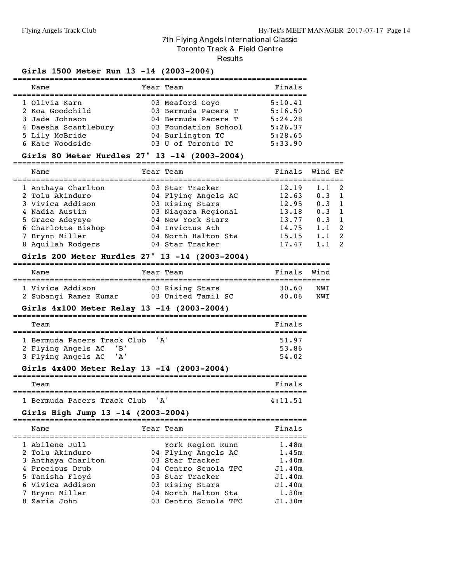Tor onto Track & Field Centre

Results

## **Girls 1500 Meter Run 13 -14 (2003-2004)**

| Name                 | Year Team            | Finals  |
|----------------------|----------------------|---------|
| 1 Olivia Karn        | 03 Meaford Coyo      | 5:10.41 |
| 2 Koa Goodchild      | 03 Bermuda Pacers T  | 5:16.50 |
| 3 Jade Johnson       | 04 Bermuda Pacers T  | 5:24.28 |
| 4 Daesha Scantlebury | 03 Foundation School | 5:26.37 |
| 5 Lily McBride       | 04 Burlington TC     | 5:28.65 |
| 6 Kate Woodside      | 03 U of Toronto TC   | 5:33.90 |

#### **Girls 80 Meter Hurdles 27" 13 -14 (2003-2004)**

| Name               | Year Team           | Finals Wind $H#$ |     |                          |
|--------------------|---------------------|------------------|-----|--------------------------|
| 1 Anthaya Charlton | 03 Star Tracker     | 12.19            | 1.1 | - 2                      |
| 2 Tolu Akinduro    | 04 Flying Angels AC | 12.63            | 0.3 | $\overline{1}$           |
| 3 Vivica Addison   | 03 Rising Stars     | 12.95            | 0.3 | $\overline{1}$           |
| 4 Nadia Austin     | 03 Niagara Regional | 13.18            | 0.3 | $\overline{\phantom{0}}$ |
| 5 Grace Adeyeye    | 04 New York Starz   | 13.77            | 0.3 | $\overline{1}$           |
| 6 Charlotte Bishop | 04 Invictus Ath     | 14.75            | 1.1 | - 2                      |
| 7 Brynn Miller     | 04 North Halton Sta | 15.15            | 1.1 | - 2                      |
| 8 Aquilah Rodgers  | 04 Star Tracker     | 17.47            |     | - 2                      |
|                    |                     |                  |     |                          |

## **Girls 200 Meter Hurdles 27" 13 -14 (2003-2004)**

| Name                  | Year Team          |  | Finals Wind |     |
|-----------------------|--------------------|--|-------------|-----|
| 1 Vivica Addison      | 03 Rising Stars    |  | 30.60       | NWT |
| 2 Subangi Ramez Kumar | 03 United Tamil SC |  | 40.06       | NWT |

#### **Girls 4x100 Meter Relay 13 -14 (2003-2004)**

| Team                                 | Finals |
|--------------------------------------|--------|
|                                      |        |
| 1 Bermuda Pacers Track Club<br>' A ' | 51.97  |
| 2 Flying Angels AC<br>$'$ B $'$      | 53.86  |
| 3 Flying Angels AC<br>' A '          | 54.02  |
|                                      |        |

## **Girls 4x400 Meter Relay 13 -14 (2003-2004)**

| Team |                                 |  | Finals  |
|------|---------------------------------|--|---------|
|      |                                 |  |         |
|      | 1 Bermuda Pacers Track Club 'A' |  | 4:11.51 |

## **Girls High Jump 13 -14 (2003-2004)**

| -------            |                      | ------- |
|--------------------|----------------------|---------|
| 1 Abilene Jull     | York Region Runn     | 1.48m   |
| 2 Tolu Akinduro    | 04 Flying Angels AC  | 1.45m   |
| 3 Anthaya Charlton | 03 Star Tracker      | 1.40m   |
| 4 Precious Drub    | 04 Centro Scuola TFC | J1.40m  |
| 5 Tanisha Floyd    | 03 Star Tracker      | J1.40m  |
| 6 Vivica Addison   | 03 Rising Stars      | J1.40m  |
| 7 Brynn Miller     | 04 North Halton Sta  | 1.30m   |
| 8 Zaria John       | 03 Centro Scuola TFC | J1.30m  |
|                    |                      |         |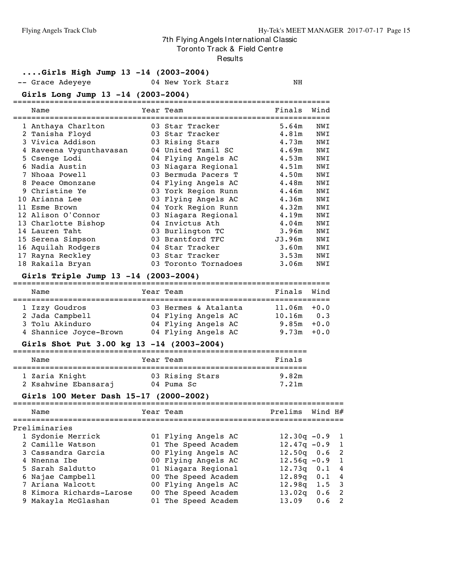Tor onto Track & Field Centre

#### **Results**

#### **....Girls High Jump 13 -14 (2003-2004)**

-- Grace Adeyeye 64 New York Starz NH

#### **Girls Long Jump 13 -14 (2003-2004)**

|    | Name                    | Year Team            | Finals            | Wind |
|----|-------------------------|----------------------|-------------------|------|
|    | 1 Anthaya Charlton      | 03 Star Tracker      | 5.64m             | NWI  |
|    | 2 Tanisha Floyd         | 03 Star Tracker      | 4.81m             | NWI  |
|    | 3 Vivica Addison        | 03 Rising Stars      | 4.73m             | NWI  |
|    | 4 Raveena Vyqunthavasan | 04 United Tamil SC   | 4.69m             | NWI  |
|    | 5 Csenge Lodi           | 04 Flying Angels AC  | 4.53m             | NWI  |
|    | 6 Nadia Austin          | 03 Niagara Regional  | 4.51m             | NWI  |
| 7  | Nhoaa Powell            | 03 Bermuda Pacers T  | 4.50m             | NWI  |
| 8  | Peace Omonzane          | 04 Flying Angels AC  | 4.48m             | NWI  |
|    | 9 Christine Ye          | 03 York Region Runn  | 4.46m             | NWI  |
| 10 | Arianna Lee             | 03 Flying Angels AC  | 4.36m             | NWI  |
|    | 11 Esme Brown           | 04 York Region Runn  | 4.32m             | NWI  |
|    | 12 Alison O'Connor      | 03 Niagara Regional  | 4.19m             | NWI  |
|    | 13 Charlotte Bishop     | 04 Invictus Ath      | 4.04 <sub>m</sub> | NWI  |
| 14 | Lauren Taht             | 03 Burlington TC     | 3.96m             | NWI  |
|    | 15 Serena Simpson       | 03 Brantford TFC     | J3.96m            | NWI  |
|    | 16 Aquilah Rodgers      | 04 Star Tracker      | 3.60m             | NWI  |
|    | 17 Rayna Reckley        | 03 Star Tracker      | 3.53m             | NWI  |
|    | 18 Rakaila Bryan        | 03 Toronto Tornadoes | 3.06m             | NWI  |

#### **Girls Triple Jump 13 -14 (2003-2004)**

| Name                   |  | Year Team            |  |  | Finals Wind    |  |  |
|------------------------|--|----------------------|--|--|----------------|--|--|
|                        |  |                      |  |  |                |  |  |
| 1 Izzy Goudros         |  | 03 Hermes & Atalanta |  |  | $11.06m + 0.0$ |  |  |
| 2 Jada Campbell        |  | 04 Flying Angels AC  |  |  | $10.16m$ $0.3$ |  |  |
| 3 Tolu Akinduro        |  | 04 Flying Angels AC  |  |  | $9.85m + 0.0$  |  |  |
| 4 Shannice Joyce-Brown |  | 04 Flying Angels AC  |  |  | $9.73m + 0.0$  |  |  |

#### **Girls Shot Put 3.00 kg 13 -14 (2003-2004)**

| Name                 | Year Team       | Finals |
|----------------------|-----------------|--------|
| 1 Zaria Knight       | 03 Rising Stars | 9.82m  |
| 2 Ksahwine Ebansaraj | 04 Puma Sc      | 7.21m  |

#### **Girls 100 Meter Dash 15-17 (2000-2002)**

| Name                     | Year Team           | Prelims Wind H#  |     |                          |
|--------------------------|---------------------|------------------|-----|--------------------------|
| Preliminaries            |                     |                  |     |                          |
| 1 Sydonie Merrick        | 01 Flying Angels AC | $12.30q - 0.9$ 1 |     |                          |
| 2 Camille Watson         | 01 The Speed Academ | $12.47q - 0.9$   |     | $\overline{1}$           |
| 3 Cassandra Garcia       | 00 Flying Angels AC | $12.50q$ 0.6     |     | $\overline{2}$           |
| 4 Nnenna Ibe             | 00 Flying Angels AC | $12.56q - 0.9$   |     | $\overline{1}$           |
| 5 Sarah Saldutto         | 01 Niagara Regional | $12.73q$ $0.1$   |     | $\overline{4}$           |
| 6 Najae Campbell         | 00 The Speed Academ | $12.89q$ 0.1     |     | $\overline{4}$           |
| 7 Ariana Walcott         | 00 Flying Angels AC | $12.98q$ 1.5 3   |     |                          |
| 8 Kimora Richards-Larose | 00 The Speed Academ | 13.02q           | 0.6 | $\overline{\phantom{a}}$ |
| 9 Makayla McGlashan      | 01 The Speed Academ | 13.09            | 0.6 | - 2                      |
|                          |                     |                  |     |                          |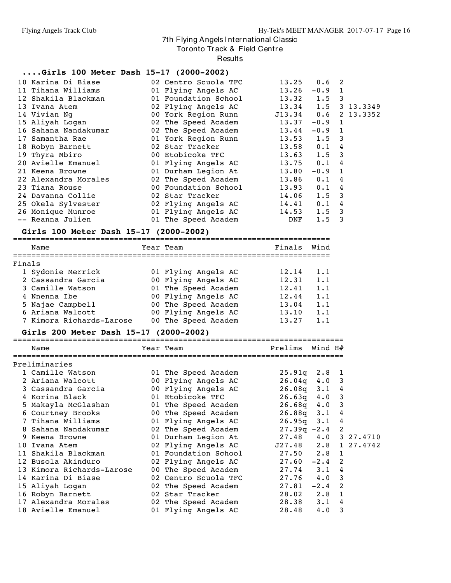Tor onto Track & Field Centre

Results

#### **....Girls 100 Meter Dash 15-17 (2000-2002)**

| 10 Karina Di Biase               02 Centro Scuola TFC |                                          | $13.25$ 0.6 2     |               |  |
|-------------------------------------------------------|------------------------------------------|-------------------|---------------|--|
| 11 Tihana Williams                                    | 01 Flying Angels AC                      | $13.26 -0.9$ 1    |               |  |
| 12 Shakila Blackman                                   | 01 Foundation School                     | $13.32 \t1.5 \t3$ |               |  |
| 13 Ivana Atem                                         |                                          |                   |               |  |
| 14 Vivian Ng                                          | 00 York Region Runn 513.34 0.6 2 13.3352 |                   |               |  |
| 15 Aliyah Logan                                       | 02 The Speed Academ 13.37 -0.9 1         |                   |               |  |
| 16 Sahana Nandakumar                                  | 02 The Speed Academ 13.44 -0.9 1         |                   |               |  |
| 17 Samantha Rae                                       | 01 York Region Runn 13.53 1.5 3          |                   |               |  |
| 18 Robyn Barnett                                      | 02 Star Tracker                          | $13.58$ 0.1 4     |               |  |
| 19 Thyra Mbiro                                        | 00 Etobicoke TFC                         | $13.63$ $1.5$ 3   |               |  |
| 20 Avielle Emanuel                                    | 01 Flying Angels AC                      | $13.75$ 0.1 4     |               |  |
| 21 Keena Browne                                       | 01 Durham Legion At                      | 13.80             | $-0.9$ 1      |  |
| 22 Alexandra Morales                                  | 02 The Speed Academ                      | $13.86$ 0.1 4     |               |  |
| 23 Tiana Rouse                                        | 00 Foundation School                     | $13.93$ 0.1 4     |               |  |
| 24 Davanna Collie                                     | 02 Star Tracker                          | $14.06$ 1.5 3     |               |  |
| 25 Okela Sylvester 102 Flying Angels AC               |                                          | $14.41$ 0.1 4     |               |  |
| 26 Monique Munroe 601 Flying Angels AC                |                                          | $14.53$ $1.5$ 3   |               |  |
| -- Reanna Julien                                      | 01 The Speed Academ DNF                  |                   | $1.5 \quad 3$ |  |

## **Girls 100 Meter Dash 15-17 (2000-2002)**

|        | Name                     |  | Year Team           | Finals | Wind |  |  |  |  |  |  |
|--------|--------------------------|--|---------------------|--------|------|--|--|--|--|--|--|
|        |                          |  |                     |        |      |  |  |  |  |  |  |
| Finals |                          |  |                     |        |      |  |  |  |  |  |  |
|        | 1 Sydonie Merrick        |  | 01 Flying Angels AC | 12.14  | 1.1  |  |  |  |  |  |  |
|        | 2 Cassandra Garcia       |  | 00 Flying Angels AC | 12.31  | 1.1  |  |  |  |  |  |  |
|        | 3 Camille Watson         |  | 01 The Speed Academ | 12.41  | 1.1  |  |  |  |  |  |  |
|        | 4 Nnenna Ibe             |  | 00 Flying Angels AC | 12.44  | 1.1  |  |  |  |  |  |  |
|        | 5 Najae Campbell         |  | 00 The Speed Academ | 13.04  | 1.1  |  |  |  |  |  |  |
|        | 6 Ariana Walcott         |  | 00 Flying Angels AC | 13.10  | 1.1  |  |  |  |  |  |  |
|        | 7 Kimora Richards-Larose |  | 00 The Speed Academ | 13.27  | 1.1  |  |  |  |  |  |  |

## **Girls 200 Meter Dash 15-17 (2000-2002)**

| Name                      | Year Team                                | Prelims           | Wind H#     |   |
|---------------------------|------------------------------------------|-------------------|-------------|---|
| Preliminaries             |                                          |                   |             |   |
| 1 Camille Watson          | 01 The Speed Academ                      | $25.91q$ $2.8$ 1  |             |   |
| 2 Ariana Walcott          | 00 Flying Angels AC                      | $26.04q$ 4.0 3    |             |   |
| 3 Cassandra Garcia        | 00 Flying Angels AC                      | $26.08q$ 3.1 4    |             |   |
| 4 Korina Black            | 01 Etobicoke TFC                         | $26.63q$ 4.0 3    |             |   |
| 5 Makayla McGlashan       | 01 The Speed Academ                      | $26.68q$ 4.0 3    |             |   |
| 6 Courtney Brooks         | 00 The Speed Academ                      | $26.88q$ 3.1 4    |             |   |
| 7 Tihana Williams         | 01 Flying Angels AC                      | $26.95q$ $3.1$ 4  |             |   |
| 8 Sahana Nandakumar       | 02 The Speed Academ                      | $27.39q - 2.4$ 2  |             |   |
| 9 Keena Browne            | 01 Durham Legion At 27.48 4.0 3 27.4710  |                   |             |   |
| 10 Ivana Atem             | 02 Flying Angels AC J27.48 2.8 1 27.4742 |                   |             |   |
| 11 Shakila Blackman       | 01 Foundation School                     | 27.50 2.8 1       |             |   |
| 12 Busola Akinduro        | 02 Flying Angels AC                      | $27.60 -2.4$ 2    |             |   |
| 13 Kimora Richards-Larose | 00 The Speed Academ                      | $27.74$ $3.1$ $4$ |             |   |
| 14 Karina Di Biase        | 02 Centro Scuola TFC                     | $27.76$ 4.0 3     |             |   |
| 15 Aliyah Logan           | 02 The Speed Academ                      | $27.81 - 2.4$ 2   |             |   |
| 16 Robyn Barnett          | 02 Star Tracker                          | $28.02$ $2.8$ 1   |             |   |
| 17 Alexandra Morales      | 02 The Speed Academ                      | 28.38 3.1 4       |             |   |
| 18 Avielle Emanuel        | 01 Flying Angels AC                      | 28.48             | $4 \cdot 0$ | 3 |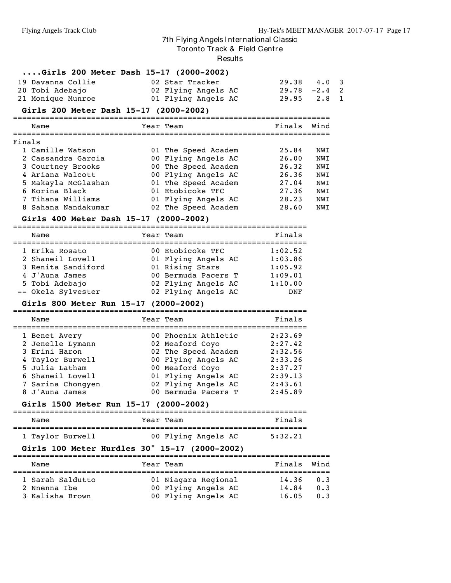Tor onto Track & Field Centre

#### Results

| Girls 200 Meter Dash $15-17$ (2000-2002)                                 |           |                                        |               |      |
|--------------------------------------------------------------------------|-----------|----------------------------------------|---------------|------|
| 19 Davanna Collie                                                        |           | 02 Star Tracker                        | 29.38         | 4.0  |
| 20 Tobi Adebajo                                                          |           | 02 Flying Angels AC                    | $29.78 - 2.4$ |      |
| 21 Monique Munroe                                                        |           | 01 Flying Angels AC                    | 29.95         | 2.8  |
| Girls 200 Meter Dash 15-17 (2000-2002)<br>============================== |           |                                        |               |      |
| Name                                                                     | Year Team |                                        | Finals        | Wind |
|                                                                          |           |                                        |               |      |
| Finals<br>1 Camille Watson                                               |           | 01 The Speed Academ                    | 25.84         | NWI  |
| 2 Cassandra Garcia                                                       |           | 00 Flying Angels AC                    | 26.00         | NWI  |
| 3 Courtney Brooks                                                        |           | 00 The Speed Academ                    | 26.32         | NWI  |
| 4 Ariana Walcott                                                         |           | 00 Flying Angels AC                    | 26.36         | NWI  |
| 5 Makayla McGlashan                                                      |           | 01 The Speed Academ                    | 27.04         | NWI  |
| 6 Korina Black                                                           |           | 01 Etobicoke TFC                       | 27.36         | NWI  |
| 7 Tihana Williams                                                        |           | 01 Flying Angels AC                    | 28.23         | NWI  |
| 8 Sahana Nandakumar                                                      |           | 02 The Speed Academ                    | 28.60         | NWI  |
| Girls 400 Meter Dash 15-17 (2000-2002)                                   |           |                                        |               |      |
| Name                                                                     | Year Team |                                        | Finals        |      |
| 1 Erika Rosato                                                           |           | 00 Etobicoke TFC                       | 1:02.52       |      |
| 2 Shaneil Lovell                                                         |           | 01 Flying Angels AC                    | 1:03.86       |      |
| 3 Renita Sandiford                                                       |           | 01 Rising Stars                        | 1:05.92       |      |
| 4 J'Auna James                                                           |           | 00 Bermuda Pacers T                    | 1:09.01       |      |
| 5 Tobi Adebajo                                                           |           | 02 Flying Angels AC                    | 1:10.00       |      |
| -- Okela Sylvester                                                       |           | 02 Flying Angels AC                    | DNF           |      |
| Girls 800 Meter Run 15-17 (2000-2002)                                    |           |                                        |               |      |
| Name                                                                     | Year Team |                                        | Finals        |      |
| 1 Benet Avery                                                            |           | 00 Phoenix Athletic                    | 2:23.69       |      |
| 2 Jenelle Lymann                                                         |           | 02 Meaford Coyo                        | 2:27.42       |      |
| 3 Erini Haron                                                            |           | 02 The Speed Academ                    | 2:32.56       |      |
| 4 Taylor Burwell                                                         |           | 00 Flying Angels AC                    | 2:33.26       |      |
| 5 Julia Latham                                                           |           | 00 Meaford Coyo                        | 2:37.27       |      |
| 6 Shaneil Lovell                                                         |           | 01 Flying Angels AC                    | 2:39.13       |      |
| 7 Sarina Chongyen                                                        |           | 02 Flying Angels AC                    | 2:43.61       |      |
| 8 J'Auna James                                                           |           | 00 Bermuda Pacers T                    | 2:45.89       |      |
| Girls 1500 Meter Run 15-17 (2000-2002)                                   |           | ====================================== |               |      |
| Name                                                                     | Year Team |                                        | Finals        |      |
| 1 Taylor Burwell                                                         |           | 00 Flying Angels AC                    | 5:32.21       |      |
| Girls 100 Meter Hurdles 30" 15-17 (2000-2002)                            |           |                                        |               |      |
| Name                                                                     | Year Team |                                        | Finals Wind   |      |
| 1 Sarah Saldutto                                                         |           | 01 Niagara Regional                    | 14.36         | 0.3  |
| 2 Nnenna Ibe                                                             |           | 00 Flying Angels AC                    | 14.84         | 0.3  |
| 3 Kalisha Brown                                                          |           | 00 Flying Angels AC                    | 16.05         | 0.3  |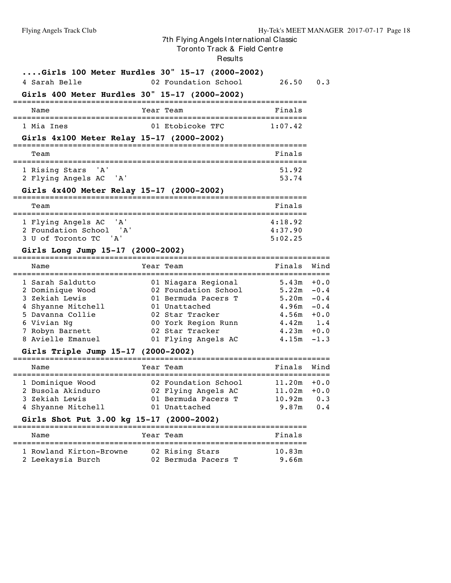Tor onto Tr ack & Field Centr e

Results

| Girls 100 Meter Hurdles 30" 15-17 (2000-2002)<br>4 Sarah Belle                                                                                          |                     | 02 Foundation School                                                                                                                                                    | 26.50                                                                              | 0.3                                                      |
|---------------------------------------------------------------------------------------------------------------------------------------------------------|---------------------|-------------------------------------------------------------------------------------------------------------------------------------------------------------------------|------------------------------------------------------------------------------------|----------------------------------------------------------|
| Girls 400 Meter Hurdles 30" 15-17 (2000-2002)<br>================================                                                                       |                     |                                                                                                                                                                         |                                                                                    |                                                          |
| Name                                                                                                                                                    |                     | =============================<br>Year Team                                                                                                                              | Finals                                                                             |                                                          |
| l Mia Ines                                                                                                                                              |                     | 01 Etobicoke TFC                                                                                                                                                        | 1:07.42                                                                            |                                                          |
| Girls 4x100 Meter Relay 15-17 (2000-2002)                                                                                                               |                     |                                                                                                                                                                         |                                                                                    |                                                          |
| Team                                                                                                                                                    |                     |                                                                                                                                                                         | Finals                                                                             |                                                          |
| 1 Rising Stars<br>' A '<br>2 Flying Angels AC<br>' A'                                                                                                   |                     |                                                                                                                                                                         | 51.92<br>53.74                                                                     |                                                          |
| Girls 4x400 Meter Relay 15-17 (2000-2002)                                                                                                               |                     |                                                                                                                                                                         |                                                                                    |                                                          |
| Team                                                                                                                                                    |                     |                                                                                                                                                                         | Finals                                                                             |                                                          |
| ' A'<br>1 Flying Angels AC<br>2 Foundation School 'A'<br>3 U of Toronto TC 'A'                                                                          |                     |                                                                                                                                                                         | 4:18.92<br>4:37.90<br>5:02.25                                                      |                                                          |
| Girls Long Jump 15-17 (2000-2002)                                                                                                                       |                     |                                                                                                                                                                         |                                                                                    |                                                          |
| Name                                                                                                                                                    |                     | Year Team                                                                                                                                                               | Finals                                                                             | Wind                                                     |
| 1 Sarah Saldutto<br>2 Dominique Wood<br>3 Zekiah Lewis<br>4 Shyanne Mitchell<br>5 Davanna Collie<br>6 Vivian Ng<br>7 Robyn Barnett<br>8 Avielle Emanuel |                     | 01 Niagara Regional<br>02 Foundation School<br>01 Bermuda Pacers T<br>01 Unattached<br>02 Star Tracker<br>00 York Region Runn<br>02 Star Tracker<br>01 Flying Angels AC | $5.43m + 0.0$<br>5.22m<br>5.20m<br>4.96m<br>4.56m<br>$4.42m$ 1.4<br>4.23m<br>4.15m | $-0.4$<br>$-0.4$<br>$-0.4$<br>$+0.0$<br>$+0.0$<br>$-1.3$ |
| Girls Triple Jump 15-17 (2000-2002)                                                                                                                     | $=$ $=$ $=$ $=$ $=$ |                                                                                                                                                                         |                                                                                    |                                                          |
| Name                                                                                                                                                    |                     | Year Team                                                                                                                                                               | Finals                                                                             | Wind                                                     |
| 1 Dominique Wood<br>2 Busola Akinduro<br>3 Zekiah Lewis<br>4 Shyanne Mitchell<br>Girls Shot Put 3.00 kg 15-17 (2000-2002)                               |                     | :=============================<br>02 Foundation School<br>02 Flying Angels AC<br>01 Bermuda Pacers T<br>01 Unattached                                                   | $11.20m + 0.0$<br>11.02m<br>10.92m<br>9.87m                                        | $+0.0$<br>0.3<br>0.4                                     |
| Name                                                                                                                                                    |                     | Year Team                                                                                                                                                               | Finals                                                                             |                                                          |
| 1 Rowland Kirton-Browne<br>2 Leekaysia Burch                                                                                                            |                     | ====================================<br>02 Rising Stars<br>02 Bermuda Pacers T                                                                                          | 10.83m<br>9.66m                                                                    |                                                          |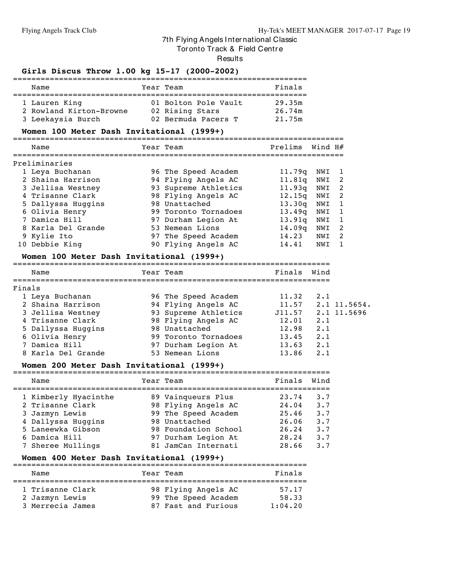#### Tor onto Track & Field Centre

**Results** 

#### **Girls Discus Throw 1.00 kg 15-17 (2000-2002)**

| Name                    | Year Team            | Finals |
|-------------------------|----------------------|--------|
| 1 Lauren King           | 01 Bolton Pole Vault | 29.35m |
| 2 Rowland Kirton-Browne | 02 Rising Stars      | 26.74m |
| 3 Leekaysia Burch       | 02 Bermuda Pacers T  | 21.75m |

#### **Women 100 Meter Dash Invitational (1999+)**

========================================================================

|                                                                                                                                                                                                                                                                                                                                                                                                                                                                                                                                                                                     | Name           |  |                     | Prelims |     |    |
|-------------------------------------------------------------------------------------------------------------------------------------------------------------------------------------------------------------------------------------------------------------------------------------------------------------------------------------------------------------------------------------------------------------------------------------------------------------------------------------------------------------------------------------------------------------------------------------|----------------|--|---------------------|---------|-----|----|
| Wind H#<br>Year Team<br>Preliminaries<br>1 Leya Buchanan<br>96 The Speed Academ<br>11.79q<br>NWI<br>2 Shaina Harrison<br>94 Flying Angels AC<br>11.81g<br>NWI<br>93 Supreme Athletics<br>3 Jellisa Westney<br>11.93q<br>NWI<br>4 Trisanne Clark<br>98 Flying Angels AC<br>12.15q<br>NWI<br>5 Dallyssa Huggins<br>98 Unattached<br>13.30q<br>NWI<br>6 Olivia Henry<br>13.49q<br>99 Toronto Tornadoes<br>NWI<br>7 Damica Hill<br>13.91q<br>97 Durham Legion At<br>NWI<br>14.09q<br>8 Karla Del Grande<br>53 Nemean Lions<br>NWI<br>9 Kylie Ito<br>14.23<br>97 The Speed Academ<br>NWI |                |  |                     |         |     |    |
|                                                                                                                                                                                                                                                                                                                                                                                                                                                                                                                                                                                     |                |  |                     |         |     |    |
|                                                                                                                                                                                                                                                                                                                                                                                                                                                                                                                                                                                     |                |  |                     |         |     | -2 |
|                                                                                                                                                                                                                                                                                                                                                                                                                                                                                                                                                                                     |                |  |                     |         |     | -2 |
|                                                                                                                                                                                                                                                                                                                                                                                                                                                                                                                                                                                     |                |  |                     |         |     | 2  |
|                                                                                                                                                                                                                                                                                                                                                                                                                                                                                                                                                                                     |                |  |                     |         |     |    |
|                                                                                                                                                                                                                                                                                                                                                                                                                                                                                                                                                                                     |                |  |                     |         |     | -1 |
|                                                                                                                                                                                                                                                                                                                                                                                                                                                                                                                                                                                     |                |  |                     |         |     |    |
|                                                                                                                                                                                                                                                                                                                                                                                                                                                                                                                                                                                     |                |  |                     |         |     | 2  |
|                                                                                                                                                                                                                                                                                                                                                                                                                                                                                                                                                                                     |                |  |                     |         |     | 2  |
|                                                                                                                                                                                                                                                                                                                                                                                                                                                                                                                                                                                     | 10 Debbie King |  | 90 Flying Angels AC | 14.41   | NWI |    |

#### **Women 100 Meter Dash Invitational (1999+)**

===================================================================== Name Tear Team Name Finals Wind =====================================================================

| Finals             |  |                                                                                                                                                                              |                           |
|--------------------|--|------------------------------------------------------------------------------------------------------------------------------------------------------------------------------|---------------------------|
| 1 Leya Buchanan    |  | 11.32                                                                                                                                                                        | 2.1                       |
| 2 Shaina Harrison  |  |                                                                                                                                                                              | $11.57$ $2.1$ $11.5654$ . |
| 3 Jellisa Westney  |  |                                                                                                                                                                              | J11.57 2.1 11.5696        |
| 4 Trisanne Clark   |  | 12.01                                                                                                                                                                        | 2.1                       |
| 5 Dallyssa Huggins |  | 12.98                                                                                                                                                                        | 2.1                       |
| 6 Olivia Henry     |  | 13.45                                                                                                                                                                        | 2.1                       |
| 7 Damica Hill      |  | 13.63                                                                                                                                                                        | 2.1                       |
| 8 Karla Del Grande |  | 13.86                                                                                                                                                                        | 2.1                       |
|                    |  | 96 The Speed Academ<br>94 Flying Angels AC<br>93 Supreme Athletics<br>98 Flying Angels AC<br>98 Unattached<br>99 Toronto Tornadoes<br>97 Durham Legion At<br>53 Nemean Lions |                           |

#### **Women 200 Meter Dash Invitational (1999+)**

=====================================================================

| Name                 | Year Team            | Finals | Wind        |
|----------------------|----------------------|--------|-------------|
| 1 Kimberly Hyacinthe | 89 Vainqueurs Plus   | 23.74  | $3 \cdot 7$ |
| 2 Trisanne Clark     | 98 Flying Angels AC  | 24.04  | 3.7         |
| 3 Jazmyn Lewis       | 99 The Speed Academ  | 25.46  | 3.7         |
| 4 Dallyssa Huggins   | 98 Unattached        | 26.06  | $3 \cdot 7$ |
| 5 Laneewka Gibson    | 98 Foundation School | 26.24  | 3.7         |
| 6 Damica Hill        | 97 Durham Legion At  | 28.24  | 3.7         |
| 7 Sheree Mullings    | 81 JamCan Internati  | 28.66  | $3 \cdot 7$ |
|                      |                      |        |             |

#### **Women 400 Meter Dash Invitational (1999+)**

| Name             | Year Team           | Finals  |
|------------------|---------------------|---------|
|                  |                     |         |
| 1 Trisanne Clark | 98 Flying Angels AC | 57.17   |
| 2 Jazmyn Lewis   | 99 The Speed Academ | 58.33   |
| 3 Merrecia James | 87 Fast and Furious | 1:04.20 |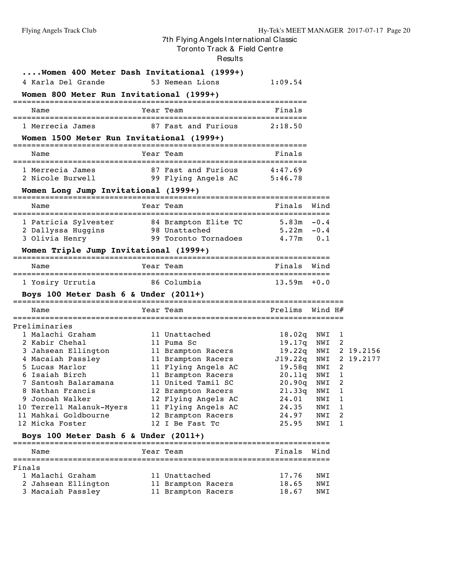#### Tor onto Tr ack & Field Centr e

Results

| Women 400 Meter Dash Invitational (1999+)<br>4 Karla Del Grande<br>Women 800 Meter Run Invitational (1999+) | 53 Nemean Lions                                    | 1:09.54                       |            |   |           |
|-------------------------------------------------------------------------------------------------------------|----------------------------------------------------|-------------------------------|------------|---|-----------|
| Name                                                                                                        | Year Team                                          | Finals                        |            |   |           |
| 1 Merrecia James                                                                                            | 87 Fast and Furious                                | 2:18.50                       |            |   |           |
| Women 1500 Meter Run Invitational (1999+)                                                                   |                                                    |                               |            |   |           |
| Name                                                                                                        | Year Team                                          | Finals                        |            |   |           |
| 1 Merrecia James<br>2 Nicole Burwell                                                                        | 87 Fast and Furious<br>99 Flying Angels AC 5:46.78 | 4:47.69                       |            |   |           |
|                                                                                                             |                                                    |                               |            |   |           |
| Name                                                                                                        | Year Team                                          | Finals                        | Wind       |   |           |
| 1 Patricia Sylvester 84 Brampton Elite TC                                                                   |                                                    | $5.83m -0.4$<br>$5.22m - 0.4$ |            |   |           |
| 2 Dallyssa Huggins<br>3 Olivia Henry                                                                        | 98 Unattached<br>99 Toronto Tornadoes              | $4.77m$ 0.1                   |            |   |           |
| Women Triple Jump Invitational (1999+)                                                                      |                                                    |                               |            |   |           |
| Name                                                                                                        | Year Team                                          | Finals                        | Wind       |   |           |
| 1 Yosiry Urrutia                                                                                            | 86 Columbia                                        | $13.59m + 0.0$                |            |   |           |
| Boys 100 Meter Dash $6 \&$ Under $(2011+)$                                                                  |                                                    |                               |            |   |           |
| Name                                                                                                        | Year Team                                          | Prelims                       | Wind H#    |   |           |
| Preliminaries                                                                                               |                                                    |                               |            |   |           |
| 1 Malachi Graham                                                                                            | 11 Unattached                                      | 18.02q                        | NWI 1      |   |           |
| 2 Kabir Chehal                                                                                              | 11 Puma Sc                                         | 19.17q                        | NWI 2      |   |           |
| 3 Jahsean Ellington 11 Brampton Racers                                                                      |                                                    | 19.22q                        | NWI        |   | 2 19.2156 |
| 4 Macaiah Passley<br>5 Lucas Marlor                                                                         | 11 Brampton Racers<br>11 Flying Angels AC          | J19.22q<br>19.58q             | NWI<br>NWI | 2 | 2 19.2177 |
| 6 Isaiah Birch                                                                                              | 11 Brampton Racers                                 | 20.11q                        | NWI        | 1 |           |
| 7 Santosh Balaramana                                                                                        | 11 United Tamil SC                                 | 20.90q                        | NWI        | 2 |           |
| 8 Nathan Francis                                                                                            | 12 Brampton Racers                                 | 21.33q NWI                    |            | 1 |           |
| 9 Jonoah Walker                                                                                             | 12 Flying Angels AC                                | 24.01                         | NWI        | 1 |           |
| 10 Terrell Malanuk-Myers                                                                                    | 11 Flying Angels AC                                | 24.35                         | NWI        | 1 |           |
| 11 Mahkai Goldbourne                                                                                        | 12 Brampton Racers                                 | 24.97                         | NWI        | 2 |           |
| 12 Micka Foster                                                                                             | 12 I Be Fast Tc                                    | 25.95                         | NWI        | 1 |           |
| Boys 100 Meter Dash 6 & Under $(2011+)$                                                                     |                                                    |                               |            |   |           |
| Name                                                                                                        | Year Team                                          | Finals                        | Wind       |   |           |
| Finals                                                                                                      |                                                    |                               |            |   |           |
| 1 Malachi Graham                                                                                            | 11 Unattached                                      | 17.76                         | NWI        |   |           |
| 2 Jahsean Ellington                                                                                         | 11 Brampton Racers                                 | 18.65                         | NWI        |   |           |
| 3 Macaiah Passley                                                                                           | 11 Brampton Racers                                 | 18.67                         | NWI        |   |           |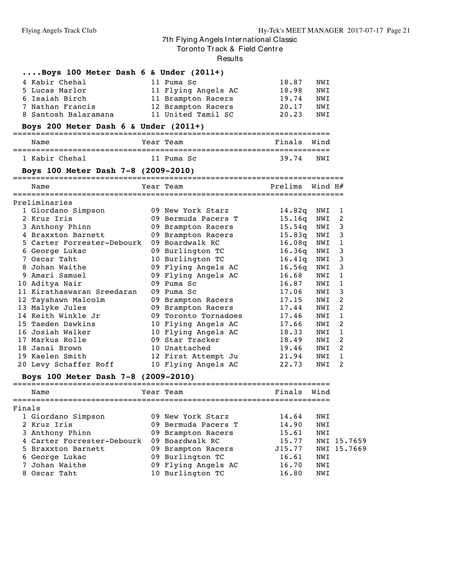Tor onto Track & Field Centre

Results

|        | $\ldots$ Boys 100 Meter Dash 6 & Under (2011+)   |                                             |                 |      |              |
|--------|--------------------------------------------------|---------------------------------------------|-----------------|------|--------------|
|        | 4 Kabir Chehal                                   | 11 Puma Sc                                  | 18.87           | NWI  |              |
|        | 5 Lucas Marlor                                   | 11 Flying Angels AC                         | 18.98           | NWI  |              |
|        | 6 Isaiah Birch                                   | 11 Brampton Racers                          | 19.74           | NWI  |              |
|        | 7 Nathan Francis                                 | 12 Brampton Racers                          | 20.17           | NWI  |              |
|        | 8 Santosh Balaramana                             | 11 United Tamil SC                          | 20.23           | NWI  |              |
|        | Boys 200 Meter Dash $6 \&$ Under (2011+)         |                                             |                 |      |              |
|        | Name                                             | Year Team                                   | Finals Wind     |      |              |
|        | 1 Kabir Chehal                                   | 11 Puma Sc                                  | 39.74           | NWI  |              |
|        | Boys 100 Meter Dash 7-8 (2009-2010)              |                                             |                 |      |              |
|        | Name                                             | Year Team                                   | Prelims Wind H# |      |              |
|        | Preliminaries                                    |                                             |                 |      |              |
|        | 1 Giordano Simpson                               | 09 New York Starz                           | 14.82q          | NWI  | 1            |
|        | 2 Kruz Iris                                      | 09 Bermuda Pacers T                         | 15.16q          | NWI  | 2            |
|        | 3 Anthony Phinn                                  | 09 Brampton Racers                          | 15.54q          | NWI  | 3            |
|        | 4 Braxxton Barnett                               | 09 Brampton Racers                          | 15.83q          | NWI  | 3            |
|        | 5 Carter Forrester–Debourk                       | 09 Boardwalk RC                             | 16.08q          | NWI  | $\mathbf{1}$ |
|        | 6 George Lukac                                   | 09 Burlington TC                            | 16.36q          | NWI  | 3            |
|        | 7 Oscar Taht                                     | 10 Burlington TC                            | 16.41q          | NWI  | 3            |
|        | 8 Johan Waithe                                   | 09 Flying Angels AC                         | 16.56q          | NWI  | 3            |
|        | 9 Amari Samuel                                   | 09 Flying Angels AC                         | 16.68           | NWI  | 1            |
|        | 10 Aditya Nair                                   | 09 Puma Sc                                  | 16.87           | NWI  | $\mathbf{1}$ |
|        | 11 Kirathaswaran Sreedaran                       | 09 Puma Sc                                  | 17.06           | NWI  | 3            |
|        | 12 Tayshawn Malcolm                              | 09 Brampton Racers                          | 17.15           | NWI  | 2            |
|        | 13 Malyke Jules                                  | 09 Brampton Racers                          | 17.44           | NWI  | 2            |
|        | 14 Keith Winkle Jr                               | 09 Toronto Tornadoes                        | 17.46           | NWI  | 1            |
|        | 15 Taeden Dawkins                                | 10 Flying Angels AC                         | 17.66           | NWI  | 2            |
|        | 16 Josiah Walker                                 | 10 Flying Angels AC                         | 18.33           | NWI  | 1            |
|        | 17 Markus Rolle                                  | 09 Star Tracker                             | 18.49           | NWI  | 2            |
|        | 18 Janai Brown                                   | 10 Unattached                               | 19.46           | NWI  | 2            |
|        | 19 Kaelen Smith                                  | 12 First Attempt Ju                         | 21.94           | NWI  | 1            |
|        | 20 Levy Schaffer Roff                            | 10 Flying Angels AC                         | 22.73           | NWI  | 2            |
|        | Boys 100 Meter Dash 7-8 (2009-2010)              |                                             |                 |      |              |
|        | Name<br>============<br>======================== | Year Team<br>============================== | Finals          | Wind |              |
| Finals |                                                  |                                             |                 |      |              |
|        | 1 Giordano Simpson                               | 09 New York Starz                           | 14.64           | NWI  |              |
|        | 2 Kruz Iris                                      | 09 Bermuda Pacers T                         | 14.90           | NWI  |              |
|        | 3 Anthony Phinn                                  | 09 Brampton Racers                          | 15.61           | NWI  |              |
|        | 4 Carter Forrester-Debourk                       | 09 Boardwalk RC                             | 15.77           |      | NWI 15.7659  |
|        | 5 Braxxton Barnett                               | 09 Brampton Racers                          | J15.77          |      | NWI 15.7669  |
|        | 6 George Lukac                                   | 09 Burlington TC                            | 16.61           | NWI  |              |
|        | 7 Johan Waithe                                   | 09 Flying Angels AC                         | 16.70           | NWI  |              |
|        | 8 Oscar Taht                                     | 10 Burlington TC                            | 16.80           | NWI  |              |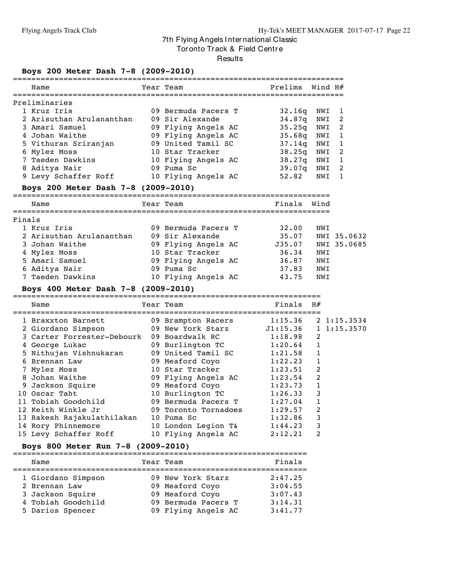Tor onto Track & Field Centre

#### Results

## **Boys 200 Meter Dash 7-8 (2009-2010)**

|        | Name                                                                            | Year Team                              | Prelims     | Wind H#     |                  |
|--------|---------------------------------------------------------------------------------|----------------------------------------|-------------|-------------|------------------|
|        | Preliminaries                                                                   |                                        |             |             |                  |
|        | 1 Kruz Iris                                                                     | 09 Bermuda Pacers T                    | 32.16q      | NWI         | 1                |
|        | 2 Arisuthan Arulananthan                                                        | 09 Sir Alexande                        | 34.87q      | NWI         | 2                |
|        | 3 Amari Samuel                                                                  | 09 Flying Angels AC                    | 35.25q      | NWI         | 2                |
|        | 4 Johan Waithe                                                                  | 09 Flying Angels AC                    | 35.68q      | NWI         | 1                |
|        | 5 Vithuran Sriranjan                                                            | 09 United Tamil SC                     | 37.14q      | NWI         | 1                |
|        | 6 Mylez Moss                                                                    | 10 Star Tracker                        | 38.25q      | NWI         | $\overline{2}$   |
|        | 7 Taeden Dawkins                                                                | 10 Flying Angels AC                    | 38.27q      | NWI         | 1                |
|        | 8 Aditya Nair                                                                   | 09 Puma Sc                             | 39.07q      | NWI         | 2                |
|        | 9 Levy Schaffer Roff 10 Flying Angels AC                                        |                                        | 52.82       | NWI         | 1                |
|        | Boys 200 Meter Dash 7-8 (2009-2010)                                             |                                        |             |             |                  |
|        | Name                                                                            | Year Team                              | Finals Wind |             |                  |
| Finals |                                                                                 |                                        |             |             |                  |
|        | 1 Kruz Iris                                                                     | 09 Bermuda Pacers T                    | 32.00       | NWI         |                  |
|        | 2 Arisuthan Arulananthan                                                        | 09 Sir Alexande                        | 35.07       |             | NWI 35.0632      |
|        | 3 Johan Waithe                                                                  | 09 Flying Angels AC                    | J35.07      |             | NWI 35.0685      |
|        | 4 Mylez Moss                                                                    | 10 Star Tracker                        | 36.34       | NWI         |                  |
|        | 5 Amari Samuel                                                                  | 09 Flying Angels AC                    | 36.87       | NWI         |                  |
|        | 6 Aditya Nair                                                                   | 09 Puma Sc                             | 37.83       | NWI         |                  |
|        | 7 Taeden Dawkins                                                                | 10 Flying Angels AC                    | 43.75       | NWI         |                  |
|        | Boys 400 Meter Dash 7-8 (2009-2010)                                             |                                        |             |             |                  |
|        | Name                                                                            | Year Team                              | Finals $H#$ |             |                  |
|        | 1 Braxxton Barnett                                                              |                                        |             |             | $2 \; 1:15.3534$ |
|        | 2 Giordano Simpson                                                              |                                        |             |             | 1, 1:15.3570     |
|        | 3 Carter Forrester-Debourk 09 Boardwalk RC                                      |                                        | 1:18.98     | 2           |                  |
|        | 4 George Lukac                                                                  | 09 Burlington TC                       | 1:20.64     | 1           |                  |
|        | 5 Nithujan Vishnukaran                                                          | 09 United Tamil SC                     | 1:21.58     | 1           |                  |
|        | 6 Brennan Law                                                                   | 09 Meaford Coyo                        | 1:22.23     | 1           |                  |
|        | 7 Mylez Moss                                                                    | 10 Star Tracker                        | 1:23.51     | 2           |                  |
|        | 8 Johan Waithe                                                                  | 09 Flying Angels AC<br>09 Meaford Coyo | 1:23.54     | 2           |                  |
|        | 9 Jackson Squire                                                                | 09 Meaford Coyo                        | 1:23.73     | 1           |                  |
|        | 10 Oscar Taht                                                                   | 10 Burlington TC                       | 1:26.33     | 3           |                  |
|        | 11 Tobiah Goodchild                                                             | 09 Bermuda Pacers T                    | 1:27.04     | $\mathbf 1$ |                  |
|        | 12 Keith Winkle Jr                                                              | 09 Toronto Tornadoes                   | 1:29.57     | 2           |                  |
|        | 13 Rakesh Rajakulathilakan 10 Puma Sc<br>14 Rory Phinnemore 10 London Legion T& |                                        | 1:32.86     | 3           |                  |
|        |                                                                                 |                                        | 1:44.23     | 3           |                  |
|        | 15 Levy Schaffer Roff                                                           | 10 Flying Angels AC                    | 2:12.21     | 2           |                  |
|        | Boys 800 Meter Run 7-8 (2009-2010)                                              |                                        |             |             |                  |

| Name               | Year Team           | Finals  |
|--------------------|---------------------|---------|
| 1 Giordano Simpson | 09 New York Starz   | 2:47.25 |
| 2 Brennan Law      | 09 Meaford Coyo     | 3:04.55 |
| 3 Jackson Squire   | 09 Meaford Coyo     | 3:07.43 |
| 4 Tobiah Goodchild | 09 Bermuda Pacers T | 3:14.31 |
| 5 Darius Spencer   | 09 Flying Angels AC | 3:41.77 |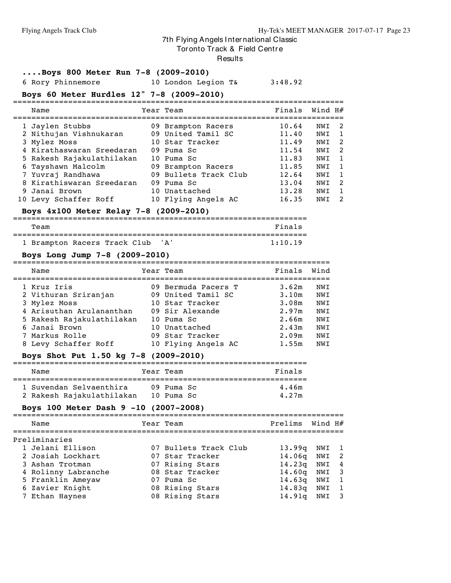Tor onto Track & Field Centre

#### Results

#### **....Boys 800 Meter Run 7-8 (2009-2010)**

6 Rory Phinnemore 10 London Legion T& 3:48.92

#### **Boys 60 Meter Hurdles 12" 7-8 (2009-2010)**

|  | Name                      | Year Team             | Finals | Wind H# |                |
|--|---------------------------|-----------------------|--------|---------|----------------|
|  | 1 Jaylen Stubbs           | 09 Brampton Racers    | 10.64  | NWI     | - 2            |
|  | 2 Nithujan Vishnukaran    | 09 United Tamil SC    | 11.40  | NWI     | $\overline{1}$ |
|  | 3 Mylez Moss              | 10 Star Tracker       | 11.49  | NWI     | -2             |
|  | 4 Kirathaswaran Sreedaran | 09 Puma Sc            | 11.54  | NWI     | -2             |
|  | 5 Rakesh Rajakulathilakan | 10 Puma Sc            | 11.83  | NWI     | $\overline{1}$ |
|  | 6 Tayshawn Malcolm        | 09 Brampton Racers    | 11.85  | NWI     | $\overline{1}$ |
|  | 7 Yuvraj Randhawa         | 09 Bullets Track Club | 12.64  | NWI     | $\overline{1}$ |
|  | 8 Kirathiswaran Sreedaran | 09 Puma Sc            | 13.04  | NWI     | -2             |
|  | 9 Janai Brown             | 10 Unattached         | 13.28  | NWI     | $\overline{1}$ |
|  | 10 Levy Schaffer Roff     | 10 Flying Angels AC   | 16.35  | NWI     | -2             |

#### **Boys 4x100 Meter Relay 7-8 (2009-2010)** ================================================================

| Team                             |  |  | Finals  |
|----------------------------------|--|--|---------|
|                                  |  |  |         |
| 1 Brampton Racers Track Club 'A' |  |  | 1:10.19 |

#### **Boys Long Jump 7-8 (2009-2010)**

| Name                                | Year Team                                 | Finals         | Wind       |
|-------------------------------------|-------------------------------------------|----------------|------------|
| 1 Kruz Iris<br>2 Vithuran Sriranjan | 09 Bermuda Pacers T<br>09 United Tamil SC | 3.62m<br>3.10m | NWI<br>NWI |
| 3 Mylez Moss                        | 10 Star Tracker                           | 3.08m          | NWI        |
| 4 Arisuthan Arulananthan            | 09 Sir Alexande                           | 2.97m          | NWI        |
| 5 Rakesh Rajakulathilakan           | 10 Puma Sc                                | 2.66m          | NWI        |
| 6 Janai Brown                       | 10 Unattached                             | 2.43m          | NWI        |
| 7 Markus Rolle                      | 09 Star Tracker                           | 2.09m          | NWI        |
| 8 Levy Schaffer Roff                | 10 Flying Angels AC                       | 1.55m          | NWI        |

#### **Boys Shot Put 1.50 kg 7-8 (2009-2010)**

| Name                                                 | Year Team                  | Finals         |
|------------------------------------------------------|----------------------------|----------------|
| 1 Suvendan Selvaenthira<br>2 Rakesh Rajakulathilakan | $09$ Puma Sc<br>10 Puma Sc | 4.46m<br>4.27m |

#### **Boys 100 Meter Dash 9 -10 (2007-2008)**

| Name                | Year Team             | Prelims Wind H#    |       |                |
|---------------------|-----------------------|--------------------|-------|----------------|
| Preliminaries       |                       |                    |       |                |
| 1 Jelani Ellison    | 07 Bullets Track Club | 13.99q             | NWI 1 |                |
| 2 Josiah Lockhart   | 07 Star Tracker       | 14.06 <sub>q</sub> | NWI   | - 2            |
| 3 Ashan Trotman     | 07 Rising Stars       | 14.23q             | NWI   | 4              |
| 4 Rolinny Labranche | 08 Star Tracker       | 14.60q             | NWI   | - 3            |
| 5 Franklin Ameyaw   | 07 Puma Sc            | 14.63q             | NWI   | - 1            |
| 6 Zavier Knight     | 08 Rising Stars       | 14.83q             | NWI   | $\overline{1}$ |
| 7 Ethan Haynes      | 08 Rising Stars       | 14.91q             | NWI   | -3             |
|                     |                       |                    |       |                |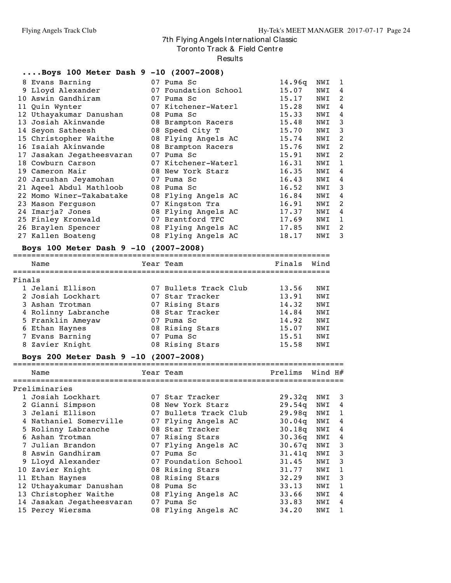Tor onto Track & Field Centre

**Results** 

#### **....Boys 100 Meter Dash 9 -10 (2007-2008)**

| 8 Evans Barning<br>9 Lloyd Alexander<br>Aswin Gandhiram<br>10 |                                                                                                                                                                                                                                                                                                                                                                                    | 07 Puma Sc<br>07 Foundation School | 14.96q<br>15.07                                                                                                                                                                                                                                                                                                           | NWI | 1 |
|---------------------------------------------------------------|------------------------------------------------------------------------------------------------------------------------------------------------------------------------------------------------------------------------------------------------------------------------------------------------------------------------------------------------------------------------------------|------------------------------------|---------------------------------------------------------------------------------------------------------------------------------------------------------------------------------------------------------------------------------------------------------------------------------------------------------------------------|-----|---|
|                                                               |                                                                                                                                                                                                                                                                                                                                                                                    |                                    |                                                                                                                                                                                                                                                                                                                           |     |   |
|                                                               |                                                                                                                                                                                                                                                                                                                                                                                    |                                    |                                                                                                                                                                                                                                                                                                                           | NWI | 4 |
|                                                               |                                                                                                                                                                                                                                                                                                                                                                                    | 07 Puma Sc                         | 15.17                                                                                                                                                                                                                                                                                                                     | NWI | 2 |
| 11 Quin Wynter                                                |                                                                                                                                                                                                                                                                                                                                                                                    | 07 Kitchener-Waterl                | 15.28                                                                                                                                                                                                                                                                                                                     | NWI | 4 |
|                                                               |                                                                                                                                                                                                                                                                                                                                                                                    |                                    | 15.33                                                                                                                                                                                                                                                                                                                     | NWI | 4 |
|                                                               |                                                                                                                                                                                                                                                                                                                                                                                    |                                    | 15.48                                                                                                                                                                                                                                                                                                                     | NWI | 3 |
|                                                               |                                                                                                                                                                                                                                                                                                                                                                                    |                                    | 15.70                                                                                                                                                                                                                                                                                                                     | NWI | 3 |
|                                                               |                                                                                                                                                                                                                                                                                                                                                                                    |                                    | 15.74                                                                                                                                                                                                                                                                                                                     | NWI | 2 |
|                                                               |                                                                                                                                                                                                                                                                                                                                                                                    |                                    | 15.76                                                                                                                                                                                                                                                                                                                     | NWI | 2 |
|                                                               |                                                                                                                                                                                                                                                                                                                                                                                    |                                    | 15.91                                                                                                                                                                                                                                                                                                                     | NWI | 2 |
|                                                               |                                                                                                                                                                                                                                                                                                                                                                                    |                                    | 16.31                                                                                                                                                                                                                                                                                                                     | NWI | 1 |
|                                                               |                                                                                                                                                                                                                                                                                                                                                                                    |                                    | 16.35                                                                                                                                                                                                                                                                                                                     | NWI | 4 |
|                                                               |                                                                                                                                                                                                                                                                                                                                                                                    |                                    | 16.43                                                                                                                                                                                                                                                                                                                     | NWI | 4 |
|                                                               |                                                                                                                                                                                                                                                                                                                                                                                    |                                    | 16.52                                                                                                                                                                                                                                                                                                                     | NWI | 3 |
|                                                               |                                                                                                                                                                                                                                                                                                                                                                                    |                                    | 16.84                                                                                                                                                                                                                                                                                                                     | NWI | 4 |
|                                                               |                                                                                                                                                                                                                                                                                                                                                                                    |                                    | 16.91                                                                                                                                                                                                                                                                                                                     | NWI | 2 |
|                                                               |                                                                                                                                                                                                                                                                                                                                                                                    |                                    | 17.37                                                                                                                                                                                                                                                                                                                     | NWI | 4 |
|                                                               |                                                                                                                                                                                                                                                                                                                                                                                    |                                    | 17.69                                                                                                                                                                                                                                                                                                                     | NWI | 1 |
|                                                               |                                                                                                                                                                                                                                                                                                                                                                                    |                                    | 17.85                                                                                                                                                                                                                                                                                                                     | NWI | 2 |
|                                                               |                                                                                                                                                                                                                                                                                                                                                                                    |                                    | 18.17                                                                                                                                                                                                                                                                                                                     | NWI | 3 |
|                                                               | 12 Uthayakumar Danushan<br>13 Josiah Akinwande<br>14 Seyon Satheesh<br>15 Christopher Waithe<br>16 Isaiah Akinwande<br>17 Jasakan Jegatheesvaran<br>18 Cowburn Carson<br>19 Cameron Mair<br>20 Jarushan Jeyamohan<br>21 Aqeel Abdul Mathloob<br>22 Momo Winer-Takabatake<br>23 Mason Ferguson<br>24 Imarja? Jones<br>25 Finley Kronwald<br>26 Braylen Spencer<br>27 Kallen Boateng |                                    | 08 Puma Sc<br>08 Brampton Racers<br>08 Speed City T<br>08 Flying Angels AC<br>08 Brampton Racers<br>07 Puma Sc<br>07 Kitchener-Waterl<br>08 New York Starz<br>07 Puma Sc<br>08 Puma Sc<br>08 Flying Angels AC<br>07 Kingston Tra<br>08 Flying Angels AC<br>07 Brantford TFC<br>08 Flying Angels AC<br>08 Flying Angels AC |     |   |

#### **Boys 100 Meter Dash 9 -10 (2007-2008)**

|        | Name                |    | Year Team             | Finals | Wind       |
|--------|---------------------|----|-----------------------|--------|------------|
|        |                     |    |                       |        |            |
| Finals |                     |    |                       |        |            |
|        | 1 Jelani Ellison    |    | 07 Bullets Track Club | 13.56  | NWT        |
|        | 2 Josiah Lockhart   |    | 07 Star Tracker       | 13.91  | <b>NWT</b> |
|        | 3 Ashan Trotman     |    | 07 Rising Stars       | 14.32  | <b>NWT</b> |
|        | 4 Rolinny Labranche |    | 08 Star Tracker       | 14.84  | <b>NWT</b> |
|        | 5 Franklin Ameyaw   |    | 07 Puma Sc            | 14.92  | <b>NWT</b> |
|        | 6 Ethan Haynes      |    | 08 Rising Stars       | 15.07  | NWI        |
|        | 7 Evans Barning     | 07 | Puma Sc               | 15.51  | <b>NWT</b> |
|        | 8 Zavier Knight     |    | 08 Rising Stars       | 15.58  | <b>NWT</b> |

#### **Boys 200 Meter Dash 9 -10 (2007-2008)**

======================================================================== Name  $Year$  Team  $Year$  Prelims Wind H $#$ 

| Preliminaries             |                       |                    |     |    |
|---------------------------|-----------------------|--------------------|-----|----|
| 1 Josiah Lockhart         | 07 Star Tracker       | 29.32q             | NWI | -3 |
| 2 Gianni Simpson          | 08 New York Starz     | 29.54q             | NWI | 4  |
| 3 Jelani Ellison          | 07 Bullets Track Club | 29.98q             | NWI | 1  |
| 4 Nathaniel Somerville    | 07 Flying Angels AC   | 30.04q             | NWI | 4  |
| 5 Rolinny Labranche       | 08 Star Tracker       | 30.18q             | NWI | 4  |
| 6 Ashan Trotman           | 07 Rising Stars       | 30.36q             | NWI | 4  |
| 7 Julian Brandon          | 07 Flying Angels AC   | 30.67 <sub>q</sub> | NWI | 3  |
| 8 Aswin Gandhiram         | 07 Puma Sc            | 31.41q             | NWI | 3  |
| 9 Lloyd Alexander         | 07 Foundation School  | 31.45              | NWI | 3  |
| 10 Zavier Knight          | 08 Rising Stars       | 31.77              | NWI | 1  |
| 11 Ethan Haynes           | 08 Rising Stars       | 32.29              | NWI | 3  |
| 12 Uthayakumar Danushan   | 08 Puma Sc            | 33.13              | NWI | 1  |
| 13 Christopher Waithe     | 08 Flying Angels AC   | 33.66              | NWI | 4  |
| 14 Jasakan Jegatheesvaran | 07 Puma Sc            | 33.83              | NWI | 4  |
| 15 Percy Wiersma          | 08 Flying Angels AC   | 34.20              | NWI | 1  |
|                           |                       |                    |     |    |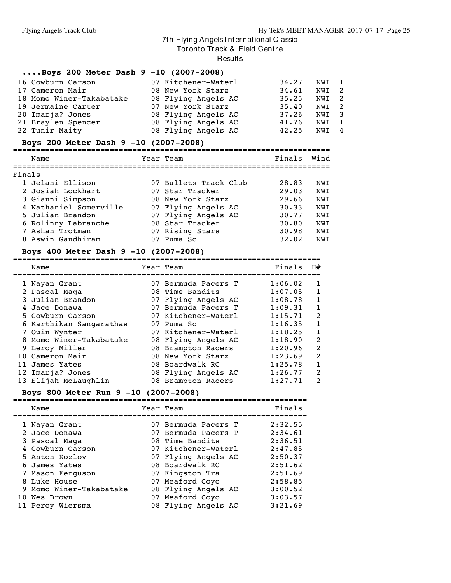Tor onto Track & Field Centre

Results

===================================================================

#### **....Boys 200 Meter Dash 9 -10 (2007-2008)** Cowburn Carson 07 Kitchener-Waterl 34.27 NWI 1 Cameron Mair 08 New York Starz 34.61 NWI 2 Momo Winer-Takabatake 08 Flying Angels AC 35.25 NWI 2 Jermaine Carter 07 New York Starz 35.40 NWI 2 Imarja? Jones 08 Flying Angels AC 37.26 NWI 3 Braylen Spencer 08 Flying Angels AC 41.76 NWI 1 Tunir Maity 08 Flying Angels AC 42.25 NWI 4

#### **Boys 200 Meter Dash 9 -10 (2007-2008)**

|        | Name                   | Year Team             | Finals | Wind       |
|--------|------------------------|-----------------------|--------|------------|
| Finals |                        |                       |        |            |
|        | 1 Jelani Ellison       | 07 Bullets Track Club | 28.83  | NWT        |
|        | 2 Josiah Lockhart      | 07 Star Tracker       | 29.03  | NWI        |
|        | 3 Gianni Simpson       | 08 New York Starz     | 29.66  | NWI        |
|        | 4 Nathaniel Somerville | 07 Flying Angels AC   | 30.33  | <b>NWT</b> |
|        | 5 Julian Brandon       | 07 Flying Angels AC   | 30.77  | NWI        |
|        | 6 Rolinny Labranche    | 08 Star Tracker       | 30.80  | <b>NWT</b> |
|        | 7 Ashan Trotman        | 07 Rising Stars       | 30.98  | NWI        |
|        | 8 Aswin Gandhiram      | Puma Sc               | 32.02  | NWI        |

#### **Boys 400 Meter Dash 9 -10 (2007-2008)**

| Name                    | Year Team           | Finals  | H#           |
|-------------------------|---------------------|---------|--------------|
| 1 Nayan Grant           | 07 Bermuda Pacers T | 1:06.02 | 1            |
| 2 Pascal Maga           | 08 Time Bandits     | 1:07.05 | 1            |
| 3 Julian Brandon        | 07 Flying Angels AC | 1:08.78 | 1            |
| 4 Jace Donawa           | 07 Bermuda Pacers T | 1:09.31 | 1            |
| 5 Cowburn Carson        | 07 Kitchener-Waterl | 1:15.71 | 2            |
| 6 Karthikan Sangarathas | 07 Puma Sc          | 1:16.35 | 1            |
| 7 Ouin Wynter           | 07 Kitchener-Waterl | 1:18.25 | $\mathbf{1}$ |
| 8 Momo Winer-Takabatake | 08 Flying Angels AC | 1:18.90 | 2            |
| 9 Leroy Miller          | 08 Brampton Racers  | 1:20.96 | 2            |
| 10 Cameron Mair         | 08 New York Starz   | 1:23.69 | 2            |
| 11 James Yates          | 08 Boardwalk RC     | 1:25.78 | 1            |
| 12 Imarja? Jones        | 08 Flying Angels AC | 1:26.77 | 2            |
| 13 Elijah McLaughlin    | 08 Brampton Racers  | 1:27.71 | 2            |

#### **Boys 800 Meter Run 9 -10 (2007-2008)**

| Name                    | Year Team           | Finals  |
|-------------------------|---------------------|---------|
| 1 Nayan Grant           | 07 Bermuda Pacers T | 2:32.55 |
| 2 Jace Donawa           | 07 Bermuda Pacers T | 2:34.61 |
| 3 Pascal Maga           | 08 Time Bandits     | 2:36.51 |
| 4 Cowburn Carson        | 07 Kitchener-Waterl | 2:47.85 |
| 5 Anton Kozlov          | 07 Flying Angels AC | 2:50.37 |
| 6 James Yates           | 08 Boardwalk RC     | 2:51.62 |
| 7 Mason Ferguson        | 07 Kingston Tra     | 2:51.69 |
| 8 Luke House            | 07 Meaford Coyo     | 2:58.85 |
| 9 Momo Winer-Takabatake | 08 Flying Angels AC | 3:00.52 |
| 10 Wes Brown            | 07 Meaford Coyo     | 3:03.57 |
| 11 Percy Wiersma        | 08 Flying Angels AC | 3:21.69 |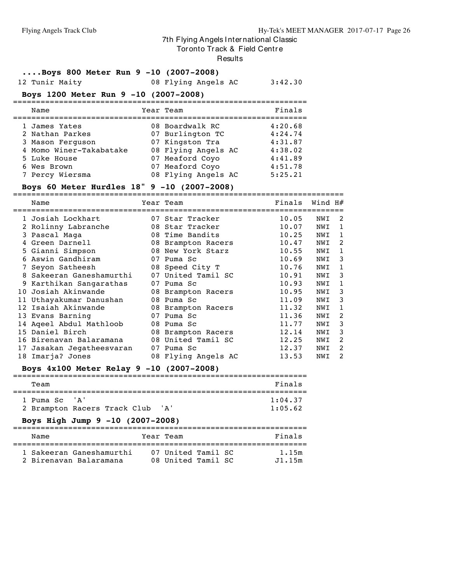Tor onto Track & Field Centre

#### Results

# **....Boys 800 Meter Run 9 -10 (2007-2008)**

08 Flying Angels AC 3:42.30

## **Boys 1200 Meter Run 9 -10 (2007-2008)**

| Name                    | Year Team           | Finals  |
|-------------------------|---------------------|---------|
| 1 James Yates           | 08 Boardwalk RC     | 4:20.68 |
| 2 Nathan Parkes         | 07 Burlington TC    | 4:24.74 |
| 3 Mason Ferguson        | 07 Kingston Tra     | 4:31.87 |
| 4 Momo Winer-Takabatake | 08 Flying Angels AC | 4:38.02 |
| 5 Luke House            | 07 Meaford Coyo     | 4:41.89 |
| 6 Wes Brown             | 07 Meaford Coyo     | 4:51.78 |
| 7 Percy Wiersma         | 08 Flying Angels AC | 5:25.21 |

#### **Boys 60 Meter Hurdles 18" 9 -10 (2007-2008)**

|    | Name                      |    | Year Team           | Finals | Wind $H#$ |                |
|----|---------------------------|----|---------------------|--------|-----------|----------------|
|    | 1 Josiah Lockhart         |    | 07 Star Tracker     | 10.05  | NWI       | 2              |
|    | 2 Rolinny Labranche       |    | 08 Star Tracker     | 10.07  | NWI       | $\mathbf{1}$   |
|    | 3 Pascal Maga             |    | 08 Time Bandits     | 10.25  | NWI       | 1              |
|    | Green Darnell             | 08 | Brampton Racers     | 10.47  | NWI       | 2              |
|    | 5 Gianni Simpson          |    | 08 New York Starz   | 10.55  | NWI       | $\mathbf{1}$   |
|    | Aswin Gandhiram           | 07 | Puma Sc             | 10.69  | NWI       | 3              |
|    | 7 Seyon Satheesh          |    | 08 Speed City T     | 10.76  | NWI       | $\mathbf{1}$   |
| 8  | Sakeeran Ganeshamurthi    | 07 | United Tamil SC     | 10.91  | NWI       | 3              |
|    | Karthikan Sangarathas     | 07 | Puma Sc             | 10.93  | NWI       | 1              |
|    | 10 Josiah Akinwande       |    | 08 Brampton Racers  | 10.95  | NWI       | 3              |
|    | 11 Uthayakumar Danushan   |    | 08 Puma Sc          | 11.09  | NWI       | 3              |
| 12 | Isaiah Akinwande          |    | 08 Brampton Racers  | 11.32  | NWI       | $\mathbf{1}$   |
|    | 13 Evans Barning          | 07 | Puma Sc             | 11.36  | NWI       | 2              |
|    | 14 Aqeel Abdul Mathloob   | 08 | Puma Sc             | 11.77  | NWI       | 3              |
|    | 15 Daniel Birch           |    | 08 Brampton Racers  | 12.14  | NWI       | 3              |
|    | 16 Birenavan Balaramana   |    | 08 United Tamil SC  | 12.25  | NWI       | 2              |
|    | 17 Jasakan Jegatheesvaran |    | 07 Puma Sc          | 12.37  | NWI       | 2              |
|    | 18 Imarja? Jones          |    | 08 Flying Angels AC | 13.53  | NWI       | $\overline{2}$ |

## **Boys 4x100 Meter Relay 9 -10 (2007-2008)**

| Team                                                                                           | Finals             |
|------------------------------------------------------------------------------------------------|--------------------|
| 1 Puma Sc. 'A'<br>2 Brampton Racers Track Club 'A'<br>Boys High Jump 9 -10 (2007-2008)         | 1:04.37<br>1:05.62 |
| Name<br>Year Team                                                                              | Finals             |
| 07 United Tamil SC<br>1 Sakeeran Ganeshamurthi<br>2 Birenayan Balaramana<br>08 United Tamil SC | 1.15m<br>J1.15m    |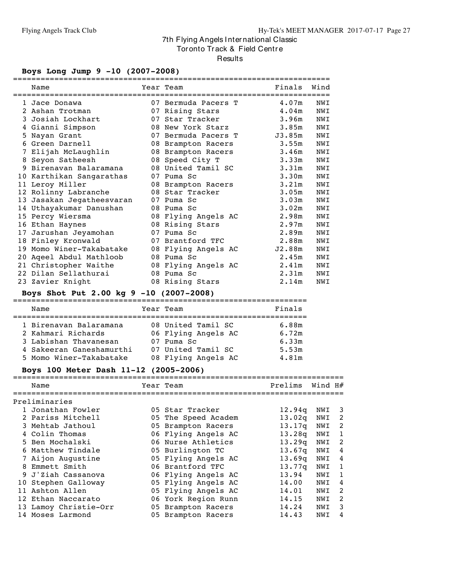Tor onto Track & Field Centre

Results

## **Boys Long Jump 9 -10 (2007-2008)**

|    | Name                                    | Year Team           | Finals            | Wind |
|----|-----------------------------------------|---------------------|-------------------|------|
|    | 1 Jace Donawa                           | 07 Bermuda Pacers T | 4.07m             | NWI  |
|    | 2 Ashan Trotman                         | 07 Rising Stars     | 4.04m             | NWI  |
|    | 3 Josiah Lockhart                       | 07 Star Tracker     | 3.96m             | NWI  |
|    | 4 Gianni Simpson                        | 08 New York Starz   | 3.85m             | NWI  |
|    | 5 Nayan Grant                           | 07 Bermuda Pacers T | J3.85m            | NWI  |
|    | 6 Green Darnell                         | 08 Brampton Racers  | 3.55m             | NWI  |
|    | 7 Elijah McLaughlin                     | 08 Brampton Racers  | 3.46m             | NWI  |
|    | 8 Seyon Satheesh                        | 08 Speed City T     | 3.33m             | NWI  |
| 9  | Birenavan Balaramana                    | 08 United Tamil SC  | 3.31m             | NWI  |
|    | 10 Karthikan Sangarathas                | 07 Puma Sc          | 3.30 <sub>m</sub> | NWI  |
|    | 11 Leroy Miller                         | 08 Brampton Racers  | 3.21m             | NWI  |
|    | 12 Rolinny Labranche                    | 08 Star Tracker     | 3.05 <sub>m</sub> | NWI  |
| 13 | Jasakan Jegatheesvaran                  | 07 Puma Sc          | 3.03 <sub>m</sub> | NWI  |
|    | 14 Uthayakumar Danushan                 | 08 Puma Sc          | 3.02m             | NWI  |
|    | 15 Percy Wiersma                        | 08 Flying Angels AC | 2.98m             | NWI  |
|    | 16 Ethan Haynes                         | 08 Rising Stars     | 2.97m             | NWI  |
|    | 17 Jarushan Jeyamohan                   | 07 Puma Sc          | 2.89m             | NWI  |
|    | 18 Finley Kronwald                      | 07 Brantford TFC    | 2.88m             | NWI  |
| 19 | Momo Winer-Takabatake                   | 08 Flying Angels AC | J2.88m            | NWI  |
|    | 20 Ageel Abdul Mathloob                 | 08 Puma Sc          | 2.45m             | NWI  |
|    | 21 Christopher Waithe                   | 08 Flying Angels AC | 2.41m             | NWI  |
|    | 22 Dilan Sellathurai                    | 08 Puma Sc          | 2.31 <sub>m</sub> | NWI  |
|    | 23 Zavier Knight                        | 08 Rising Stars     | 2.14m             | NWI  |
|    | Boys Shot Put 2.00 kg 9 -10 (2007-2008) |                     |                   |      |
|    | Name                                    | Year Team           | Finals            |      |

| 1 Birenavan Balaramana   | 08 United Tamil SC  | 6.88m |
|--------------------------|---------------------|-------|
| 2 Kahmari Richards       | 06 Flying Angels AC | 6.72m |
| 3 Labishan Thavanesan    | 07 Puma Sc          | 6.33m |
| 4 Sakeeran Ganeshamurthi | 07 United Tamil SC  | 5.53m |
| 5 Momo Winer-Takabatake  | 08 Flying Angels AC | 4.81m |

## **Boys 100 Meter Dash 11-12 (2005-2006)**

|   | Name                  | Year Team           | Prelims            | Wind H# |              |
|---|-----------------------|---------------------|--------------------|---------|--------------|
|   | Preliminaries         |                     |                    |         |              |
|   | 1 Jonathan Fowler     | 05 Star Tracker     | 12.94q             | NWI     | -3           |
|   | 2 Pariss Mitchell     | 05 The Speed Academ | 13.02 <sub>q</sub> | NWI     | 2            |
|   | 3 Mehtab Jathoul      | 05 Brampton Racers  | 13.17q             | NWI     | 2            |
|   | 4 Colin Thomas        | 06 Flying Angels AC | 13.28q             | NWI     | 1            |
|   | 5 Ben Mochalski       | 06 Nurse Athletics  | 13.29q             | NWI     | 2            |
|   | 6 Matthew Tindale     | 05 Burlington TC    | 13.67 <sub>q</sub> | NWI     | 4            |
|   | 7 Aijon Augustine     | 05 Flying Angels AC | 13.69q             | NWI     | 4            |
| 8 | Emmett Smith          | 06 Brantford TFC    | 13.77 <sub>q</sub> | NWI     | 1            |
|   | 9 J'Ziah Cassanova    | 06 Flying Angels AC | 13.94              | NWI     | $\mathbf{1}$ |
|   | 10 Stephen Galloway   | 05 Flying Angels AC | 14.00              | NWI     | 4            |
|   | 11 Ashton Allen       | 05 Flying Angels AC | 14.01              | NWI     | 2            |
|   | 12 Ethan Naccarato    | 06 York Region Runn | 14.15              | NWI     | 2            |
|   | 13 Lamoy Christie-Orr | 05 Brampton Racers  | 14.24              | NWI     | 3            |
|   | 14 Moses Larmond      | 05 Brampton Racers  | 14.43              | NWI     | 4            |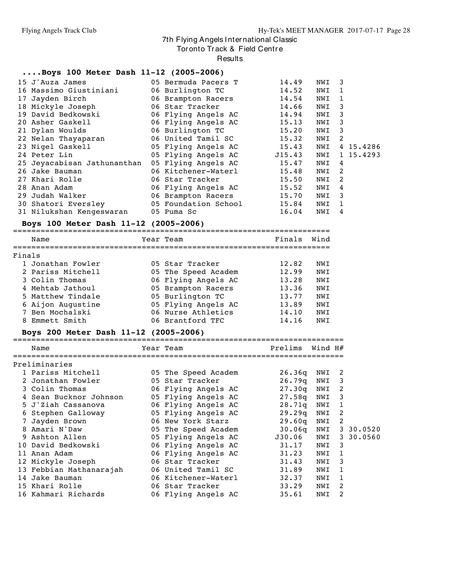Tor onto Track & Field Centre

Results

#### **....Boys 100 Meter Dash 11-12 (2005-2006)**

| 15 J'Auza James                                 | 05 Bermuda Pacers T        | 14.49 | NWI 3 |                            |           |
|-------------------------------------------------|----------------------------|-------|-------|----------------------------|-----------|
| 16 Massimo Giustiniani                          | 06 Burlington TC           | 14.52 | NWI 1 |                            |           |
| 17 Jayden Birch                                 | 06 Brampton Racers         | 14.54 | NWI   | $\mathbf{1}$               |           |
| 18 Mickyle Joseph                               | 06 Star Tracker            | 14.66 | NWI 3 |                            |           |
| 19 David Bedkowski                              | 06 Flying Angels AC        | 14.94 | NWI 3 |                            |           |
| 20 Asher Gaskell                                | 06 Flying Angels AC        | 15.13 | NWI 3 |                            |           |
| 21 Dylan Woulds                                 | 06 Burlington TC           | 15.20 | NWI 3 |                            |           |
| 22 Nelan Thayaparan                             | 06 United Tamil SC         | 15.32 | NWI   | $\overline{\phantom{0}}^2$ |           |
| 23 Nigel Gaskell                                | 05 Flying Angels AC        | 15.43 | NWI   |                            | 4 15.4286 |
| 24 Peter Lin                                    | 05 Flying Angels AC 515.43 |       | NWI   |                            | 1 15.4293 |
| 25 Jeyacabisan Jathunanthan 05 Flying Angels AC |                            | 15.47 | NWI   | 4                          |           |
| 26 Jake Bauman                                  | 06 Kitchener-Waterl        | 15.48 | NWI 2 |                            |           |
| 27 Khari Rolle                                  | 06 Star Tracker            | 15.50 | NWI 2 |                            |           |
| 28 Anan Adam                                    | 06 Flying Angels AC        | 15.52 | NWI   | 4                          |           |
| 29 Judah Walker                                 | 06 Brampton Racers         | 15.70 | NWI   | $\overline{\phantom{a}}$ 3 |           |
| 30 Shatori Eversley 65 Foundation School        |                            | 15.84 | NWI   | $\blacksquare$             |           |
| 31 Nilukshan Kengeswaran                        | 05 Puma Sc                 | 16.04 | NWI   | 4                          |           |
|                                                 |                            |       |       |                            |           |

#### **Boys 100 Meter Dash 11-12 (2005-2006)**

|        | Name              | Year Team           | Finals | Wind       |
|--------|-------------------|---------------------|--------|------------|
| Finals |                   |                     |        |            |
|        | 1 Jonathan Fowler | 05 Star Tracker     | 12.82  | NWT        |
|        | 2 Pariss Mitchell | 05 The Speed Academ | 12.99  | NWI        |
|        | 3 Colin Thomas    | 06 Flying Angels AC | 13.28  | NWI        |
|        | 4 Mehtab Jathoul  | 05 Brampton Racers  | 13.36  | NWI        |
|        | 5 Matthew Tindale | 05 Burlington TC    | 13.77  | <b>NWT</b> |
|        | 6 Aijon Augustine | 05 Flying Angels AC | 13.89  | NWI        |
|        | 7 Ben Mochalski   | 06 Nurse Athletics  | 14.10  | NWI        |
| 8      | Emmett Smith      | 06 Brantford TFC    | 14.16  | NWI        |

#### **Boys 200 Meter Dash 11-12 (2005-2006)**

| Name                    | Year Team           | Prelims | Wind H# |                         |           |
|-------------------------|---------------------|---------|---------|-------------------------|-----------|
| Preliminaries           |                     |         |         |                         |           |
| 1 Pariss Mitchell       | 05 The Speed Academ | 26.36q  | NWI 2   |                         |           |
| 2 Jonathan Fowler       | 05 Star Tracker     | 26.79q  | NWI     | $\overline{\mathbf{3}}$ |           |
| 3 Colin Thomas          | 06 Flying Angels AC | 27.30q  | NWI     | 2                       |           |
| 4 Sean Bucknor Johnson  | 05 Flying Angels AC | 27.58q  | NWI     | -3                      |           |
| 5 J'Ziah Cassanova      | 06 Flying Angels AC | 28.71g  | NWI     | 1                       |           |
| 6 Stephen Galloway      | 05 Flying Angels AC | 29.29q  | NWI     | 2                       |           |
| 7 Jayden Brown          | 06 New York Starz   | 29.60q  | NWI     | 2                       |           |
| 8 Amari N'Daw           | 05 The Speed Academ | 30.06q  | NWI     |                         | 3 30.0520 |
| 9 Ashton Allen          | 05 Flying Angels AC | J30.06  | NWI     |                         | 3 30.0560 |
| 10 David Bedkowski      | 06 Flying Angels AC | 31.17   | NWI     | $\overline{\mathbf{3}}$ |           |
| 11 Anan Adam            | 06 Flying Angels AC | 31.23   | NWI     | $\overline{1}$          |           |
| 12 Mickyle Joseph       | 06 Star Tracker     | 31.43   | NWI     | 3                       |           |
| 13 Febbian Mathanarajah | 06 United Tamil SC  | 31.89   | NWI     | -1                      |           |
| 14 Jake Bauman          | 06 Kitchener-Waterl | 32.37   | NWI     | 1                       |           |
| 15 Khari Rolle          | 06 Star Tracker     | 33.29   | NWI     | 2                       |           |
| 16 Kahmari Richards     | 06 Flying Angels AC | 35.61   | NWI     | 2                       |           |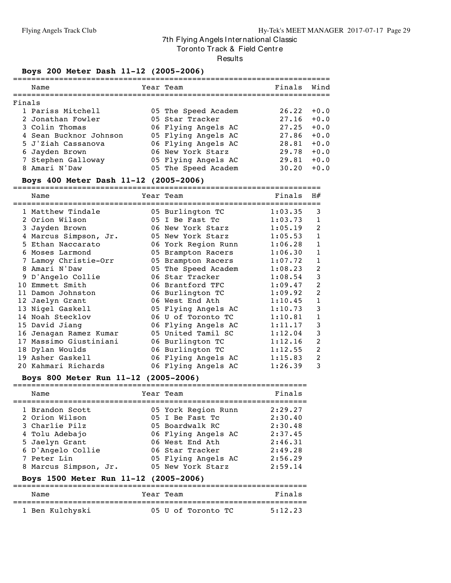Tor onto Track & Field Centre

#### **Results**

#### **Boys 200 Meter Dash 11-12 (2005-2006)**

|        | Name                   | Year Team           | Finals | Wind   |
|--------|------------------------|---------------------|--------|--------|
| Finals |                        |                     |        |        |
|        | 1 Pariss Mitchell      | 05 The Speed Academ | 26.22  | $+0.0$ |
|        | 2 Jonathan Fowler      | 05 Star Tracker     | 27.16  | $+0.0$ |
|        | 3 Colin Thomas         | 06 Flying Angels AC | 27.25  | $+0.0$ |
|        | 4 Sean Bucknor Johnson | 05 Flying Angels AC | 27.86  | $+0.0$ |
|        | 5 J'Ziah Cassanova     | 06 Flying Angels AC | 28.81  | $+0.0$ |
|        | 6 Jayden Brown         | 06 New York Starz   | 29.78  | $+0.0$ |
|        | 7 Stephen Galloway     | 05 Flying Angels AC | 29.81  | $+0.0$ |
|        | 8 Amari N'Daw          | 05 The Speed Academ | 30.20  | $+0.0$ |
|        |                        |                     |        |        |

#### **Boys 400 Meter Dash 11-12 (2005-2006)**

=================================================================== Name Year Team Finals H# =================================================================== 1 Matthew Tindale  $1.03.35$  3 Orion Wilson 05 I Be Fast Tc 1:03.73 1 Jayden Brown 06 New York Starz 1:05.19 2 Marcus Simpson, Jr. 05 New York Starz 1:05.53 1 Ethan Naccarato 06 York Region Runn 1:06.28 1 Moses Larmond 05 Brampton Racers 1:06.30 1 Lamoy Christie-Orr 05 Brampton Racers 1:07.72 1 Amari N'Daw 05 The Speed Academ 1:08.23 2 D'Angelo Collie 06 Star Tracker 1:08.54 3 Emmett Smith 06 Brantford TFC 1:09.47 2 Damon Johnston 06 Burlington TC 1:09.92 2 Jaelyn Grant 06 West End Ath 1:10.45 1 Nigel Gaskell 05 Flying Angels AC 1:10.73 3 Noah Stecklov 06 U of Toronto TC 1:10.81 1 David Jiang 06 Flying Angels AC 1:11.17 3 Jenagan Ramez Kumar 05 United Tamil SC 1:12.04 3 Massimo Giustiniani 06 Burlington TC 1:12.16 2 Dylan Woulds 06 Burlington TC 1:12.55 2 Asher Gaskell 06 Flying Angels AC 1:15.83 2 Kahmari Richards 06 Flying Angels AC 1:26.39 3

#### **Boys 800 Meter Run 11-12 (2005-2006)**

| Name                  | Year Team           | Finals  |
|-----------------------|---------------------|---------|
| 1 Brandon Scott       | 05 York Region Runn | 2:29.27 |
| 2 Orion Wilson        | 05 I Be Fast Tc     | 2:30.40 |
| 3 Charlie Pilz        | 05 Boardwalk RC     | 2:30.48 |
| 4 Tolu Adebajo        | 06 Flying Angels AC | 2:37.45 |
| 5 Jaelyn Grant        | 06 West End Ath     | 2:46.31 |
| 6 D'Angelo Collie     | 06 Star Tracker     | 2:49.28 |
| 7 Peter Lin           | 05 Flying Angels AC | 2:56.29 |
| 8 Marcus Simpson, Jr. | 05 New York Starz   | 2:59.14 |

#### **Boys 1500 Meter Run 11-12 (2005-2006)**

| Name            | Year Team          | Finals  |
|-----------------|--------------------|---------|
| 1 Ben Kulchyski | 05 U of Toronto TC | 5:12.23 |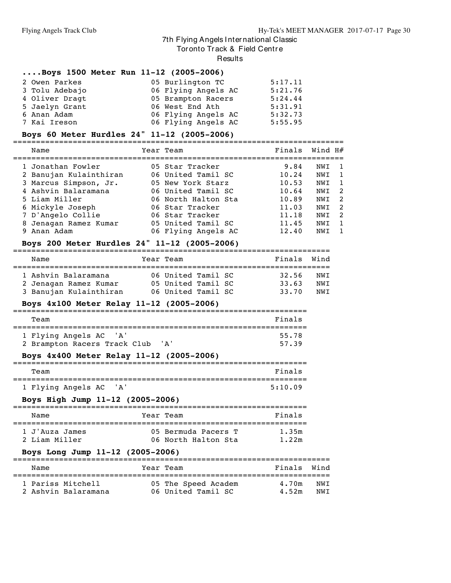Tor onto Track & Field Centre

Results

#### **....Boys 1500 Meter Run 11-12 (2005-2006)**

| 2 Owen Parkes  | 05 Burlington TC    | 5:17.11 |
|----------------|---------------------|---------|
| 3 Tolu Adebajo | 06 Flying Angels AC | 5:21.76 |
| 4 Oliver Dragt | 05 Brampton Racers  | 5:24.44 |
| 5 Jaelyn Grant | 06 West End Ath     | 5:31.91 |
| 6 Anan Adam    | 06 Flying Angels AC | 5:32.73 |
| 7 Kai Ireson   | 06 Flying Angels AC | 5:55.95 |

#### **Boys 60 Meter Hurdles 24" 11-12 (2005-2006)**

======================================================================== Name Year Team Finals Wind H# ======================================================================== Jonathan Fowler 05 Star Tracker 9.84 NWI 1 Banujan Kulainthiran 06 United Tamil SC 10.24 NWI 1 Marcus Simpson, Jr. 05 New York Starz 10.53 NWI 1 Ashvin Balaramana 06 United Tamil SC 10.64 NWI 2 Liam Miller 06 North Halton Sta 10.89 NWI 2 Mickyle Joseph 06 Star Tracker 11.03 NWI 2 D'Angelo Collie 06 Star Tracker 11.18 NWI 2 Jenagan Ramez Kumar 05 United Tamil SC 11.45 NWI 1 Anan Adam 06 Flying Angels AC 12.40 NWI 1

#### **Boys 200 Meter Hurdles 24" 11-12 (2005-2006)**

| Name                                                                   |  | Year Team                                                      |  |  | Finals                  | Wind              |  |  |  |  |
|------------------------------------------------------------------------|--|----------------------------------------------------------------|--|--|-------------------------|-------------------|--|--|--|--|
| 1 Ashvin Balaramana<br>2 Jenagan Ramez Kumar<br>3 Banujan Kulainthiran |  | 06 United Tamil SC<br>05 United Tamil SC<br>06 United Tamil SC |  |  | 32.56<br>33.63<br>33.70 | NWT<br>NWT<br>NWT |  |  |  |  |

#### **Boys 4x100 Meter Relay 11-12 (2005-2006)**

| Team                                  | Finals |
|---------------------------------------|--------|
|                                       |        |
| 1 Flying Angels AC 'A'                | 55.78  |
| 2 Brampton Racers Track Club<br>' A ' | 57.39  |

#### **Boys 4x400 Meter Relay 11-12 (2005-2006)**

| Team                   |  | Finals  |  |  |  |  |
|------------------------|--|---------|--|--|--|--|
|                        |  |         |  |  |  |  |
| 1 Flying Angels AC 'A' |  | 5:10.09 |  |  |  |  |

#### **Boys High Jump 11-12 (2005-2006)**

| Name                             |  | Year Team                                  | Finals         |  |  |  |  |
|----------------------------------|--|--------------------------------------------|----------------|--|--|--|--|
| 1 J'Auza James<br>2 Liam Miller  |  | 05 Bermuda Pacers T<br>06 North Halton Sta | 1.35m<br>1.22m |  |  |  |  |
| Boys Long Jump 11-12 (2005-2006) |  |                                            |                |  |  |  |  |

#### ===================================================================== Name Tear Team Name Finals Wind ===================================================================== 1 Pariss Mitchell 05 The Speed Academ 4.70m NWI 2 Ashvin Balaramana 06 United Tamil SC 4.52m NWI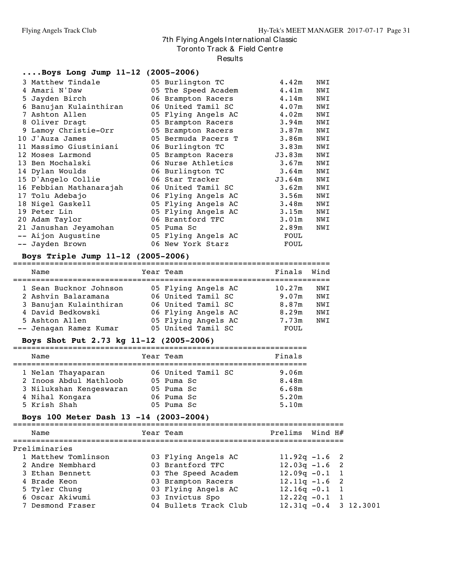Tor onto Track & Field Centre

#### **Results**

#### **....Boys Long Jump 11-12 (2005-2006)** Matthew Tindale 05 Burlington TC 4.42m NWI Amari N'Daw 05 The Speed Academ 4.41m NWI Jayden Birch 06 Brampton Racers 4.14m NWI Banujan Kulainthiran 06 United Tamil SC 4.07m NWI Ashton Allen 05 Flying Angels AC 4.02m NWI Oliver Dragt 05 Brampton Racers 3.94m NWI Lamoy Christie-Orr 05 Brampton Racers 3.87m NWI J'Auza James 05 Bermuda Pacers T 3.86m NWI Massimo Giustiniani 06 Burlington TC 3.83m NWI Moses Larmond 05 Brampton Racers J3.83m NWI Ben Mochalski 06 Nurse Athletics 3.67m NWI Dylan Woulds 06 Burlington TC 3.64m NWI D'Angelo Collie 06 Star Tracker J3.64m NWI Febbian Mathanarajah 06 United Tamil SC 3.62m NWI Tolu Adebajo 06 Flying Angels AC 3.56m NWI Nigel Gaskell 05 Flying Angels AC 3.48m NWI Peter Lin 05 Flying Angels AC 3.15m NWI Adam Taylor 06 Brantford TFC 3.01m NWI Janushan Jeyamohan 05 Puma Sc 2.89m NWI -- Aijon Augustine 05 Flying Angels AC FOUL -- Jayden Brown 06 New York Starz FOUL

#### **Boys Triple Jump 11-12 (2005-2006)**

|  | Boys Triple Jump 11-12 (2005-2006) |           |                     |        |      |
|--|------------------------------------|-----------|---------------------|--------|------|
|  | Name                               | Year Team |                     | Finals | Wind |
|  | 1 Sean Bucknor Johnson             |           | 05 Flying Angels AC | 10.27m | NWI  |
|  | 2 Ashvin Balaramana                |           | 06 United Tamil SC  | 9.07m  | NWI  |
|  | 3 Banujan Kulainthiran             |           | 06 United Tamil SC  | 8.87m  | NWI  |
|  | 4 David Bedkowski                  |           | 06 Flying Angels AC | 8.29m  | NWI  |
|  | 5 Ashton Allen                     |           | 05 Flying Angels AC | 7.73m  | NWI  |
|  | -- Jenagan Ramez Kumar             |           | 05 United Tamil SC  | FOUL   |      |
|  |                                    |           |                     |        |      |

#### **Boys Shot Put 2.73 kg 11-12 (2005-2006)**

| Name                    |  | Year Team          | Finals |  |  |  |  |  |  |  |
|-------------------------|--|--------------------|--------|--|--|--|--|--|--|--|
|                         |  |                    |        |  |  |  |  |  |  |  |
| 1 Nelan Thayaparan      |  | 06 United Tamil SC | 9.06m  |  |  |  |  |  |  |  |
| 2 Inoos Abdul Mathloob  |  | 05 Puma Sc         | 8.48m  |  |  |  |  |  |  |  |
| 3 Nilukshan Kengeswaran |  | 05 Puma Sc         | 6.68m  |  |  |  |  |  |  |  |
| 4 Nihal Kongara         |  | 06 Puma Sc         | 5.20m  |  |  |  |  |  |  |  |
| 5 Krish Shah            |  | $05$ Puma Sc       | 5.10m  |  |  |  |  |  |  |  |

#### **Boys 100 Meter Dash 13 -14 (2003-2004)**

| Name                | Year Team             | Prelims Wind H#          |  |
|---------------------|-----------------------|--------------------------|--|
| Preliminaries       |                       |                          |  |
| 1 Matthew Tomlinson | 03 Flying Angels AC   | $11.92q - 1.6$ 2         |  |
| 2 Andre Nembhard    | 03 Brantford TFC      | $12.03q - 1.6$ 2         |  |
| 3 Ethan Bennett     | 03 The Speed Academ   | $12.09q - 0.1$ 1         |  |
| 4 Brade Keon        | 03 Brampton Racers    | $12.11q - 1.6$ 2         |  |
| 5 Tyler Chung       | 03 Flying Angels AC   | $12.16q - 0.1$ 1         |  |
| 6 Oscar Akiwumi     | 03 Invictus Spo       | $12.22q - 0.1$ 1         |  |
| 7 Desmond Fraser    | 04 Bullets Track Club | $12.31q - 0.4$ 3 12.3001 |  |
|                     |                       |                          |  |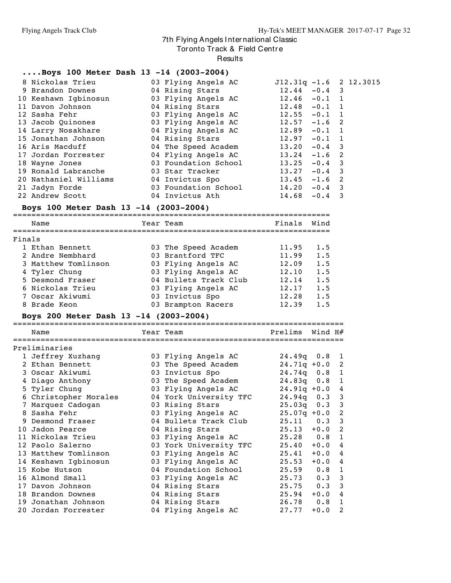Tor onto Track & Field Centre

Results

#### **....Boys 100 Meter Dash 13 -14 (2003-2004)**

| 8 Nickolas Trieu                                     | 03 Flying Angels AC 512.31q -1.6 2 12.3015 |                 |  |  |
|------------------------------------------------------|--------------------------------------------|-----------------|--|--|
| 9 Brandon Downes                                     | 04 Rising Stars 12.44 -0.4 3               |                 |  |  |
| 10 Keshawn Igbinosun             03 Flying Angels AC |                                            | $12.46 - 0.1 1$ |  |  |
| 11 Davon Johnson                                     | 04 Rising Stars 12.48 -0.1 1               |                 |  |  |
| 12 Sasha Fehr                                        | 03 Flying Angels AC 12.55 -0.1 1           |                 |  |  |
| 13 Jacob Quinones                                    | 03 Flying Angels AC 12.57 -1.6 2           |                 |  |  |
| 14 Larry Nosakhare                                   | 04 Flying Angels AC 12.89 -0.1 1           |                 |  |  |
| 15 Jonathan Johnson                                  | 04 Rising Stars 12.97 -0.1 1               |                 |  |  |
| 16 Aris Macduff                                      | 04 The Speed Academ 13.20 -0.4 3           |                 |  |  |
| 17 Jordan Forrester                                  | 04 Flying Angels AC 13.24 -1.6 2           |                 |  |  |
| 18 Wayne Jones                                       | 03 Foundation School $13.25$ $-0.4$ 3      |                 |  |  |
| 19 Ronald Labranche                                  |                                            |                 |  |  |
| 20 Nathaniel Williams 04 Invictus Spo 13.45 -1.6 2   |                                            |                 |  |  |
| 21 Jadyn Forde 63 Foundation School 14.20 -0.4 3     |                                            |                 |  |  |
| 22 Andrew Scott 64 Invictus Ath 14.68 -0.4 3         |                                            |                 |  |  |
|                                                      |                                            |                 |  |  |

#### **Boys 100 Meter Dash 13 -14 (2003-2004)**

=====================================================================

|        | Name                | Year Team             | Finals | Wind |
|--------|---------------------|-----------------------|--------|------|
| Finals |                     |                       |        |      |
|        | 1 Ethan Bennett     | 03 The Speed Academ   | 11.95  | 1.5  |
|        | 2 Andre Nembhard    | 03 Brantford TFC      | 11.99  | 1.5  |
|        | 3 Matthew Tomlinson | 03 Flying Angels AC   | 12.09  | 1.5  |
|        | 4 Tyler Chung       | 03 Flying Angels AC   | 12.10  | 1.5  |
|        | 5 Desmond Fraser    | 04 Bullets Track Club | 12.14  | 1.5  |
|        | 6 Nickolas Trieu    | 03 Flying Angels AC   | 12.17  | 1.5  |
|        | 7 Oscar Akiwumi     | 03 Invictus Spo       | 12.28  | 1.5  |
|        | 8 Brade Keon        | 03 Brampton Racers    | 12.39  | 1.5  |
|        |                     |                       |        |      |

#### **Boys 200 Meter Dash 13 -14 (2003-2004)**

======================================================================== Name Year Team Prelims Wind H# ======================================================================== Preliminaries Jeffrey Xuzhang 03 Flying Angels AC 24.49q 0.8 1 Ethan Bennett 03 The Speed Academ 24.71q +0.0 2 Oscar Akiwumi 03 Invictus Spo 24.74q 0.8 1 Diago Anthony 03 The Speed Academ 24.83q 0.8 1 Tyler Chung 03 Flying Angels AC 24.91q +0.0 4 Christopher Morales 04 York University TFC 24.94q 0.3 3 Marquez Cadogan 03 Rising Stars 25.03q 0.3 3 Sasha Fehr 03 Flying Angels AC 25.07q +0.0 2 Desmond Fraser 04 Bullets Track Club 25.11 0.3 3 Jadon Pearce 04 Rising Stars 25.13 +0.0 2 Nickolas Trieu 03 Flying Angels AC 25.28 0.8 1 Paolo Salerno 03 York University TFC 25.40 +0.0 4 Matthew Tomlinson 03 Flying Angels AC 25.41 +0.0 4 Keshawn Igbinosun 03 Flying Angels AC 25.53 +0.0 4 Kobe Hutson 04 Foundation School 25.59 0.8 1 Almond Small 03 Flying Angels AC 25.73 0.3 3 Davon Johnson 04 Rising Stars 25.75 0.3 3 Brandon Downes 04 Rising Stars 25.94 +0.0 4 Jonathan Johnson 04 Rising Stars 26.78 0.8 1 Jordan Forrester 04 Flying Angels AC 27.77 +0.0 2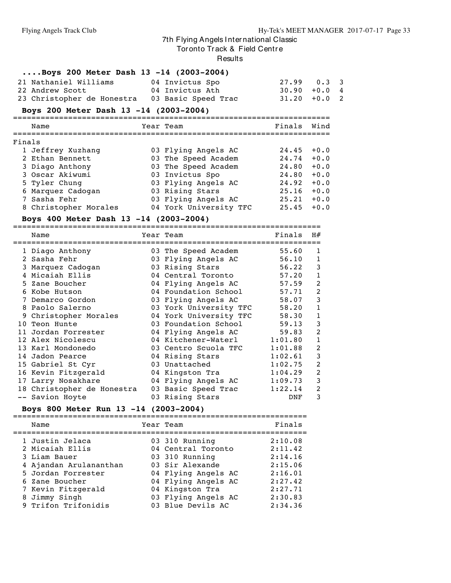Tor onto Track & Field Centre

#### Results

| Boys 200 Meter Dash 13 -14 (2003-2004)         |  |                 |                |  |  |  |  |  |
|------------------------------------------------|--|-----------------|----------------|--|--|--|--|--|
| 21 Nathaniel Williams                          |  | 04 Invictus Spo | $27.99$ 0.3 3  |  |  |  |  |  |
| 22 Andrew Scott                                |  | 04 Invictus Ath | $30.90 + 0.04$ |  |  |  |  |  |
| 23 Christopher de Honestra 03 Basic Speed Trac |  |                 | $31.20 + 0.02$ |  |  |  |  |  |

#### **Boys 200 Meter Dash 13 -14 (2003-2004)**

|        | Name                  | Year Team              | Finals | Wind   |
|--------|-----------------------|------------------------|--------|--------|
| Finals |                       |                        |        |        |
|        | 1 Jeffrey Xuzhang     | 03 Flying Angels AC    | 24.45  | $+0.0$ |
|        | 2 Ethan Bennett       | 03 The Speed Academ    | 24.74  | $+0.0$ |
|        | 3 Diago Anthony       | 03 The Speed Academ    | 24.80  | $+0.0$ |
|        | 3 Oscar Akiwumi       | 03 Invictus Spo        | 24.80  | $+0.0$ |
|        | 5 Tyler Chung         | 03 Flying Angels AC    | 24.92  | $+0.0$ |
|        | 6 Marquez Cadogan     | 03 Rising Stars        | 25.16  | $+0.0$ |
|        | 7 Sasha Fehr          | 03 Flying Angels AC    | 25.21  | $+0.0$ |
|        | 8 Christopher Morales | 04 York University TFC | 25.45  | $+0.0$ |

#### **Boys 400 Meter Dash 13 -14 (2003-2004)**

===================================================================

|    | Name                       | Year Team              | Finals  | H#             |
|----|----------------------------|------------------------|---------|----------------|
|    | 1 Diago Anthony            | 03 The Speed Academ    | 55.60   | 1              |
|    | 2 Sasha Fehr               | 03 Flying Angels AC    | 56.10   | 1              |
|    | 3 Marquez Cadogan          | 03 Rising Stars        | 56.22   | 3              |
|    | 4 Micaiah Ellis            | 04 Central Toronto     | 57.20   | 1              |
|    | 5 Zane Boucher             | 04 Flying Angels AC    | 57.59   | 2              |
|    | 6 Kobe Hutson              | 04 Foundation School   | 57.71   | $\overline{2}$ |
|    | 7 Demarco Gordon           | 03 Flying Angels AC    | 58.07   | 3              |
|    | 8 Paolo Salerno            | 03 York University TFC | 58.20   | 1              |
|    | 9 Christopher Morales      | 04 York University TFC | 58.30   | $\mathbf 1$    |
| 10 | Teon Hunte                 | 03 Foundation School   | 59.13   | 3              |
|    | 11 Jordan Forrester        | 04 Flying Angels AC    | 59.83   | 2              |
|    | 12 Alex Nicolescu          | 04 Kitchener-Waterl    | 1:01.80 | $\mathbf 1$    |
|    | 13 Karl Mondonedo          | 03 Centro Scuola TFC   | 1:01.88 | 2              |
|    | 14 Jadon Pearce            | 04 Rising Stars        | 1:02.61 | 3              |
|    | 15 Gabriel St Cyr          | 03 Unattached          | 1:02.75 | 2              |
|    | 16 Kevin Fitzgerald        | 04 Kingston Tra        | 1:04.29 | 2              |
|    | 17 Larry Nosakhare         | 04 Flying Angels AC    | 1:09.73 | 3              |
|    | 18 Christopher de Honestra | 03 Basic Speed Trac    | 1:22.14 | 2              |
|    | -- Savion Hoyte            | 03 Rising Stars        | DNF     | 3              |

#### **Boys 800 Meter Run 13 -14 (2003-2004)**

| Name                   | Year Team           | Finals  |
|------------------------|---------------------|---------|
| 1 Justin Jelaca        | 03 310 Running      | 2:10.08 |
| 2 Micaiah Ellis        | 04 Central Toronto  | 2:11.42 |
| 3 Liam Bauer           | 03 310 Running      | 2:14.16 |
| 4 Ajandan Arulananthan | 03 Sir Alexande     | 2:15.06 |
| 5 Jordan Forrester     | 04 Flying Angels AC | 2:16.01 |
| 6 Zane Boucher         | 04 Flying Angels AC | 2:27.42 |
| 7 Kevin Fitzgerald     | 04 Kingston Tra     | 2:27.71 |
| 8 Jimmy Singh          | 03 Flying Angels AC | 2:30.83 |
| 9 Trifon Trifonidis    | 03 Blue Devils AC   | 2:34.36 |
|                        |                     |         |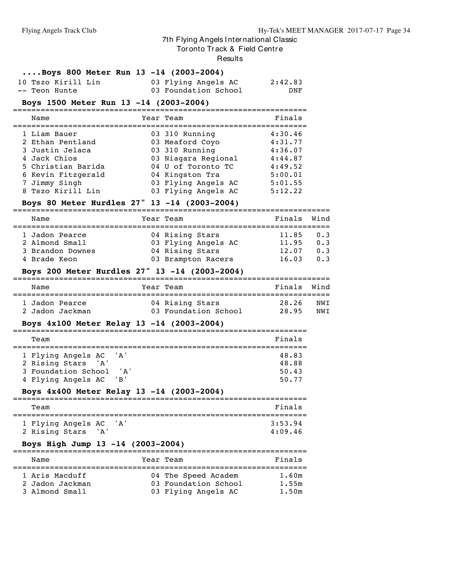#### Tor onto Track & Field Centre

**Results** 

|  |  |  |  |  |  | Boys 800 Meter Run 13 -14 (2003-2004) |
|--|--|--|--|--|--|---------------------------------------|
|--|--|--|--|--|--|---------------------------------------|

|  | 10 Tszo Kirill Lin | 03 Flying Angels AC  | 2:42.83 |     |
|--|--------------------|----------------------|---------|-----|
|  | -- Teon Hunte      | 03 Foundation School |         | DNF |

#### **Boys 1500 Meter Run 13 -14 (2003-2004)**

| Name               | Year Team           | Finals  |
|--------------------|---------------------|---------|
|                    |                     |         |
| 1 Liam Bauer       | 03 310 Running      | 4:30.46 |
| 2 Ethan Pentland   | 03 Meaford Coyo     | 4:31.77 |
| 3 Justin Jelaca    | 03 310 Running      | 4:36.07 |
| 4 Jack Chios       | 03 Niagara Regional | 4:44.87 |
| 5 Christian Barida | 04 U of Toronto TC  | 4:49.52 |
| 6 Kevin Fitzgerald | 04 Kingston Tra     | 5:00.01 |
| 7 Jimmy Singh      | 03 Flying Angels AC | 5:01.55 |
| 8 Tszo Kirill Lin  | 03 Flying Angels AC | 5:12.22 |

#### **Boys 80 Meter Hurdles 27" 13 -14 (2003-2004)**

| Name                                                                 | Year Team                                                                       | Finals Wind                      |                          |
|----------------------------------------------------------------------|---------------------------------------------------------------------------------|----------------------------------|--------------------------|
| 1 Jadon Pearce<br>2 Almond Small<br>3 Brandon Downes<br>4 Brade Keon | 04 Rising Stars<br>03 Flying Angels AC<br>04 Rising Stars<br>03 Brampton Racers | 11.85<br>11.95<br>12.07<br>16.03 | 0.3<br>0.3<br>0.3<br>0.3 |

#### **Boys 200 Meter Hurdles 27" 13 -14 (2003-2004)**

| Name            | Year Team            | Finals Wind |     |
|-----------------|----------------------|-------------|-----|
| 1 Jadon Pearce  | 04 Rising Stars      | 28.26       | NWT |
| 2 Jadon Jackman | 03 Foundation School | 28.95       | NWT |

#### **Boys 4x100 Meter Relay 13 -14 (2003-2004)**

| Team                                                                                  |                    | Finals                           |  |  |  |  |  |  |
|---------------------------------------------------------------------------------------|--------------------|----------------------------------|--|--|--|--|--|--|
| 1 Flying Angels AC<br>2 Rising Stars 'A'<br>3 Foundation School<br>4 Flying Angels AC | 'A'<br>י בי<br>'R' | 48.83<br>48.88<br>50.43<br>50.77 |  |  |  |  |  |  |

#### **Boys 4x400 Meter Relay 13 -14 (2003-2004)**

| Team               |       |     | Finals  |  |
|--------------------|-------|-----|---------|--|
| 1 Flying Angels AC |       | 'A' | 3:53.94 |  |
| 2 Rising Stars     | ' A ' |     | 4:09.46 |  |

### **Boys High Jump 13 -14 (2003-2004)**

| Name                              | Year Team                                   | Finals         |
|-----------------------------------|---------------------------------------------|----------------|
| 1 Aris Macduff<br>2 Jadon Jackman | 04 The Speed Academ<br>03 Foundation School | 1.60m<br>1.55m |
| 3 Almond Small                    | 03 Flying Angels AC                         | 1.50m          |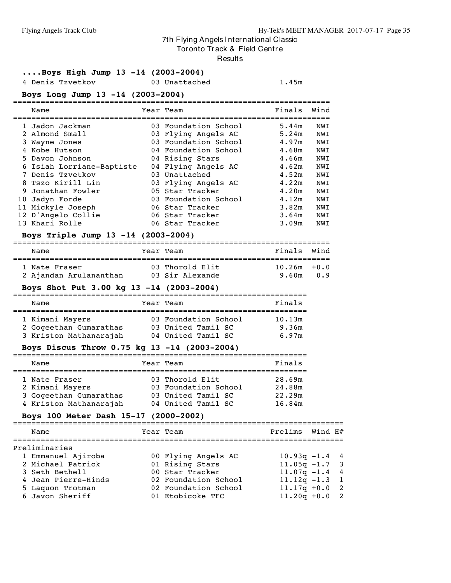Tor onto Track & Field Centre

#### Results

#### **....Boys High Jump 13 -14 (2003-2004)**

4 Denis Tzvetkov 03 Unattached 1.45m

#### **Boys Long Jump 13 -14 (2003-2004)**

|  | Name                      | Year Team            | Finals | Wind |
|--|---------------------------|----------------------|--------|------|
|  |                           |                      |        |      |
|  | 1 Jadon Jackman           | 03 Foundation School | 5.44m  | NWI  |
|  | 2 Almond Small            | 03 Flying Angels AC  | 5.24m  | NWI  |
|  | 3 Wayne Jones             | 03 Foundation School | 4.97m  | NWI  |
|  | 4 Kobe Hutson             | 04 Foundation School | 4.68m  | NWI  |
|  | 5 Davon Johnson           | 04 Rising Stars      | 4.66m  | NWI  |
|  | 6 Isiah Lorriane-Baptiste | 04 Flying Angels AC  | 4.62m  | NWI  |
|  | 7 Denis Tzvetkov          | 03 Unattached        | 4.52m  | NWI  |
|  | 8 Tszo Kirill Lin         | 03 Flying Angels AC  | 4.22m  | NWI  |
|  | 9 Jonathan Fowler         | 05 Star Tracker      | 4.20m  | NWI  |
|  | 10 Jadyn Forde            | 03 Foundation School | 4.12m  | NWI  |
|  | 11 Mickyle Joseph         | 06 Star Tracker      | 3.82m  | NWI  |
|  | 12 D'Angelo Collie        | 06 Star Tracker      | 3.64m  | NWI  |
|  | 13 Khari Rolle            | 06 Star Tracker      | 3.09m  | NWI  |
|  |                           |                      |        |      |

#### **Boys Triple Jump 13 -14 (2003-2004)**

#### ===================================================================== Finals Wind

| ------                 |                 | - - - - - - -  | $\cdots$ |
|------------------------|-----------------|----------------|----------|
|                        |                 |                |          |
| l Nate Fraser          | 03 Thorold Elit | $10.26m + 0.0$ |          |
| 2 Ajandan Arulananthan | 03 Sir Alexande | 9.60m 0.9      |          |

#### **Boys Shot Put 3.00 kg 13 -14 (2003-2004)**

| Name                                                                | Year Team                                                        | Finals                   |
|---------------------------------------------------------------------|------------------------------------------------------------------|--------------------------|
| 1 Kimani Mayers<br>2 Gogeethan Gumarathas<br>3 Kriston Mathanarajah | 03 Foundation School<br>03 United Tamil SC<br>04 United Tamil SC | 10.13m<br>9.36m<br>6.97m |

#### **Boys Discus Throw 0.75 kg 13 -14 (2003-2004)**

| Name                                                                                 | Year Team                                                                           | Finals                               |
|--------------------------------------------------------------------------------------|-------------------------------------------------------------------------------------|--------------------------------------|
| 1 Nate Fraser<br>2 Kimani Mayers<br>3 Gogeethan Gumarathas<br>4 Kriston Mathanarajah | 03 Thorold Elit<br>03 Foundation School<br>03 United Tamil SC<br>04 United Tamil SC | 28.69m<br>24.88m<br>22.29m<br>16.84m |

## **Boys 100 Meter Dash 15-17 (2000-2002)**

| Name                | Year Team            | Prelims Wind H#  |  |
|---------------------|----------------------|------------------|--|
| Preliminaries       |                      |                  |  |
| 1 Emmanuel Ajiroba  | 00 Flying Angels AC  | $10.93q - 1.4$ 4 |  |
| 2 Michael Patrick   | 01 Rising Stars      | $11.05q - 1.7$ 3 |  |
| 3 Seth Bethell      | 00 Star Tracker      | $11.07q - 1.4$ 4 |  |
| 4 Jean Pierre-Hinds | 02 Foundation School | $11.12q - 1.3$ 1 |  |
| 5 Laquon Trotman    | 02 Foundation School | $11.17q + 0.0$ 2 |  |
| 6 Javon Sheriff     | 01 Etobicoke TFC     | $11.20q + 0.0$ 2 |  |
|                     |                      |                  |  |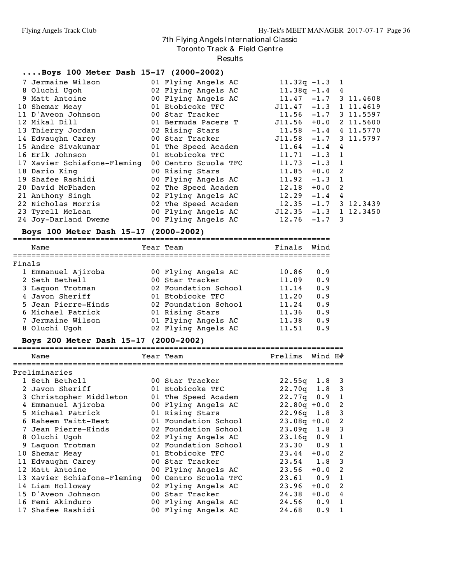Tor onto Track & Field Centre

Results

#### **....Boys 100 Meter Dash 15-17 (2000-2002)**

| 7 Jermaine Wilson           | 01 Flying Angels AC                       | $11.32q - 1.3$ 1             |          |                         |
|-----------------------------|-------------------------------------------|------------------------------|----------|-------------------------|
| 8 Oluchi Uqoh               | 02 Flying Angels AC                       | $11.38q - 1.4$ 4             |          |                         |
| 9 Matt Antoine              | 00 Flying Angels AC                       |                              |          | $11.47 - 1.7$ 3 11.4608 |
| 10 Shemar Meay              | 01 Etobicoke TFC                          | $J11.47 -1.3 1 11.4619$      |          |                         |
| 11 D'Aveon Johnson          | 00 Star Tracker                           |                              |          | $11.56 -1.7$ 3 11.5597  |
| 12 Mikal Dill               | 01 Bermuda Pacers T                       | $J11.56 + 0.0 2 11.5600$     |          |                         |
| 13 Thierry Jordan           | 02 Rising Stars                           | $11.58$ $-1.4$ $4$ $11.5770$ |          |                         |
| 14 Edvaughn Carey           | 00 Star Tracker                           | $J11.58 -1.7 3 11.5797$      |          |                         |
| 15 Andre Sivakumar          | 01 The Speed Academ $11.64 -1.4$ 4        |                              |          |                         |
| 16 Erik Johnson             | 01 Etobicoke TFC                          | $11.71 - 1.3$ 1              |          |                         |
| 17 Xavier Schiafone-Fleming | 00 Centro Scuola TFC                      | $11.73 - 1.3$ 1              |          |                         |
| 18 Dario King               | 00 Rising Stars                           | $11.85 + 0.0$ 2              |          |                         |
| 19 Shafee Rashidi           | 00 Flying Angels AC                       | $11.92 - 1.3$ 1              |          |                         |
| 20 David McPhaden           | 02 The Speed Academ                       | 12.18                        | $+0.0$ 2 |                         |
| 21 Anthony Singh            | 02 Flying Angels AC                       | $12.29 -1.4$ 4               |          |                         |
| 22 Nicholas Morris          | 02 The Speed Academ                       |                              |          | $12.35 -1.7$ 3 12.3439  |
| 23 Tyrell McLean            | 00 Flying Angels AC 512.35 -1.3 1 12.3450 |                              |          |                         |
| 24 Joy-Darland Dweme        | 00 Flying Angels AC                       | $12.76 - 1.7$ 3              |          |                         |

## **Boys 100 Meter Dash 15-17 (2000-2002)**

|        | Name                | Year Team            | Finals | Wind |
|--------|---------------------|----------------------|--------|------|
| Finals |                     |                      |        |      |
|        | 1 Emmanuel Ajiroba  | 00 Flying Angels AC  | 10.86  | 0.9  |
|        | 2 Seth Bethell      | 00 Star Tracker      | 11.09  | 0.9  |
|        | 3 Laquon Trotman    | 02 Foundation School | 11.14  | 0.9  |
|        | 4 Javon Sheriff     | 01 Etobicoke TFC     | 11.20  | 0.9  |
|        | 5 Jean Pierre-Hinds | 02 Foundation School | 11.24  | 0.9  |
|        | 6 Michael Patrick   | 01 Rising Stars      | 11.36  | 0.9  |
|        | 7 Jermaine Wilson   | 01 Flying Angels AC  | 11.38  | 0.9  |
|        | 8 Oluchi Ugoh       | 02 Flying Angels AC  | 11.51  | 0.9  |
|        |                     |                      |        |      |

## **Boys 200 Meter Dash 15-17 (2000-2002)**

| Name                        |  | Year Team            | Prelims          | Wind H# |                |  |  |  |  |
|-----------------------------|--|----------------------|------------------|---------|----------------|--|--|--|--|
| Preliminaries               |  |                      |                  |         |                |  |  |  |  |
| 1 Seth Bethell              |  | 00 Star Tracker      | $22.55q$ 1.8     |         | -3             |  |  |  |  |
| 2 Javon Sheriff             |  | 01 Etobicoke TFC     | 22.70q           | 1.8     | 3              |  |  |  |  |
| 3 Christopher Middleton     |  | 01 The Speed Academ  | $22.77q$ 0.9     |         | 1              |  |  |  |  |
| 4 Emmanuel Ajiroba          |  | 00 Flying Angels AC  | $22.80q + 0.0$   |         | -2             |  |  |  |  |
| 5 Michael Patrick           |  | 01 Rising Stars      | $22.96q$ $1.8$   |         | -3             |  |  |  |  |
| 6 Raheem Taitt-Best         |  | 01 Foundation School | $23.08q + 0.0$   |         | 2              |  |  |  |  |
| 7 Jean Pierre-Hinds         |  | 02 Foundation School | $23.09q$ 1.8     |         | 3              |  |  |  |  |
| 8 Oluchi Ugoh               |  | 02 Flying Angels AC  | $23.16q$ 0.9     |         | 1              |  |  |  |  |
| 9 Laquon Trotman            |  | 02 Foundation School | $23.30\qquad0.9$ |         | $\mathbf{1}$   |  |  |  |  |
| 10 Shemar Meay              |  | 01 Etobicoke TFC     | $23.44 + 0.0$    |         | -2             |  |  |  |  |
| 11 Edvaughn Carey           |  | 00 Star Tracker      | $23.54$ 1.8      |         | 3              |  |  |  |  |
| 12 Matt Antoine             |  | 00 Flying Angels AC  | 23.56            | $+0.0$  | $\overline{2}$ |  |  |  |  |
| 13 Xavier Schiafone-Fleming |  | 00 Centro Scuola TFC | $23.61$ 0.9      |         | $\mathbf{1}$   |  |  |  |  |
| 14 Liam Holloway            |  | 02 Flying Angels AC  | 23.96            | $+0.0$  | 2              |  |  |  |  |
| 15 D'Aveon Johnson          |  | 00 Star Tracker      | 24.38            | $+0.0$  | 4              |  |  |  |  |
| 16 Femi Akinduro            |  | 00 Flying Angels AC  | 24.56            | 0.9     | $\mathbf{1}$   |  |  |  |  |
| 17 Shafee Rashidi           |  | 00 Flying Angels AC  | 24.68            | 0.9     | 1              |  |  |  |  |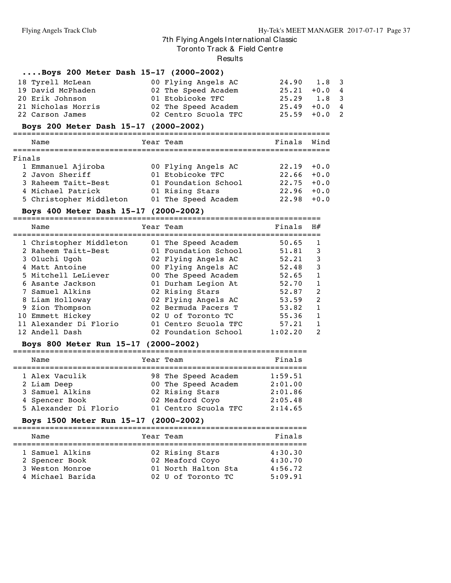Tor onto Track & Field Centre

Results

#### **....Boys 200 Meter Dash 15-17 (2000-2002)**

| 18 Tyrell McLean   | 00 Flying Angels AC  | $24.90 \t1.8 \t3$ |  |
|--------------------|----------------------|-------------------|--|
| 19 David McPhaden  | 02 The Speed Academ  | $25.21 + 0.0 4$   |  |
| 20 Erik Johnson    | 01 Etobicoke TFC     | $25.29$ 1.8 3     |  |
| 21 Nicholas Morris | 02 The Speed Academ  | $25.49 + 0.04$    |  |
| 22 Carson James    | 02 Centro Scuola TFC | $25.59 + 0.0$ 2   |  |

#### **Boys 200 Meter Dash 15-17 (2000-2002)**

|        | Name                    | Year Team            | Finals        | Wind |
|--------|-------------------------|----------------------|---------------|------|
|        |                         |                      |               |      |
| Finals |                         |                      |               |      |
|        | 1 Emmanuel Ajiroba      | 00 Flying Angels AC  | $22.19 + 0.0$ |      |
|        | 2 Javon Sheriff         | 01 Etobicoke TFC     | $22.66 + 0.0$ |      |
|        | 3 Raheem Taitt-Best     | 01 Foundation School | $22.75 + 0.0$ |      |
|        | 4 Michael Patrick       | 01 Rising Stars      | $22.96 + 0.0$ |      |
|        | 5 Christopher Middleton | 01 The Speed Academ  | $22.98 + 0.0$ |      |

## **Boys 400 Meter Dash 15-17 (2000-2002)**

===================================================================

| Name                    | Year Team            | Finals  | H#           |
|-------------------------|----------------------|---------|--------------|
| 1 Christopher Middleton | 01 The Speed Academ  | 50.65   | 1            |
| 2 Raheem Taitt-Best     | 01 Foundation School | 51.81   | 3            |
| 3 Oluchi Ugoh           | 02 Flying Angels AC  | 52.21   | 3            |
| 4 Matt Antoine          | 00 Flying Angels AC  | 52.48   | 3            |
| 5 Mitchell LeLiever     | 00 The Speed Academ  | 52.65   | $\mathbf{1}$ |
| 6 Asante Jackson        | 01 Durham Legion At  | 52.70   | $\mathbf{1}$ |
| 7 Samuel Alkins         | 02 Rising Stars      | 52.87   | 2            |
| 8 Liam Holloway         | 02 Flying Angels AC  | 53.59   | 2            |
| 9 Zion Thompson         | 02 Bermuda Pacers T  | 53.82   | $\mathbf{1}$ |
| 10 Emmett Hickey        | 02 U of Toronto TC   | 55.36   | $\mathbf{1}$ |
| 11 Alexander Di Florio  | 01 Centro Scuola TFC | 57.21   | 1            |
| 12 Andell Dash          | 02 Foundation School | 1:02.20 | 2            |

#### **Boys 800 Meter Run 15-17 (2000-2002)**

| Name                  | Year Team            | Finals  |
|-----------------------|----------------------|---------|
| 1 Alex Vaculik        | 98 The Speed Academ  | 1:59.51 |
| 2 Liam Deep           | 00 The Speed Academ  | 2:01.00 |
| 3 Samuel Alkins       | 02 Rising Stars      | 2:01.86 |
| 4 Spencer Book        | 02 Meaford Coyo      | 2:05.48 |
| 5 Alexander Di Florio | 01 Centro Scuola TFC | 2:14.65 |

#### **Boys 1500 Meter Run 15-17 (2000-2002)**

|  | Name                                                                     |  | Year Team                                                                       |  | Finals                                   |  |  |
|--|--------------------------------------------------------------------------|--|---------------------------------------------------------------------------------|--|------------------------------------------|--|--|
|  | 1 Samuel Alkins<br>2 Spencer Book<br>3 Weston Monroe<br>4 Michael Barida |  | 02 Rising Stars<br>02 Meaford Coyo<br>01 North Halton Sta<br>02 U of Toronto TC |  | 4:30.30<br>4:30.70<br>4:56.72<br>5:09.91 |  |  |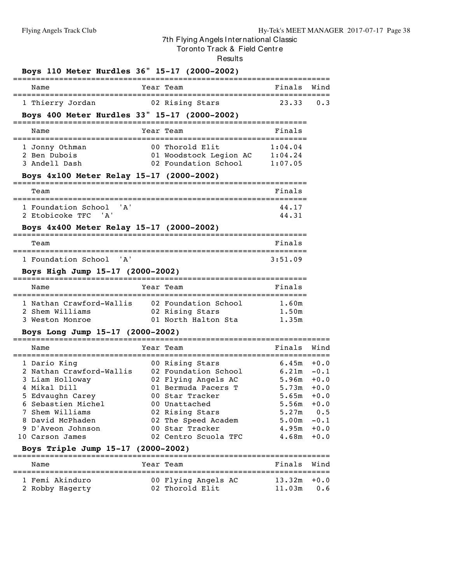Tor onto Tr ack & Field Centr e

Results

| Finals Wind<br>0.3                                                                                                                                       |
|----------------------------------------------------------------------------------------------------------------------------------------------------------|
|                                                                                                                                                          |
|                                                                                                                                                          |
|                                                                                                                                                          |
| :=========================                                                                                                                               |
|                                                                                                                                                          |
|                                                                                                                                                          |
|                                                                                                                                                          |
|                                                                                                                                                          |
|                                                                                                                                                          |
|                                                                                                                                                          |
|                                                                                                                                                          |
|                                                                                                                                                          |
|                                                                                                                                                          |
|                                                                                                                                                          |
|                                                                                                                                                          |
|                                                                                                                                                          |
|                                                                                                                                                          |
|                                                                                                                                                          |
|                                                                                                                                                          |
| Wind                                                                                                                                                     |
| $+0.0$                                                                                                                                                   |
| $-0.1$                                                                                                                                                   |
| $+0.0$                                                                                                                                                   |
| $+0.0$                                                                                                                                                   |
| $5.65m + 0.0$                                                                                                                                            |
| $+0.0$<br>0.5                                                                                                                                            |
| $-0.1$                                                                                                                                                   |
| $4.95m + 0.0$                                                                                                                                            |
|                                                                                                                                                          |
|                                                                                                                                                          |
| $4.68m + 0.0$                                                                                                                                            |
|                                                                                                                                                          |
| Finals<br>Wind                                                                                                                                           |
| $13.32m + 0.0$                                                                                                                                           |
| Finals<br>1 Nathan Crawford-Wallis 02 Foundation School 1.60m<br>1.50m<br>1.35m<br>Finals<br>6.45m<br>6.21m<br>5.96m<br>5.73m<br>5.56m<br>5.27m<br>5.00m |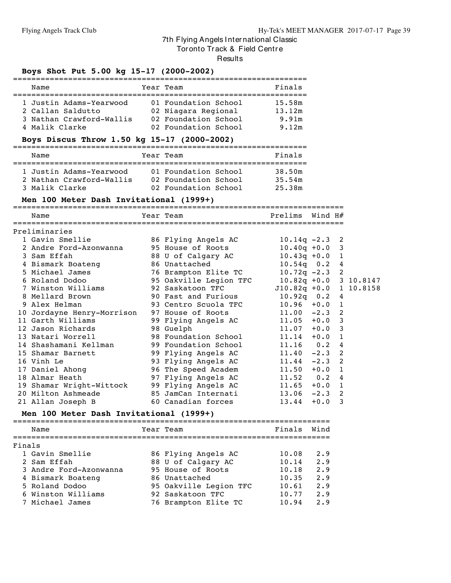Tor onto Track & Field Centre

Results

#### **Boys Shot Put 5.00 kg 15-17 (2000-2002)**

| Name                                                                                       | Year Team                                                                                   | Finals                             |
|--------------------------------------------------------------------------------------------|---------------------------------------------------------------------------------------------|------------------------------------|
| 1 Justin Adams-Yearwood<br>2 Callan Saldutto<br>3 Nathan Crawford-Wallis<br>4 Malik Clarke | 01 Foundation School<br>02 Niagara Regional<br>02 Foundation School<br>02 Foundation School | 15.58m<br>13.12m<br>9.91m<br>9.12m |

## **Boys Discus Throw 1.50 kg 15-17 (2000-2002)**

| Name                                                | Year Team                                    | Finals           |
|-----------------------------------------------------|----------------------------------------------|------------------|
| 1 Justin Adams-Yearwood<br>2 Nathan Crawford-Wallis | 01 Foundation School<br>02 Foundation School | 38.50m<br>35.54m |
| 3 Malik Clarke                                      | 02 Foundation School                         | 25.38m           |

### **Men 100 Meter Dash Invitational (1999+)**

|               | Name                                                                        |  | Year Team and the control of the control of the control of the control of the control of the control of the control of the control of the control of the control of the control of the control of the control of the control o | Prelims                | Wind $H#$ |   |  |  |
|---------------|-----------------------------------------------------------------------------|--|--------------------------------------------------------------------------------------------------------------------------------------------------------------------------------------------------------------------------------|------------------------|-----------|---|--|--|
| Preliminaries |                                                                             |  |                                                                                                                                                                                                                                |                        |           |   |  |  |
|               | 1 Gavin Smellie and 86 Flying Angels AC                                     |  |                                                                                                                                                                                                                                | $10.14q - 2.3$ 2       |           |   |  |  |
|               | 2 Andre Ford-Azonwanna                                                      |  | 95 House of Roots                                                                                                                                                                                                              | $10.40q + 0.0$ 3       |           |   |  |  |
|               | 3 Sam Effah                                                                 |  | 88 U of Calgary AC                                                                                                                                                                                                             | $10.43q + 0.0$ 1       |           |   |  |  |
|               | 4 Bismark Boateng                                                           |  | 86 Unattached                                                                                                                                                                                                                  | $10.54q$ 0.2 4         |           |   |  |  |
|               | 5 Michael James                                                             |  | 76 Brampton Elite TC                                                                                                                                                                                                           | $10.72q - 2.3$ 2       |           |   |  |  |
|               | 6 Roland Dodoo             95 Oakville Legion TFC     10.82q +0.0 3 10.8147 |  |                                                                                                                                                                                                                                |                        |           |   |  |  |
|               | 7 Winston Williams                                                          |  | 92 Saskatoon TFC                                                                                                                                                                                                               | J10.82q +0.0 1 10.8158 |           |   |  |  |
|               | 8 Mellard Brown                                                             |  | 90 Fast and Furious                                                                                                                                                                                                            | $10.92q$ 0.2 4         |           |   |  |  |
|               | 9 Alex Helman                                                               |  | 93 Centro Scuola TFC                                                                                                                                                                                                           | $10.96 + 0.0 1$        |           |   |  |  |
|               | 10 Jordayne Henry-Morrison                                                  |  | 97 House of Roots                                                                                                                                                                                                              | $11.00 -2.3$ 2         |           |   |  |  |
|               | 11 Garth Williams                                                           |  | 99 Flying Angels AC                                                                                                                                                                                                            | $11.05 + 0.0$ 3        |           |   |  |  |
|               | 12 Jason Richards                                                           |  | 98 Guelph                                                                                                                                                                                                                      | $11.07 + 0.0$ 3        |           |   |  |  |
|               | 13 Natari Worrell                                                           |  | 98 Foundation School                                                                                                                                                                                                           | $11.14 + 0.0 1$        |           |   |  |  |
|               | 14 Shashamani Kellman                                                       |  | 99 Foundation School                                                                                                                                                                                                           | $11.16$ 0.2 4          |           |   |  |  |
|               | 15 Shamar Barnett                                                           |  | 99 Flying Angels AC                                                                                                                                                                                                            | $11.40 -2.3$ 2         |           |   |  |  |
|               | 16 Vinh Le                                                                  |  | 93 Flying Angels AC                                                                                                                                                                                                            | $11.44 - 2.3$ 2        |           |   |  |  |
|               | 17 Daniel Ahong 50 96 The Speed Academ                                      |  |                                                                                                                                                                                                                                | $11.50 + 0.0 1$        |           |   |  |  |
|               | 18 Almar Heath                                                              |  | 97 Flying Angels AC                                                                                                                                                                                                            | $11.52$ 0.2 4          |           |   |  |  |
|               | 19 Shamar Wright-Wittock                                                    |  | 99 Flying Angels AC                                                                                                                                                                                                            | $11.65 + 0.0 1$        |           |   |  |  |
|               | 20 Milton Ashmeade                                                          |  | 85 JamCan Internati                                                                                                                                                                                                            | $13.06 -2.3$ 2         |           |   |  |  |
|               | 21 Allan Joseph B                                                           |  | 60 Canadian forces                                                                                                                                                                                                             | 13.44                  | $+0.0$    | 3 |  |  |
|               |                                                                             |  |                                                                                                                                                                                                                                |                        |           |   |  |  |

## **Men 100 Meter Dash Invitational (1999+)**

|        | Name                   | Year Team              | Finals | Wind |
|--------|------------------------|------------------------|--------|------|
|        |                        |                        |        |      |
| Finals |                        |                        |        |      |
|        | 1 Gavin Smellie        | 86 Flying Angels AC    | 10.08  | 2.9  |
|        | 2 Sam Effah            | 88 U of Calgary AC     | 10.14  | 2.9  |
|        | 3 Andre Ford-Azonwanna | 95 House of Roots      | 10.18  | 2.9  |
|        | 4 Bismark Boateng      | 86 Unattached          | 10.35  | 2.9  |
|        | 5 Roland Dodoo         | 95 Oakville Legion TFC | 10.61  | 2.9  |
|        | 6 Winston Williams     | 92 Saskatoon TFC       | 10.77  | 2.9  |
|        | 7 Michael James        | 76 Brampton Elite TC   | 10.94  | 2.9  |
|        |                        |                        |        |      |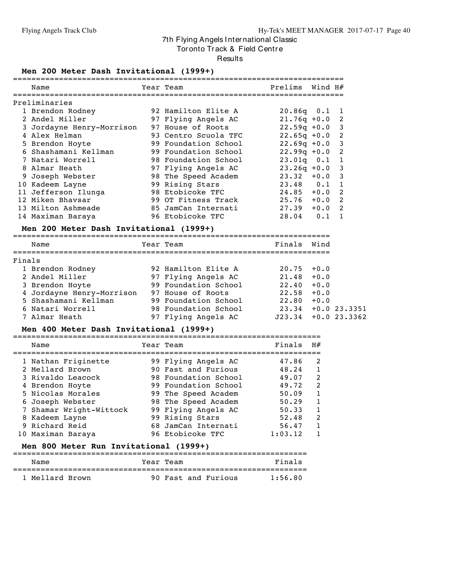Tor onto Track & Field Centre

Results

#### **Men 200 Meter Dash Invitational (1999+)**

|        | Name                                                                                  | Year Team                 | Prelims        | Wind $H#$      |                |
|--------|---------------------------------------------------------------------------------------|---------------------------|----------------|----------------|----------------|
|        | Preliminaries                                                                         |                           |                |                |                |
|        | 1 Brendon Rodney                                                                      | 92 Hamilton Elite A       | $20.86q$ $0.1$ |                | 1              |
|        | 2 Andel Miller                                                                        | 97 Flying Angels AC       | $21.76q + 0.0$ |                | 2              |
|        | 3 Jordayne Henry-Morrison                                                             | 97 House of Roots         | $22.59q + 0.0$ |                | 3              |
|        | 4 Alex Helman                                                                         | 93 Centro Scuola TFC      | $22.65q + 0.0$ |                | 2              |
|        | 5 Brendon Hoyte                                                                       | 99 Foundation School      | $22.69q + 0.0$ |                | 3              |
|        | 6 Shashamani Kellman                                                                  | 99 Foundation School      | $22.99q + 0.0$ |                | 2              |
|        | 7 Natari Worrell                                                                      | 98 Foundation School      | $23.01q$ 0.1   |                | $\mathbf{1}$   |
|        | 8 Almar Heath                                                                         | 97 Flying Angels AC       | $23.26q +0.0$  |                | 3              |
|        | 9 Joseph Webster                                                                      | 98 The Speed Academ       | $23.32 + 0.0$  |                | 3              |
|        | 10 Kadeem Layne                                                                       | 99 Rising Stars           | $23.48$ 0.1    |                | 1              |
|        | 11 Jefferson Ilunga                                                                   | 98 Etobicoke TFC          | 24.85          | $+0.0$         | 2              |
|        | 12 Miken Bhavsar                                                                      | 99 OT Fitness Track       | $25.76 + 0.0$  |                | 2              |
|        | 13 Milton Ashmeade                                                                    | 85 JamCan Internati       | 27.39          | $+0.0$         | $\overline{2}$ |
|        | 14 Maximan Baraya                                                                     | 96 Etobicoke TFC          | 28.04          | 0.1            | $\mathbf{1}$   |
|        | Men 200 Meter Dash Invitational (1999+)                                               |                           |                |                |                |
|        | Name                                                                                  | Year Team                 | Finals         | Wind           |                |
| Finals |                                                                                       |                           |                |                |                |
|        | 1 Brendon Rodney                                                                      | 92 Hamilton Elite A       | 20.75          | $+0.0$         |                |
|        | 2 Andel Miller                                                                        | 97 Flying Angels AC       | 21.48          | $+0.0$         |                |
|        | 3 Brendon Hoyte                                                                       | 99 Foundation School      | 22.40          | $+0.0$         |                |
|        |                                                                                       |                           | 22.58          | $+0.0$         |                |
|        | 4 Jordayne Henry-Morrison 97 House of Roots<br>5 Shashamani Kellman 99 Foundation Sch | 99 Foundation School      | 22.80          | $+0.0$         |                |
|        | 6 Natari Worrell                                                                      | 98 Foundation School      | 23.34          | $+0.0$ 23.3351 |                |
|        | 7 Almar Heath                                                                         | 97 Flying Angels AC       | J23.34         | $+0.0$ 23.3362 |                |
|        | Men 400 Meter Dash Invitational (1999+)                                               |                           |                |                |                |
|        | Name                                                                                  | Year Team                 | Finals         | H#             |                |
|        |                                                                                       |                           |                |                |                |
|        | 1 Nathan Friginette                                                                   | 99 Flying Angels AC       | 47.86          | 2              |                |
|        | 2 Mellard Brown                                                                       | 90 Fast and Furious       | 48.24          | 1              |                |
|        | 3 Rivaldo Leacock                                                                     | 98 Foundation School      | 49.07          | 2              |                |
|        | 4 Brendon Hoyte                                                                       | 99 Foundation School      | 49.72          | $\overline{c}$ |                |
|        | 5 Nicolas Morales                                                                     | 99 The Speed Academ       | 50.09          | $\mathbf{1}$   |                |
|        | 6 Joseph Webster                                                                      | 98 The Speed Academ 50.29 |                | 1              |                |
|        | 7 Shamar Wright-Wittock                                                               | 99 Flying Angels AC       | 50.33          | 1              |                |
|        | 8 Kadeem Layne                                                                        | 99 Rising Stars           | 52.48          | $\overline{2}$ |                |

#### **Men 800 Meter Run Invitational (1999+)**

| Name            | Year Team           | Finals  |
|-----------------|---------------------|---------|
| 1 Mellard Brown | 90 Fast and Furious | 1:56.80 |

9 Richard Reid 68 JamCan Internati 56.47 1 10 Maximan Baraya 96 Etobicoke TFC 1:03.12 1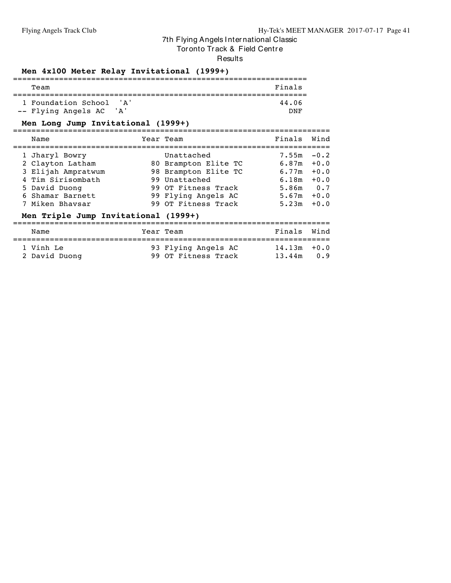Tor onto Track & Field Centre

**Results** 

#### **Men 4x100 Meter Relay Invitational (1999+)**

| Team                    |       |  | Finals |
|-------------------------|-------|--|--------|
| 1 Foundation School 'A' |       |  | 44.06  |
| -- Flying Angels AC     | ' A ' |  | חות    |

#### **Men Long Jump Invitational (1999+)**

=====================================================================

| Name               | Year Team            | Finals        | Wind   |
|--------------------|----------------------|---------------|--------|
| 1 Jharyl Bowry     | Unattached           | $7.55m - 0.2$ |        |
| 2 Clayton Latham   | 80 Brampton Elite TC | 6.87m         | $+0.0$ |
| 3 Elijah Ampratwum | 98 Brampton Elite TC | 6.77m         | $+0.0$ |
| 4 Tim Sirisombath  | 99 Unattached        | 6.18m         | $+0.0$ |
| 5 David Duong      | 99 OT Fitness Track  | 5.86m         | 0.7    |
| 6 Shamar Barnett   | 99 Flying Angels AC  | 5.67m         | $+0.0$ |
| 7 Miken Bhavsar    | 99 OT Fitness Track  | 5.23m         | $+0.0$ |
|                    |                      |               |        |

#### **Men Triple Jump Invitational (1999+)**

===================================================================== Name **The South State Year Team** Finals Wind ===================================================================== 1 Vinh Le 93 Flying Angels AC 14.13m +0.0 2 David Duong 99 OT Fitness Track 13.44m 0.9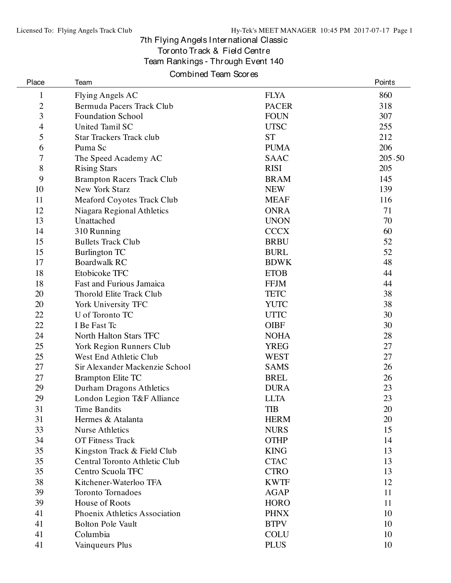## 7th Flying Angels International Classic Toronto Track & Field Centre

Team Rankings - Through Event 140

## Combined Team Scores

| Place          | Team                              |              | Points |
|----------------|-----------------------------------|--------------|--------|
| $\mathbf{1}$   | Flying Angels AC                  | <b>FLYA</b>  | 860    |
| $\overline{c}$ | Bermuda Pacers Track Club         | <b>PACER</b> | 318    |
| 3              | <b>Foundation School</b>          | <b>FOUN</b>  | 307    |
| 4              | United Tamil SC                   | <b>UTSC</b>  | 255    |
| 5              | <b>Star Trackers Track club</b>   | <b>ST</b>    | 212    |
| 6              | Puma Sc                           | <b>PUMA</b>  | 206    |
| 7              | The Speed Academy AC              | <b>SAAC</b>  | 205.50 |
| 8              | <b>Rising Stars</b>               | <b>RISI</b>  | 205    |
| 9              | <b>Brampton Racers Track Club</b> | <b>BRAM</b>  | 145    |
| 10             | New York Starz                    | <b>NEW</b>   | 139    |
| 11             | Meaford Coyotes Track Club        | <b>MEAF</b>  | 116    |
| 12             | Niagara Regional Athletics        | <b>ONRA</b>  | 71     |
| 13             | Unattached                        | <b>UNON</b>  | 70     |
| 14             | 310 Running                       | <b>CCCX</b>  | 60     |
| 15             | <b>Bullets Track Club</b>         | <b>BRBU</b>  | 52     |
| 15             | Burlington TC                     | <b>BURL</b>  | 52     |
| 17             | <b>Boardwalk RC</b>               | <b>BDWK</b>  | 48     |
| 18             | Etobicoke TFC                     | <b>ETOB</b>  | 44     |
| 18             | Fast and Furious Jamaica          | <b>FFJM</b>  | 44     |
| 20             | Thorold Elite Track Club          | <b>TETC</b>  | 38     |
| 20             | York University TFC               | <b>YUTC</b>  | 38     |
| 22             | U of Toronto TC                   | <b>UTTC</b>  | 30     |
| 22             | I Be Fast Tc                      | <b>OIBF</b>  | 30     |
| 24             | North Halton Stars TFC            | <b>NOHA</b>  | 28     |
| 25             | York Region Runners Club          | <b>YREG</b>  | 27     |
| 25             | West End Athletic Club            | <b>WEST</b>  | 27     |
| 27             | Sir Alexander Mackenzie School    | <b>SAMS</b>  | 26     |
| 27             | <b>Brampton Elite TC</b>          | <b>BREL</b>  | 26     |
| 29             | Durham Dragons Athletics          | <b>DURA</b>  | 23     |
| 29             | London Legion T&F Alliance        | <b>LLTA</b>  | 23     |
| 31             | Time Bandits                      | <b>TIB</b>   | 20     |
| 31             | Hermes & Atalanta                 | <b>HERM</b>  | 20     |
| 33             | <b>Nurse Athletics</b>            | <b>NURS</b>  | 15     |
| 34             | <b>OT Fitness Track</b>           | <b>OTHP</b>  | 14     |
| 35             | Kingston Track & Field Club       | <b>KING</b>  | 13     |
| 35             | Central Toronto Athletic Club     | <b>CTAC</b>  | 13     |
| 35             | Centro Scuola TFC                 | <b>CTRO</b>  | 13     |
| 38             | Kitchener-Waterloo TFA            | <b>KWTF</b>  | 12     |
| 39             | <b>Toronto Tornadoes</b>          | <b>AGAP</b>  | 11     |
| 39             | House of Roots                    | <b>HORO</b>  | 11     |
| 41             | Phoenix Athletics Association     | <b>PHNX</b>  | 10     |
| 41             | <b>Bolton Pole Vault</b>          | <b>BTPV</b>  | 10     |
| 41             | Columbia                          | <b>COLU</b>  | 10     |
| 41             | Vainqueurs Plus                   | <b>PLUS</b>  | 10     |